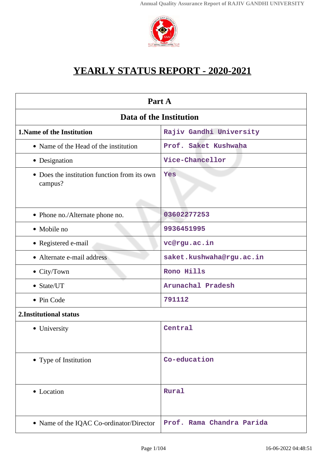

# **YEARLY STATUS REPORT - 2020-2021**

| Part A                                                  |                           |  |
|---------------------------------------------------------|---------------------------|--|
| <b>Data of the Institution</b>                          |                           |  |
| 1. Name of the Institution                              | Rajiv Gandhi University   |  |
| • Name of the Head of the institution                   | Prof. Saket Kushwaha      |  |
| • Designation                                           | Vice-Chancellor           |  |
| • Does the institution function from its own<br>campus? | Yes                       |  |
| • Phone no./Alternate phone no.                         | 03602277253               |  |
| • Mobile no                                             | 9936451995                |  |
| • Registered e-mail                                     | vc@rgu.ac.in              |  |
| • Alternate e-mail address                              | saket.kushwaha@rgu.ac.in  |  |
| • City/Town                                             | Rono Hills                |  |
| • State/UT                                              | Arunachal Pradesh         |  |
| • Pin Code                                              | 791112                    |  |
| 2. Institutional status                                 |                           |  |
| • University                                            | Central                   |  |
| • Type of Institution                                   | Co-education              |  |
| • Location                                              | Rural                     |  |
| • Name of the IQAC Co-ordinator/Director                | Prof. Rama Chandra Parida |  |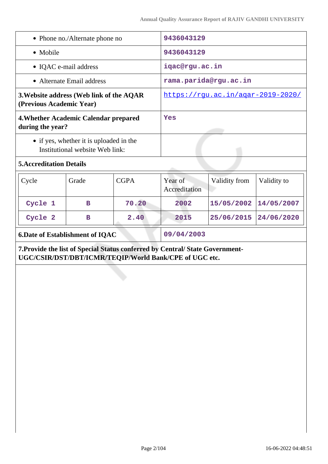| • Phone no./Alternate phone no                                               |                                                                                                           | 9436043129     |                          |               |             |
|------------------------------------------------------------------------------|-----------------------------------------------------------------------------------------------------------|----------------|--------------------------|---------------|-------------|
| • Mobile                                                                     |                                                                                                           | 9436043129     |                          |               |             |
| • IQAC e-mail address                                                        |                                                                                                           | iqac@rgu.ac.in |                          |               |             |
|                                                                              | • Alternate Email address                                                                                 |                | rama.parida@rgu.ac.in    |               |             |
|                                                                              | 3. Website address (Web link of the AQAR<br>https://rgu.ac.in/agar-2019-2020/<br>(Previous Academic Year) |                |                          |               |             |
| 4. Whether Academic Calendar prepared<br>during the year?                    |                                                                                                           |                | Yes                      |               |             |
|                                                                              | • if yes, whether it is uploaded in the<br>Institutional website Web link:                                |                |                          |               |             |
| <b>5. Accreditation Details</b>                                              |                                                                                                           |                |                          |               |             |
| Cycle                                                                        | Grade                                                                                                     | <b>CGPA</b>    | Year of<br>Accreditation | Validity from | Validity to |
| Cycle 1                                                                      | в                                                                                                         | 70.20          | 2002                     | 15/05/2002    | 14/05/2007  |
| Cycle 2                                                                      | $\mathbf B$                                                                                               | 2.40           | 2015                     | 25/06/2015    | 24/06/2020  |
| <b>6.Date of Establishment of IQAC</b>                                       |                                                                                                           | 09/04/2003     |                          |               |             |
| 7. Provide the list of Special Status conferred by Central/State Government- | UGC/CSIR/DST/DBT/ICMR/TEQIP/World Bank/CPE of UGC etc.                                                    |                |                          |               |             |
| إلامتهم ومراجع أماركه                                                        |                                                                                                           |                |                          |               |             |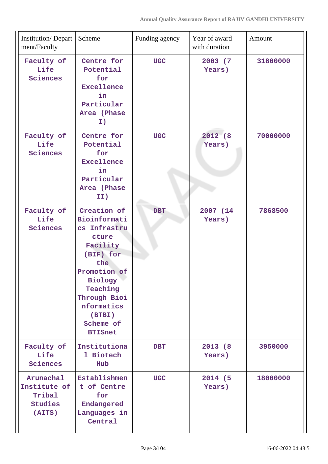| <b>Institution/Depart</b><br>ment/Faculty                       | Scheme                                                                                                                                                                                             | Funding agency | Year of award<br>with duration | Amount   |
|-----------------------------------------------------------------|----------------------------------------------------------------------------------------------------------------------------------------------------------------------------------------------------|----------------|--------------------------------|----------|
| Faculty of<br>Life<br>Sciences                                  | Centre for<br>Potential<br>for<br><b>Excellence</b><br>in<br>Particular<br>Area (Phase<br>I)                                                                                                       | <b>UGC</b>     | 2003 (7<br>Years)              | 31800000 |
| Faculty of<br>Life<br>Sciences                                  | Centre for<br>Potential<br>for<br><b>Excellence</b><br>in<br>Particular<br>Area (Phase<br>II)                                                                                                      | <b>UGC</b>     | 2012 (8<br>Years)              | 70000000 |
| Faculty of<br>Life<br>Sciences                                  | Creation of<br>Bioinformati<br>cs Infrastru<br>cture<br>Facility<br>(BIF) for<br>the<br>Promotion of<br>Biology<br>Teaching<br>Through Bioi<br>nformatics<br>(BTBI)<br>Scheme of<br><b>BTISnet</b> | <b>DBT</b>     | 2007 (14)<br>Years)            | 7868500  |
| Faculty of<br>Life<br>Sciences                                  | Institutiona<br>1 Biotech<br>Hub                                                                                                                                                                   | <b>DBT</b>     | 2013 (8)<br>Years)             | 3950000  |
| Arunachal<br>Institute of<br>Tribal<br><b>Studies</b><br>(AITS) | Establishmen<br>t of Centre<br>for<br>Endangered<br>Languages in<br>Central                                                                                                                        | <b>UGC</b>     | 2014 (5<br>Years)              | 18000000 |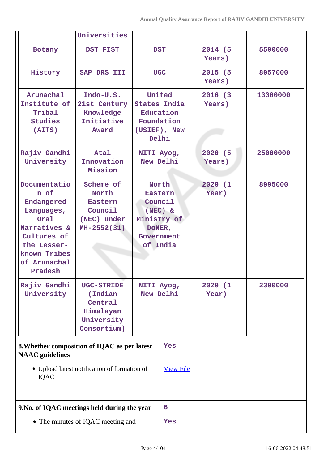|                                                                                                                                                   | Universities                                                                      |                                                                                             |                  |                    |          |
|---------------------------------------------------------------------------------------------------------------------------------------------------|-----------------------------------------------------------------------------------|---------------------------------------------------------------------------------------------|------------------|--------------------|----------|
| Botany                                                                                                                                            | DST FIST                                                                          | <b>DST</b>                                                                                  |                  | 2014 (5<br>Years)  | 5500000  |
| History                                                                                                                                           | SAP DRS III                                                                       | <b>UGC</b>                                                                                  |                  | 2015 (5<br>Years)  | 8057000  |
| Arunachal<br>Institute of<br>Tribal<br>Studies<br>(AITS)                                                                                          | Indo-U.S.<br>21st Century<br>Knowledge<br>Initiative<br>Award                     | United<br><b>States India</b><br>Education<br>Foundation<br>(USIEF), New<br>Delhi           |                  | 2016 (3)<br>Years) | 13300000 |
| Rajiv Gandhi<br>University                                                                                                                        | Atal<br>Innovation<br>Mission                                                     | NITI Ayog,<br>New Delhi                                                                     |                  | 2020 (5<br>Years)  | 25000000 |
| Documentatio<br>n of<br>Endangered<br>Languages,<br>Oral<br>Narratives &<br>Cultures of<br>the Lesser-<br>known Tribes<br>of Arunachal<br>Pradesh | Scheme of<br>North<br>Eastern<br>Council<br>(NEC) under<br>$MH-2552(31)$          | North<br>Eastern<br>Council<br>$(NEC)$ &<br>Ministry of<br>DONER,<br>Government<br>of India |                  | 2020 (1<br>Year)   | 8995000  |
| Rajiv Gandhi<br>University                                                                                                                        | <b>UGC-STRIDE</b><br>(Indian<br>Central<br>Himalayan<br>University<br>Consortium) | NITI Ayog,<br>New Delhi                                                                     |                  | 2020 (1<br>Year)   | 2300000  |
| 8. Whether composition of IQAC as per latest<br><b>NAAC</b> guidelines                                                                            |                                                                                   | Yes                                                                                         |                  |                    |          |
| IQAC                                                                                                                                              | • Upload latest notification of formation of                                      |                                                                                             | <b>View File</b> |                    |          |
| 9. No. of IQAC meetings held during the year                                                                                                      |                                                                                   | 6                                                                                           |                  |                    |          |
| • The minutes of IQAC meeting and                                                                                                                 |                                                                                   | Yes                                                                                         |                  |                    |          |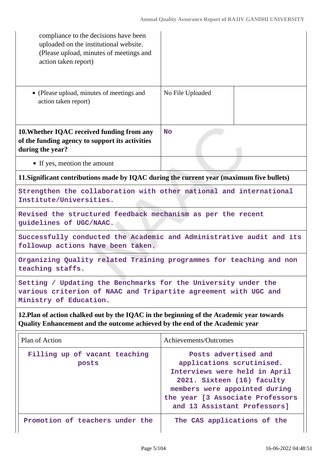| compliance to the decisions have been<br>uploaded on the institutional website.<br>(Please upload, minutes of meetings and<br>action taken report)                       |                                                                                                                                                                                                                       |  |  |
|--------------------------------------------------------------------------------------------------------------------------------------------------------------------------|-----------------------------------------------------------------------------------------------------------------------------------------------------------------------------------------------------------------------|--|--|
| • (Please upload, minutes of meetings and<br>action taken report)                                                                                                        | No File Uploaded                                                                                                                                                                                                      |  |  |
| 10. Whether IQAC received funding from any<br>of the funding agency to support its activities<br>during the year?                                                        | <b>No</b>                                                                                                                                                                                                             |  |  |
| • If yes, mention the amount                                                                                                                                             |                                                                                                                                                                                                                       |  |  |
| 11. Significant contributions made by IQAC during the current year (maximum five bullets)                                                                                |                                                                                                                                                                                                                       |  |  |
| Strengthen the collaboration with other national and international<br>Institute/Universities.                                                                            |                                                                                                                                                                                                                       |  |  |
| Revised the structured feedback mechanism as per the recent<br>guidelines of UGC/NAAC.                                                                                   |                                                                                                                                                                                                                       |  |  |
| followup actions have been taken.                                                                                                                                        | Successfully conducted the Academic and Administrative audit and its                                                                                                                                                  |  |  |
| Organizing Quality related Training programmes for teaching and non<br>teaching staffs.                                                                                  |                                                                                                                                                                                                                       |  |  |
| Setting / Updating the Benchmarks for the University under the<br>various criterion of NAAC and Tripartite agreement with UGC and<br>Ministry of Education.              |                                                                                                                                                                                                                       |  |  |
| 12. Plan of action chalked out by the IQAC in the beginning of the Academic year towards<br>Quality Enhancement and the outcome achieved by the end of the Academic year |                                                                                                                                                                                                                       |  |  |
| Plan of Action                                                                                                                                                           | Achievements/Outcomes                                                                                                                                                                                                 |  |  |
| Filling up of vacant teaching<br>posts                                                                                                                                   | Posts advertised and<br>applications scrutinised.<br>Interviews were held in April<br>2021. Sixteen (16) faculty<br>members were appointed during<br>the year [3 Associate Professors<br>and 13 Assistant Professors] |  |  |
| Promotion of teachers under the                                                                                                                                          | The CAS applications of the                                                                                                                                                                                           |  |  |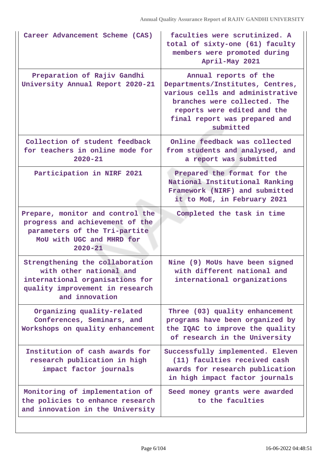| Career Advancement Scheme (CAS)                                                                                                                    | faculties were scrutinized. A<br>total of sixty-one (61) faculty<br>members were promoted during<br>April-May 2021                                                                                         |
|----------------------------------------------------------------------------------------------------------------------------------------------------|------------------------------------------------------------------------------------------------------------------------------------------------------------------------------------------------------------|
| Preparation of Rajiv Gandhi<br>University Annual Report 2020-21                                                                                    | Annual reports of the<br>Departments/Institutes, Centres,<br>various cells and administrative<br>branches were collected. The<br>reports were edited and the<br>final report was prepared and<br>submitted |
| Collection of student feedback<br>for teachers in online mode for<br>$2020 - 21$                                                                   | Online feedback was collected<br>from students and analysed, and<br>a report was submitted                                                                                                                 |
| Participation in NIRF 2021                                                                                                                         | Prepared the format for the<br>National Institutional Ranking<br>Framework (NIRF) and submitted<br>it to MoE, in February 2021                                                                             |
| Prepare, monitor and control the<br>progress and achievement of the<br>parameters of the Tri-partite<br>MoU with UGC and MHRD for<br>$2020 - 21$   | Completed the task in time                                                                                                                                                                                 |
| Strengthening the collaboration<br>with other national and<br>international organisations for<br>quality improvement in research<br>and innovation | Nine (9) MoUs have been signed<br>with different national and<br>international organizations                                                                                                               |
| Organizing quality-related<br>Conferences, Seminars, and<br>Workshops on quality enhancement                                                       | Three (03) quality enhancement<br>programs have been organized by<br>the IQAC to improve the quality<br>of research in the University                                                                      |
| Institution of cash awards for<br>research publication in high<br>impact factor journals                                                           | Successfully implemented. Eleven<br>(11) faculties received cash<br>awards for research publication<br>in high impact factor journals                                                                      |
| Monitoring of implementation of<br>the policies to enhance research<br>and innovation in the University                                            | Seed money grants were awarded<br>to the faculties                                                                                                                                                         |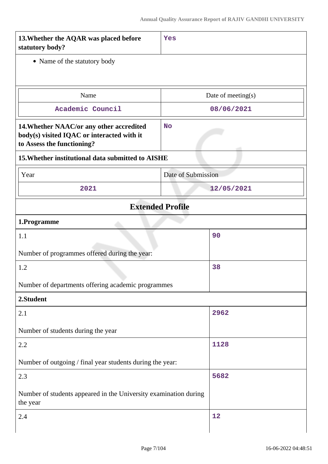| 13. Whether the AQAR was placed before<br>statutory body?                                                            | Yes                     |  |
|----------------------------------------------------------------------------------------------------------------------|-------------------------|--|
| • Name of the statutory body                                                                                         |                         |  |
|                                                                                                                      |                         |  |
| Name                                                                                                                 | Date of meeting(s)      |  |
| Academic Council                                                                                                     | 08/06/2021              |  |
| 14. Whether NAAC/or any other accredited<br>body(s) visited IQAC or interacted with it<br>to Assess the functioning? | <b>No</b>               |  |
| 15. Whether institutional data submitted to AISHE                                                                    |                         |  |
| Year                                                                                                                 | Date of Submission      |  |
| 2021                                                                                                                 | 12/05/2021              |  |
|                                                                                                                      | <b>Extended Profile</b> |  |
| 1.Programme                                                                                                          |                         |  |
| 1.1                                                                                                                  | 90                      |  |
| Number of programmes offered during the year:                                                                        |                         |  |
| 1.2                                                                                                                  | 38                      |  |
| Number of departments offering academic programmes                                                                   |                         |  |
| 2.Student                                                                                                            |                         |  |
| 2.1                                                                                                                  | 2962                    |  |
| Number of students during the year                                                                                   |                         |  |
| 2.2                                                                                                                  | 1128                    |  |
| Number of outgoing / final year students during the year:                                                            |                         |  |
| 2.3                                                                                                                  | 5682                    |  |
| Number of students appeared in the University examination during<br>the year                                         |                         |  |
| 2.4                                                                                                                  | 12                      |  |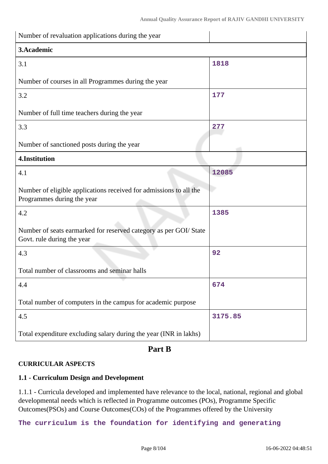| Number of revaluation applications during the year                                               |         |
|--------------------------------------------------------------------------------------------------|---------|
| 3. Academic                                                                                      |         |
| 3.1                                                                                              | 1818    |
| Number of courses in all Programmes during the year                                              |         |
| 3.2                                                                                              | 177     |
| Number of full time teachers during the year                                                     |         |
| 3.3                                                                                              | 277     |
| Number of sanctioned posts during the year                                                       |         |
| 4.Institution                                                                                    |         |
| 4.1                                                                                              | 12085   |
| Number of eligible applications received for admissions to all the<br>Programmes during the year |         |
| 4.2                                                                                              | 1385    |
| Number of seats earmarked for reserved category as per GOI/ State<br>Govt. rule during the year  |         |
| 4.3                                                                                              | 92      |
| Total number of classrooms and seminar halls                                                     |         |
| 4.4                                                                                              | 674     |
| Total number of computers in the campus for academic purpose                                     |         |
| 4.5                                                                                              | 3175.85 |
| Total expenditure excluding salary during the year (INR in lakhs)                                |         |

# **Part B**

## **CURRICULAR ASPECTS**

# **1.1 - Curriculum Design and Development**

1.1.1 - Curricula developed and implemented have relevance to the local, national, regional and global developmental needs which is reflected in Programme outcomes (POs), Programme Specific Outcomes(PSOs) and Course Outcomes(COs) of the Programmes offered by the University

**The curriculum is the foundation for identifying and generating**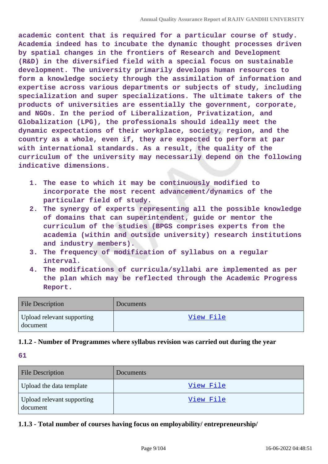**academic content that is required for a particular course of study. Academia indeed has to incubate the dynamic thought processes driven by spatial changes in the frontiers of Research and Development (R&D) in the diversified field with a special focus on sustainable development. The university primarily develops human resources to form a knowledge society through the assimilation of information and expertise across various departments or subjects of study, including specialization and super specializations. The ultimate takers of the products of universities are essentially the government, corporate, and NGOs. In the period of Liberalization, Privatization, and Globalization (LPG), the professionals should ideally meet the dynamic expectations of their workplace, society, region, and the country as a whole, even if, they are expected to perform at par with international standards. As a result, the quality of the curriculum of the university may necessarily depend on the following indicative dimensions.**

- **1. The ease to which it may be continuously modified to incorporate the most recent advancement/dynamics of the particular field of study.**
- **2. The synergy of experts representing all the possible knowledge of domains that can superintendent, guide or mentor the curriculum of the studies (BPGS comprises experts from the academia (within and outside university) research institutions and industry members).**
- **3. The frequency of modification of syllabus on a regular interval.**
- **4. The modifications of curricula/syllabi are implemented as per the plan which may be reflected through the Academic Progress Report.**

| <b>File Description</b>                | Documents |
|----------------------------------------|-----------|
| Upload relevant supporting<br>document | View File |

### **1.1.2 - Number of Programmes where syllabus revision was carried out during the year**

**61**

| <b>File Description</b>                | Documents |
|----------------------------------------|-----------|
| Upload the data template               | View File |
| Upload relevant supporting<br>document | View File |

## **1.1.3 - Total number of courses having focus on employability/ entrepreneurship/**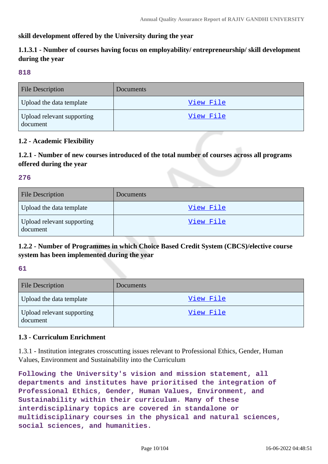### **skill development offered by the University during the year**

# **1.1.3.1 - Number of courses having focus on employability/ entrepreneurship/ skill development during the year**

#### **818**

| <b>File Description</b>                | <b>Documents</b> |
|----------------------------------------|------------------|
| Upload the data template               | View File        |
| Upload relevant supporting<br>document | View File        |

#### **1.2 - Academic Flexibility**

**1.2.1 - Number of new courses introduced of the total number of courses across all programs offered during the year**

#### **276**

| <b>File Description</b>                | Documents        |
|----------------------------------------|------------------|
| Upload the data template               | <u>View File</u> |
| Upload relevant supporting<br>document | <u>View File</u> |

## **1.2.2 - Number of Programmes in which Choice Based Credit System (CBCS)/elective course system has been implemented during the year**

#### **61**

| <b>File Description</b>                | Documents |
|----------------------------------------|-----------|
| Upload the data template               | View File |
| Upload relevant supporting<br>document | View File |

### **1.3 - Curriculum Enrichment**

1.3.1 - Institution integrates crosscutting issues relevant to Professional Ethics, Gender, Human Values, Environment and Sustainability into the Curriculum

**Following the University's vision and mission statement, all departments and institutes have prioritised the integration of Professional Ethics, Gender, Human Values, Environment, and Sustainability within their curriculum. Many of these interdisciplinary topics are covered in standalone or multidisciplinary courses in the physical and natural sciences, social sciences, and humanities.**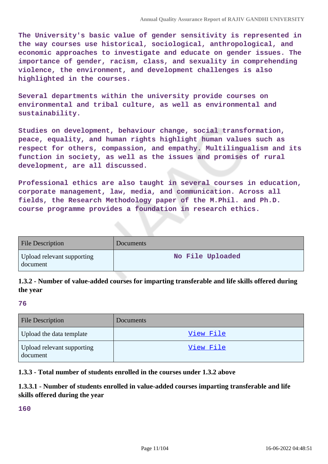**The University's basic value of gender sensitivity is represented in the way courses use historical, sociological, anthropological, and economic approaches to investigate and educate on gender issues. The importance of gender, racism, class, and sexuality in comprehending violence, the environment, and development challenges is also highlighted in the courses.**

**Several departments within the university provide courses on environmental and tribal culture, as well as environmental and sustainability.**

**Studies on development, behaviour change, social transformation, peace, equality, and human rights highlight human values such as respect for others, compassion, and empathy. Multilingualism and its function in society, as well as the issues and promises of rural development, are all discussed.**

**Professional ethics are also taught in several courses in education, corporate management, law, media, and communication. Across all fields, the Research Methodology paper of the M.Phil. and Ph.D. course programme provides a foundation in research ethics.**

| <b>File Description</b>                | Documents        |
|----------------------------------------|------------------|
| Upload relevant supporting<br>document | No File Uploaded |

# **1.3.2 - Number of value-added courses for imparting transferable and life skills offered during the year**

#### **76**

| <b>File Description</b>                | <b>Documents</b> |
|----------------------------------------|------------------|
| Upload the data template               | View File        |
| Upload relevant supporting<br>document | View File        |

### **1.3.3 - Total number of students enrolled in the courses under 1.3.2 above**

## **1.3.3.1 - Number of students enrolled in value-added courses imparting transferable and life skills offered during the year**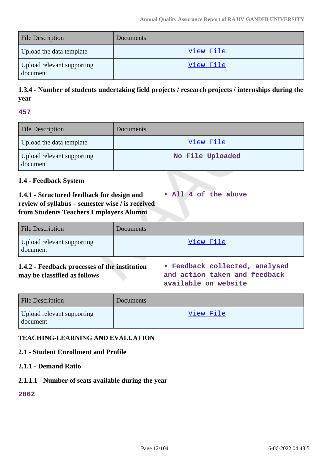| <b>File Description</b>                | Documents |
|----------------------------------------|-----------|
| Upload the data template               | View File |
| Upload relevant supporting<br>document | View File |

# **1.3.4 - Number of students undertaking field projects / research projects / internships during the year**

#### **457**

| <b>File Description</b>                | Documents        |
|----------------------------------------|------------------|
| Upload the data template               | View File        |
| Upload relevant supporting<br>document | No File Uploaded |

### **1.4 - Feedback System**

**1.4.1 - Structured feedback for design and review of syllabus – semester wise / is received from Students Teachers Employers Alumni • All 4 of the above**

| <b>File Description</b>                | Documents |
|----------------------------------------|-----------|
| Upload relevant supporting<br>document | View File |

### **1.4.2 - Feedback processes of the institution may be classified as follows**

**• Feedback collected, analysed and action taken and feedback available on website**

| <b>File Description</b>                | <b>Documents</b> |
|----------------------------------------|------------------|
| Upload relevant supporting<br>document | View File        |

### **TEACHING-LEARNING AND EVALUATION**

# **2.1 - Student Enrollment and Profile**

## **2.1.1 - Demand Ratio**

## **2.1.1.1 - Number of seats available during the year**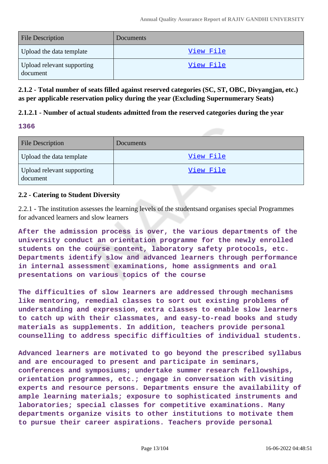| <b>File Description</b>                | Documents |
|----------------------------------------|-----------|
| Upload the data template               | View File |
| Upload relevant supporting<br>document | View File |

**2.1.2 - Total number of seats filled against reserved categories (SC, ST, OBC, Divyangjan, etc.) as per applicable reservation policy during the year (Excluding Supernumerary Seats)** 

### **2.1.2.1 - Number of actual students admitted from the reserved categories during the year**

### **1366**

| <b>File Description</b>                | Documents |
|----------------------------------------|-----------|
| Upload the data template               | View File |
| Upload relevant supporting<br>document | View File |

### **2.2 - Catering to Student Diversity**

2.2.1 - The institution assesses the learning levels of the studentsand organises special Programmes for advanced learners and slow learners

**After the admission process is over, the various departments of the university conduct an orientation programme for the newly enrolled students on the course content, laboratory safety protocols, etc. Departments identify slow and advanced learners through performance in internal assessment examinations, home assignments and oral presentations on various topics of the course**

**The difficulties of slow learners are addressed through mechanisms like mentoring, remedial classes to sort out existing problems of understanding and expression, extra classes to enable slow learners to catch up with their classmates, and easy-to-read books and study materials as supplements. In addition, teachers provide personal counselling to address specific difficulties of individual students.**

**Advanced learners are motivated to go beyond the prescribed syllabus and are encouraged to present and participate in seminars, conferences and symposiums; undertake summer research fellowships, orientation programmes, etc.; engage in conversation with visiting experts and resource persons. Departments ensure the availability of ample learning materials; exposure to sophisticated instruments and laboratories; special classes for competitive examinations. Many departments organize visits to other institutions to motivate them to pursue their career aspirations. Teachers provide personal**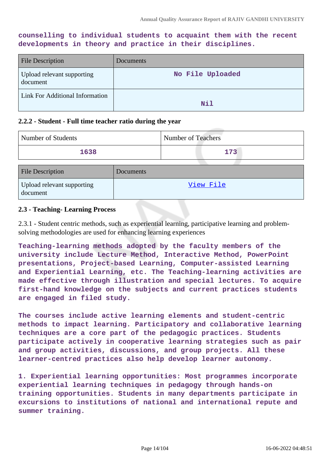**counselling to individual students to acquaint them with the recent developments in theory and practice in their disciplines.**

| File Description                       | Documents        |
|----------------------------------------|------------------|
| Upload relevant supporting<br>document | No File Uploaded |
| <b>Link For Additional Information</b> | Nil              |

#### **2.2.2 - Student - Full time teacher ratio during the year**

| Number of Students                     |           | <b>Number of Teachers</b> |
|----------------------------------------|-----------|---------------------------|
| 1638                                   |           | 173                       |
| <b>File Description</b>                | Documents |                           |
| Upload relevant supporting<br>document |           | View File                 |

#### **2.3 - Teaching- Learning Process**

2.3.1 - Student centric methods, such as experiential learning, participative learning and problemsolving methodologies are used for enhancing learning experiences

**Teaching-learning methods adopted by the faculty members of the university include Lecture Method, Interactive Method, PowerPoint presentations, Project-based Learning, Computer-assisted Learning and Experiential Learning, etc. The Teaching-learning activities are made effective through illustration and special lectures. To acquire first-hand knowledge on the subjects and current practices students are engaged in filed study.**

**The courses include active learning elements and student-centric methods to impact learning. Participatory and collaborative learning techniques are a core part of the pedagogic practices. Students participate actively in cooperative learning strategies such as pair and group activities, discussions, and group projects. All these learner-centred practices also help develop learner autonomy.**

**1. Experiential learning opportunities: Most programmes incorporate experiential learning techniques in pedagogy through hands-on training opportunities. Students in many departments participate in excursions to institutions of national and international repute and summer training.**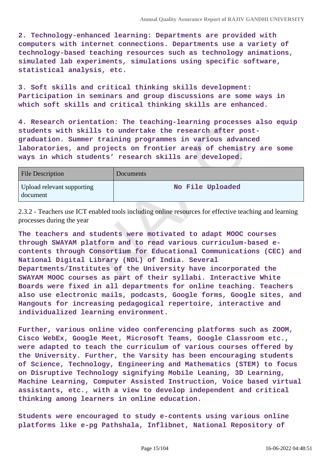**2. Technology-enhanced learning: Departments are provided with computers with internet connections. Departments use a variety of technology-based teaching resources such as technology animations, simulated lab experiments, simulations using specific software, statistical analysis, etc.**

**3. Soft skills and critical thinking skills development: Participation in seminars and group discussions are some ways in which soft skills and critical thinking skills are enhanced.**

**4. Research orientation: The teaching-learning processes also equip students with skills to undertake the research after postgraduation. Summer training programmes in various advanced laboratories, and projects on frontier areas of chemistry are some ways in which students' research skills are developed.**

| <b>File Description</b>                | Documents        |
|----------------------------------------|------------------|
| Upload relevant supporting<br>document | No File Uploaded |

2.3.2 - Teachers use ICT enabled tools including online resources for effective teaching and learning processes during the year

**The teachers and students were motivated to adapt MOOC courses through SWAYAM platform and to read various curriculum-based econtents through Consortium for Educational Communications (CEC) and National Digital Library (NDL) of India. Several Departments/Institutes of the University have incorporated the SWAYAM MOOC courses as part of their syllabi. Interactive White Boards were fixed in all departments for online teaching. Teachers also use electronic mails, podcasts, Google forms, Google sites, and Hangouts for increasing pedagogical repertoire, interactive and individualized learning environment.**

**Further, various online video conferencing platforms such as ZOOM, Cisco WebEx, Google Meet, Microsoft Teams, Google Classroom etc., were adapted to teach the curriculum of various courses offered by the University. Further, the Varsity has been encouraging students of Science, Technology, Engineering and Mathematics (STEM) to focus on Disruptive Technology signifying Mobile Leaning, 3D Learning, Machine Learning, Computer Assisted Instruction, Voice based virtual assistants, etc., with a view to develop independent and critical thinking among learners in online education.**

**Students were encouraged to study e-contents using various online platforms like e-pg Pathshala, Inflibnet, National Repository of**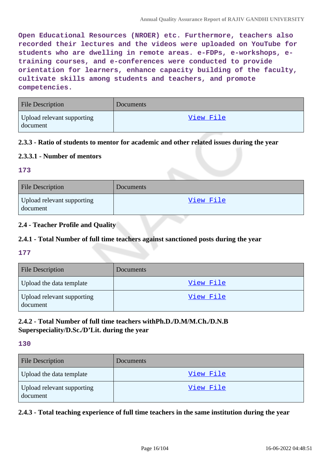**Open Educational Resources (NROER) etc. Furthermore, teachers also recorded their lectures and the videos were uploaded on YouTube for students who are dwelling in remote areas. e-FDPs, e-workshops, etraining courses, and e-conferences were conducted to provide orientation for learners, enhance capacity building of the faculty, cultivate skills among students and teachers, and promote competencies.**

| <b>File Description</b>                | <b>Documents</b> |
|----------------------------------------|------------------|
| Upload relevant supporting<br>document | View File        |

### **2.3.3 - Ratio of students to mentor for academic and other related issues during the year**

### **2.3.3.1 - Number of mentors**

#### **173**

| <b>File Description</b>                | Documents |
|----------------------------------------|-----------|
| Upload relevant supporting<br>document | View File |

### **2.4 - Teacher Profile and Quality**

# **2.4.1 - Total Number of full time teachers against sanctioned posts during the year**

### **177**

| <b>File Description</b>                | <b>Documents</b> |
|----------------------------------------|------------------|
| Upload the data template               | View File        |
| Upload relevant supporting<br>document | View File        |

# **2.4.2 - Total Number of full time teachers withPh.D./D.M/M.Ch./D.N.B Superspeciality/D.Sc./D'Lit. during the year**

#### **130**

| <b>File Description</b>                | Documents        |
|----------------------------------------|------------------|
| Upload the data template               | <u>View File</u> |
| Upload relevant supporting<br>document | View File        |

### **2.4.3 - Total teaching experience of full time teachers in the same institution during the year**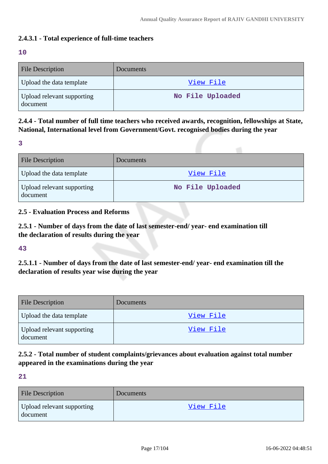### **2.4.3.1 - Total experience of full-time teachers**

#### **10**

| <b>File Description</b>                | <b>Documents</b> |
|----------------------------------------|------------------|
| Upload the data template               | View File        |
| Upload relevant supporting<br>document | No File Uploaded |

**2.4.4 - Total number of full time teachers who received awards, recognition, fellowships at State, National, International level from Government/Govt. recognised bodies during the year**

**3**

| <b>File Description</b>                | <b>Documents</b> |
|----------------------------------------|------------------|
| Upload the data template               | <u>View File</u> |
| Upload relevant supporting<br>document | No File Uploaded |

### **2.5 - Evaluation Process and Reforms**

**2.5.1 - Number of days from the date of last semester-end/ year- end examination till the declaration of results during the year**

**43**

**2.5.1.1 - Number of days from the date of last semester-end/ year- end examination till the declaration of results year wise during the year**

| <b>File Description</b>                | Documents |
|----------------------------------------|-----------|
| Upload the data template               | View File |
| Upload relevant supporting<br>document | View File |

# **2.5.2 - Total number of student complaints/grievances about evaluation against total number appeared in the examinations during the year**

| <b>File Description</b>                | Documents |
|----------------------------------------|-----------|
| Upload relevant supporting<br>document | View File |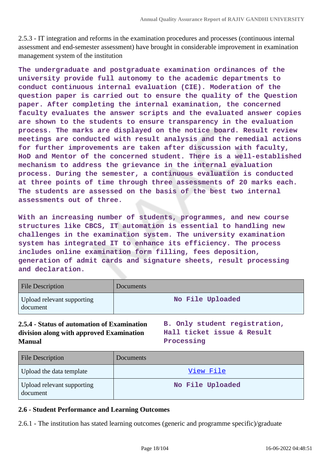2.5.3 - IT integration and reforms in the examination procedures and processes (continuous internal assessment and end-semester assessment) have brought in considerable improvement in examination management system of the institution

**The undergraduate and postgraduate examination ordinances of the university provide full autonomy to the academic departments to conduct continuous internal evaluation (CIE). Moderation of the question paper is carried out to ensure the quality of the Question paper. After completing the internal examination, the concerned faculty evaluates the answer scripts and the evaluated answer copies are shown to the students to ensure transparency in the evaluation process. The marks are displayed on the notice board. Result review meetings are conducted with result analysis and the remedial actions for further improvements are taken after discussion with faculty, HoD and Mentor of the concerned student. There is a well-established mechanism to address the grievance in the internal evaluation process. During the semester, a continuous evaluation is conducted at three points of time through three assessments of 20 marks each. The students are assessed on the basis of the best two internal assessments out of three.**

**With an increasing number of students, programmes, and new course structures like CBCS, IT automation is essential to handling new challenges in the examination system. The university examination system has integrated IT to enhance its efficiency. The process includes online examination form filling, fees deposition, generation of admit cards and signature sheets, result processing and declaration.**

| <b>File Description</b>                | Documents        |
|----------------------------------------|------------------|
| Upload relevant supporting<br>document | No File Uploaded |

## **2.5.4 - Status of automation of Examination division along with approved Examination Manual**

**B. Only student registration, Hall ticket issue & Result Processing**

| <b>File Description</b>                | <b>Documents</b> |
|----------------------------------------|------------------|
| Upload the data template               | <u>View File</u> |
| Upload relevant supporting<br>document | No File Uploaded |

### **2.6 - Student Performance and Learning Outcomes**

2.6.1 - The institution has stated learning outcomes (generic and programme specific)/graduate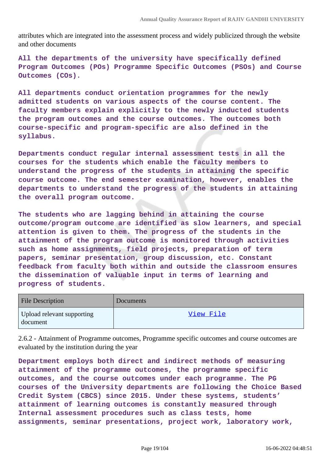attributes which are integrated into the assessment process and widely publicized through the website and other documents

**All the departments of the university have specifically defined Program Outcomes (POs) Programme Specific Outcomes (PSOs) and Course Outcomes (COs).**

**All departments conduct orientation programmes for the newly admitted students on various aspects of the course content. The faculty members explain explicitly to the newly inducted students the program outcomes and the course outcomes. The outcomes both course-specific and program-specific are also defined in the syllabus.**

**Departments conduct regular internal assessment tests in all the courses for the students which enable the faculty members to understand the progress of the students in attaining the specific course outcome. The end semester examination, however, enables the departments to understand the progress of the students in attaining the overall program outcome.**

**The students who are lagging behind in attaining the course outcome/program outcome are identified as slow learners, and special attention is given to them. The progress of the students in the attainment of the program outcome is monitored through activities such as home assignments, field projects, preparation of term papers, seminar presentation, group discussion, etc. Constant feedback from faculty both within and outside the classroom ensures the dissemination of valuable input in terms of learning and progress of students.**

| <b>File Description</b>                | Documents |
|----------------------------------------|-----------|
| Upload relevant supporting<br>document | View File |

2.6.2 - Attainment of Programme outcomes, Programme specific outcomes and course outcomes are evaluated by the institution during the year

**Department employs both direct and indirect methods of measuring attainment of the programme outcomes, the programme specific outcomes, and the course outcomes under each programme. The PG courses of the University departments are following the Choice Based Credit System (CBCS) since 2015. Under these systems, students' attainment of learning outcomes is constantly measured through Internal assessment procedures such as class tests, home assignments, seminar presentations, project work, laboratory work,**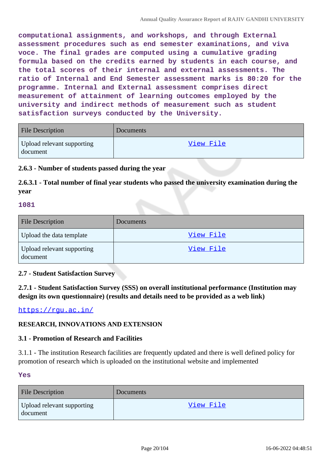**computational assignments, and workshops, and through External assessment procedures such as end semester examinations, and viva voce. The final grades are computed using a cumulative grading formula based on the credits earned by students in each course, and the total scores of their internal and external assessments. The ratio of Internal and End Semester assessment marks is 80:20 for the programme. Internal and External assessment comprises direct measurement of attainment of learning outcomes employed by the university and indirect methods of measurement such as student satisfaction surveys conducted by the University.**

| <b>File Description</b>                | Documents |
|----------------------------------------|-----------|
| Upload relevant supporting<br>document | View File |

### **2.6.3 - Number of students passed during the year**

**2.6.3.1 - Total number of final year students who passed the university examination during the year**

#### **1081**

| <b>File Description</b>                | Documents |
|----------------------------------------|-----------|
| Upload the data template               | View File |
| Upload relevant supporting<br>document | View File |

### **2.7 - Student Satisfaction Survey**

**2.7.1 - Student Satisfaction Survey (SSS) on overall institutional performance (Institution may design its own questionnaire) (results and details need to be provided as a web link)**

https://rqu.ac.in/

### **RESEARCH, INNOVATIONS AND EXTENSION**

#### **3.1 - Promotion of Research and Facilities**

3.1.1 - The institution Research facilities are frequently updated and there is well defined policy for promotion of research which is uploaded on the institutional website and implemented

#### **Yes**

| <b>File Description</b>                | Documents |
|----------------------------------------|-----------|
| Upload relevant supporting<br>document | View File |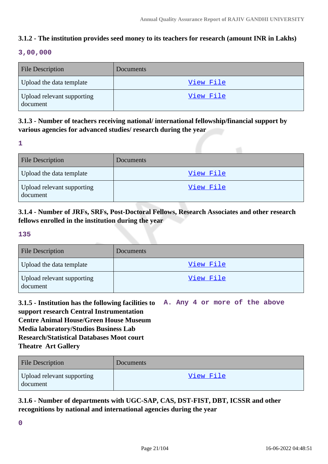# **3.1.2 - The institution provides seed money to its teachers for research (amount INR in Lakhs)**

### **3,00,000**

| <b>File Description</b>                | <b>Documents</b> |
|----------------------------------------|------------------|
| Upload the data template               | View File        |
| Upload relevant supporting<br>document | View File        |

# **3.1.3 - Number of teachers receiving national/ international fellowship/financial support by various agencies for advanced studies/ research during the year**

**<sup>1</sup>**

| <b>File Description</b>                | <b>Documents</b> |
|----------------------------------------|------------------|
| Upload the data template               | <u>View File</u> |
| Upload relevant supporting<br>document | View File        |

# **3.1.4 - Number of JRFs, SRFs, Post-Doctoral Fellows, Research Associates and other research fellows enrolled in the institution during the year**

#### **135**

| <b>File Description</b>                | Documents |
|----------------------------------------|-----------|
| Upload the data template               | View File |
| Upload relevant supporting<br>document | View File |

**3.1.5 - Institution has the following facilities to support research Central Instrumentation Centre Animal House/Green House Museum Media laboratory/Studios Business Lab Research/Statistical Databases Moot court Theatre Art Gallery A. Any 4 or more of the above**

| <b>File Description</b>                | Documents |
|----------------------------------------|-----------|
| Upload relevant supporting<br>document | View File |

**3.1.6 - Number of departments with UGC-SAP, CAS, DST-FIST, DBT, ICSSR and other recognitions by national and international agencies during the year**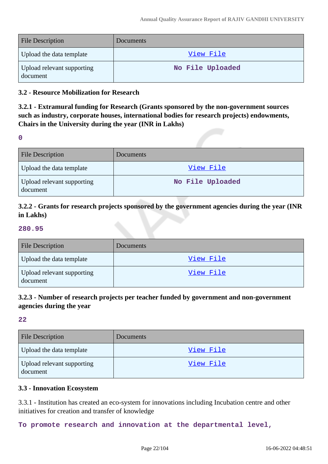| <b>File Description</b>                | Documents        |
|----------------------------------------|------------------|
| Upload the data template               | View File        |
| Upload relevant supporting<br>document | No File Uploaded |

#### **3.2 - Resource Mobilization for Research**

**3.2.1 - Extramural funding for Research (Grants sponsored by the non-government sources such as industry, corporate houses, international bodies for research projects) endowments, Chairs in the University during the year (INR in Lakhs)**

**0**

| <b>File Description</b>                | Documents        |
|----------------------------------------|------------------|
| Upload the data template               | View File        |
| Upload relevant supporting<br>document | No File Uploaded |

# **3.2.2 - Grants for research projects sponsored by the government agencies during the year (INR in Lakhs)**

#### **280.95**

| <b>File Description</b>                | Documents |
|----------------------------------------|-----------|
| Upload the data template               | View File |
| Upload relevant supporting<br>document | View File |

# **3.2.3 - Number of research projects per teacher funded by government and non-government agencies during the year**

**22**

| <b>File Description</b>                | Documents        |
|----------------------------------------|------------------|
| Upload the data template               | View File        |
| Upload relevant supporting<br>document | <u>View File</u> |

#### **3.3 - Innovation Ecosystem**

3.3.1 - Institution has created an eco-system for innovations including Incubation centre and other initiatives for creation and transfer of knowledge

**To promote research and innovation at the departmental level,**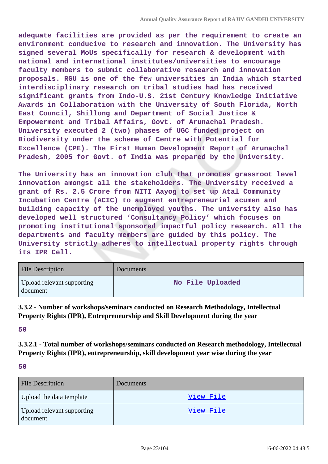**adequate facilities are provided as per the requirement to create an environment conducive to research and innovation. The University has signed several MoUs specifically for research & development with national and international institutes/universities to encourage faculty members to submit collaborative research and innovation proposals. RGU is one of the few universities in India which started interdisciplinary research on tribal studies had has received significant grants from Indo-U.S. 21st Century Knowledge Initiative Awards in Collaboration with the University of South Florida, North East Council, Shillong and Department of Social Justice & Empowerment and Tribal Affairs, Govt. of Arunachal Pradesh. University executed 2 (two) phases of UGC funded project on Biodiversity under the scheme of Centre with Potential for Excellence (CPE). The First Human Development Report of Arunachal Pradesh, 2005 for Govt. of India was prepared by the University.**

**The University has an innovation club that promotes grassroot level innovation amongst all the stakeholders. The University received a grant of Rs. 2.5 Crore from NITI Aayog to set up Atal Community Incubation Centre (ACIC) to augment entrepreneurial acumen and building capacity of the unemployed youths. The university also has developed well structured 'Consultancy Policy' which focuses on promoting institutional sponsored impactful policy research. All the departments and faculty members are guided by this policy. The University strictly adheres to intellectual property rights through its IPR Cell.**

| <b>File Description</b>                | <b>Documents</b> |
|----------------------------------------|------------------|
| Upload relevant supporting<br>document | No File Uploaded |

**3.3.2 - Number of workshops/seminars conducted on Research Methodology, Intellectual Property Rights (IPR), Entrepreneurship and Skill Development during the year**

**50**

**3.3.2.1 - Total number of workshops/seminars conducted on Research methodology, Intellectual Property Rights (IPR), entrepreneurship, skill development year wise during the year**

| <b>File Description</b>                | Documents |
|----------------------------------------|-----------|
| Upload the data template               | View File |
| Upload relevant supporting<br>document | View File |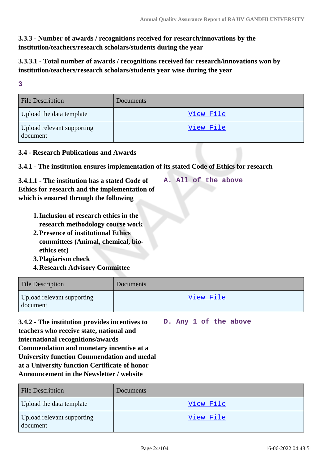# **3.3.3 - Number of awards / recognitions received for research/innovations by the institution/teachers/research scholars/students during the year**

# **3.3.3.1 - Total number of awards / recognitions received for research/innovations won by institution/teachers/research scholars/students year wise during the year**

**3**

| <b>File Description</b>                | <b>Documents</b> |
|----------------------------------------|------------------|
| Upload the data template               | View File        |
| Upload relevant supporting<br>document | <u>View File</u> |

### **3.4 - Research Publications and Awards**

### **3.4.1 - The institution ensures implementation of its stated Code of Ethics for research**

| 3.4.1.1 - The institution has a stated Code of |  |  | A. All of the above |
|------------------------------------------------|--|--|---------------------|
| Ethics for research and the implementation of  |  |  |                     |
| which is ensured through the following         |  |  |                     |

- **1.Inclusion of research ethics in the research methodology course work**
- **2.Presence of institutional Ethics committees (Animal, chemical, bioethics etc)**
- **3.Plagiarism check**
- **4.Research Advisory Committee**

| <b>File Description</b>                | Documents |
|----------------------------------------|-----------|
| Upload relevant supporting<br>document | View File |

**3.4.2 - The institution provides incentives to teachers who receive state, national and international recognitions/awards Commendation and monetary incentive at a University function Commendation and medal at a University function Certificate of honor Announcement in the Newsletter / website D. Any 1 of the above**

| <b>File Description</b>                | <b>Documents</b> |
|----------------------------------------|------------------|
| Upload the data template               | <u>View File</u> |
| Upload relevant supporting<br>document | View File        |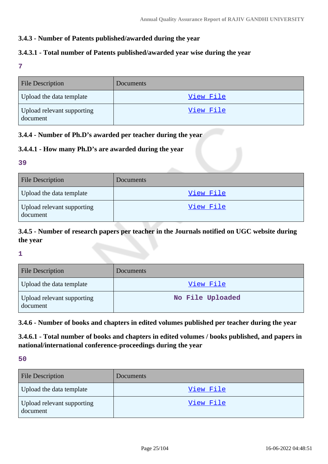### **3.4.3 - Number of Patents published/awarded during the year**

### **3.4.3.1 - Total number of Patents published/awarded year wise during the year**

**7**

| <b>File Description</b>                | Documents |
|----------------------------------------|-----------|
| Upload the data template               | View File |
| Upload relevant supporting<br>document | View File |

### **3.4.4 - Number of Ph.D's awarded per teacher during the year**

### **3.4.4.1 - How many Ph.D's are awarded during the year**

#### **39**

| <b>File Description</b>                | Documents |
|----------------------------------------|-----------|
| Upload the data template               | View File |
| Upload relevant supporting<br>document | View File |

# **3.4.5 - Number of research papers per teacher in the Journals notified on UGC website during the year**

**1**

| <b>File Description</b>                | Documents        |
|----------------------------------------|------------------|
| Upload the data template               | View File        |
| Upload relevant supporting<br>document | No File Uploaded |

**3.4.6 - Number of books and chapters in edited volumes published per teacher during the year**

**3.4.6.1 - Total number of books and chapters in edited volumes / books published, and papers in national/international conference-proceedings during the year**

| <b>File Description</b>                | <b>Documents</b> |
|----------------------------------------|------------------|
| Upload the data template               | View File        |
| Upload relevant supporting<br>document | View File        |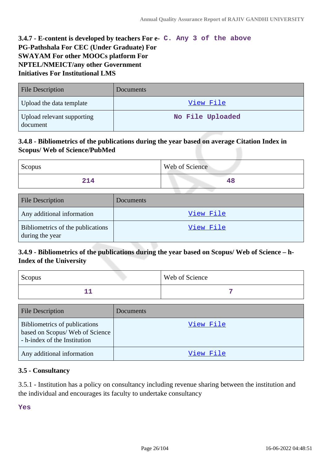# **3.4.7 - E-content is developed by teachers For e-C. Any 3 of the above PG-Pathshala For CEC (Under Graduate) For SWAYAM For other MOOCs platform For NPTEL/NMEICT/any other Government Initiatives For Institutional LMS**

| <b>File Description</b>                | <b>Documents</b> |
|----------------------------------------|------------------|
| Upload the data template               | View File        |
| Upload relevant supporting<br>document | No File Uploaded |

## **3.4.8 - Bibliometrics of the publications during the year based on average Citation Index in Scopus/ Web of Science/PubMed**

| Scopus                                               |           | Web of Science |
|------------------------------------------------------|-----------|----------------|
| 214                                                  |           | 48             |
|                                                      |           |                |
| <b>File Description</b>                              | Documents |                |
| Any additional information                           |           | View File      |
| Bibliometrics of the publications<br>during the year |           | View File      |

# **3.4.9 - Bibliometrics of the publications during the year based on Scopus/ Web of Science – h-Index of the University**

| Scopus | <b>Web of Science</b> |
|--------|-----------------------|
|        |                       |

| <b>File Description</b>                                                                         | Documents |
|-------------------------------------------------------------------------------------------------|-----------|
| Bibliometrics of publications<br>based on Scopus/Web of Science<br>- h-index of the Institution | View File |
| Any additional information                                                                      | View File |

### **3.5 - Consultancy**

3.5.1 - Institution has a policy on consultancy including revenue sharing between the institution and the individual and encourages its faculty to undertake consultancy

**Yes**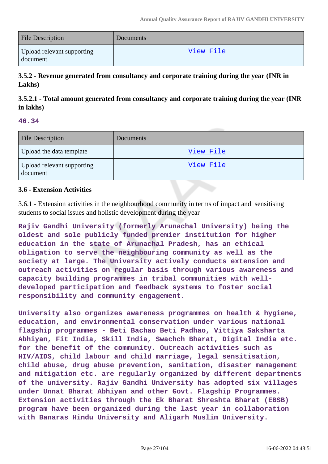| <b>File Description</b>                | Documents |
|----------------------------------------|-----------|
| Upload relevant supporting<br>document | View File |

**3.5.2 - Revenue generated from consultancy and corporate training during the year (INR in Lakhs)**

**3.5.2.1 - Total amount generated from consultancy and corporate training during the year (INR in lakhs)**

#### **46.34**

| <b>File Description</b>                | <b>Documents</b> |
|----------------------------------------|------------------|
| Upload the data template               | View File        |
| Upload relevant supporting<br>document | <u>View File</u> |

#### **3.6 - Extension Activities**

3.6.1 - Extension activities in the neighbourhood community in terms of impact and sensitising students to social issues and holistic development during the year

**Rajiv Gandhi University (formerly Arunachal University) being the oldest and sole publicly funded premier institution for higher education in the state of Arunachal Pradesh, has an ethical obligation to serve the neighbouring community as well as the society at large. The University actively conducts extension and outreach activities on regular basis through various awareness and capacity building programmes in tribal communities with welldeveloped participation and feedback systems to foster social responsibility and community engagement.**

**University also organizes awareness programmes on health & hygiene, education, and environmental conservation under various national flagship programmes - Beti Bachao Beti Padhao, Vittiya Saksharta Abhiyan, Fit India, Skill India, Swachch Bharat, Digital India etc. for the benefit of the community. Outreach activities such as HIV/AIDS, child labour and child marriage, legal sensitisation, child abuse, drug abuse prevention, sanitation, disaster management and mitigation etc. are regularly organized by different departments of the university. Rajiv Gandhi University has adopted six villages under Unnat Bharat Abhiyan and other Govt. Flagship Programmes. Extension activities through the Ek Bharat Shreshta Bharat (EBSB) program have been organized during the last year in collaboration with Banaras Hindu University and Aligarh Muslim University.**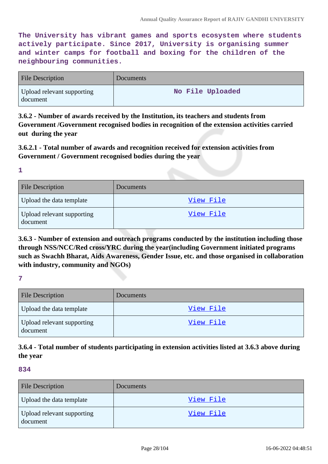**The University has vibrant games and sports ecosystem where students actively participate. Since 2017, University is organising summer and winter camps for football and boxing for the children of the neighbouring communities.**

| <b>File Description</b>                | <b>Documents</b> |
|----------------------------------------|------------------|
| Upload relevant supporting<br>document | No File Uploaded |

**3.6.2 - Number of awards received by the Institution, its teachers and students from Government /Government recognised bodies in recognition of the extension activities carried out during the year**

# **3.6.2.1 - Total number of awards and recognition received for extension activities from Government / Government recognised bodies during the year**

**1**

| <b>File Description</b>                | <b>Documents</b> |
|----------------------------------------|------------------|
| Upload the data template               | View File        |
| Upload relevant supporting<br>document | <u>View File</u> |

**3.6.3 - Number of extension and outreach programs conducted by the institution including those through NSS/NCC/Red cross/YRC during the year(including Government initiated programs such as Swachh Bharat, Aids Awareness, Gender Issue, etc. and those organised in collaboration with industry, community and NGOs)**

**7**

| <b>File Description</b>                | <b>Documents</b> |
|----------------------------------------|------------------|
| Upload the data template               | View File        |
| Upload relevant supporting<br>document | View File        |

# **3.6.4 - Total number of students participating in extension activities listed at 3.6.3 above during the year**

| <b>File Description</b>                | Documents |
|----------------------------------------|-----------|
| Upload the data template               | View File |
| Upload relevant supporting<br>document | View File |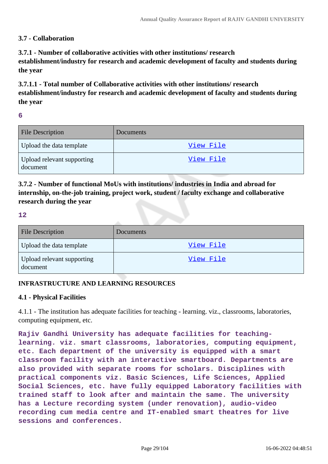### **3.7 - Collaboration**

**3.7.1 - Number of collaborative activities with other institutions/ research establishment/industry for research and academic development of faculty and students during the year**

**3.7.1.1 - Total number of Collaborative activities with other institutions/ research establishment/industry for research and academic development of faculty and students during the year**

**6**

| <b>File Description</b>                | <b>Documents</b> |
|----------------------------------------|------------------|
| Upload the data template               | View File        |
| Upload relevant supporting<br>document | View File        |

**3.7.2 - Number of functional MoUs with institutions/ industries in India and abroad for internship, on-the-job training, project work, student / faculty exchange and collaborative research during the year**

#### **12**

| <b>File Description</b>                | <b>Documents</b> |
|----------------------------------------|------------------|
| Upload the data template               | View File        |
| Upload relevant supporting<br>document | View File        |

### **INFRASTRUCTURE AND LEARNING RESOURCES**

#### **4.1 - Physical Facilities**

4.1.1 - The institution has adequate facilities for teaching - learning. viz., classrooms, laboratories, computing equipment, etc.

**Rajiv Gandhi University has adequate facilities for teachinglearning. viz. smart classrooms, laboratories, computing equipment, etc. Each department of the university is equipped with a smart classroom facility with an interactive smartboard. Departments are also provided with separate rooms for scholars. Disciplines with practical components viz. Basic Sciences, Life Sciences, Applied Social Sciences, etc. have fully equipped Laboratory facilities with trained staff to look after and maintain the same. The university has a Lecture recording system (under renovation), audio-video recording cum media centre and IT-enabled smart theatres for live sessions and conferences.**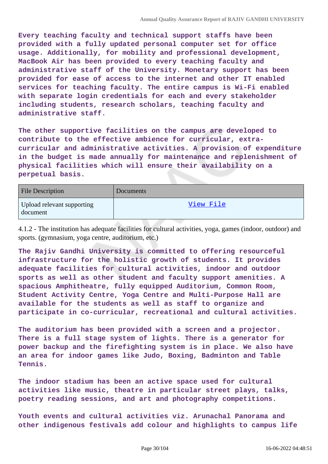**Every teaching faculty and technical support staffs have been provided with a fully updated personal computer set for office usage. Additionally, for mobility and professional development, MacBook Air has been provided to every teaching faculty and administrative staff of the University. Monetary support has been provided for ease of access to the internet and other IT enabled services for teaching faculty. The entire campus is Wi-Fi enabled with separate login credentials for each and every stakeholder including students, research scholars, teaching faculty and administrative staff.**

**The other supportive facilities on the campus are developed to contribute to the effective ambience for curricular, extracurricular and administrative activities. A provision of expenditure in the budget is made annually for maintenance and replenishment of physical facilities which will ensure their availability on a perpetual basis.**

| <b>File Description</b>                | <b>Documents</b> |
|----------------------------------------|------------------|
| Upload relevant supporting<br>document | View File        |

4.1.2 - The institution has adequate facilities for cultural activities, yoga, games (indoor, outdoor) and sports. (gymnasium, yoga centre, auditorium, etc.)

**The Rajiv Gandhi University is committed to offering resourceful infrastructure for the holistic growth of students. It provides adequate facilities for cultural activities, indoor and outdoor sports as well as other student and faculty support amenities. A spacious Amphitheatre, fully equipped Auditorium, Common Room, Student Activity Centre, Yoga Centre and Multi-Purpose Hall are available for the students as well as staff to organize and participate in co-curricular, recreational and cultural activities.**

**The auditorium has been provided with a screen and a projector. There is a full stage system of lights. There is a generator for power backup and the firefighting system is in place. We also have an area for indoor games like Judo, Boxing, Badminton and Table Tennis.**

**The indoor stadium has been an active space used for cultural activities like music, theatre in particular street plays, talks, poetry reading sessions, and art and photography competitions.**

**Youth events and cultural activities viz. Arunachal Panorama and other indigenous festivals add colour and highlights to campus life**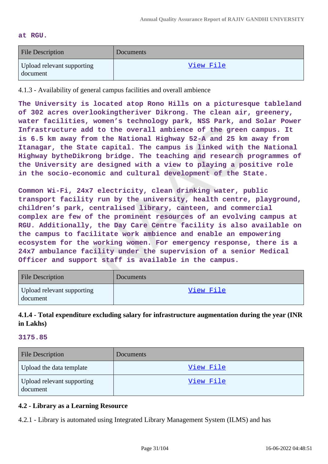#### **at RGU.**

| <b>File Description</b>                | Documents |
|----------------------------------------|-----------|
| Upload relevant supporting<br>document | View File |

4.1.3 - Availability of general campus facilities and overall ambience

**The University is located atop Rono Hills on a picturesque tableland of 302 acres overlookingtheriver Dikrong. The clean air, greenery, water facilities, women's technology park, NSS Park, and Solar Power Infrastructure add to the overall ambience of the green campus. It is 6.5 km away from the National Highway 52-A and 25 km away from Itanagar, the State capital. The campus is linked with the National Highway bytheDikrong bridge. The teaching and research programmes of the University are designed with a view to playing a positive role in the socio-economic and cultural development of the State.**

**Common Wi-Fi, 24x7 electricity, clean drinking water, public transport facility run by the university, health centre, playground, children's park, centralised library, canteen, and commercial complex are few of the prominent resources of an evolving campus at RGU. Additionally, the Day Care Centre facility is also available on the campus to facilitate work ambience and enable an empowering ecosystem for the working women. For emergency response, there is a 24x7 ambulance facility under the supervision of a senior Medical Officer and support staff is available in the campus.**

| <b>File Description</b>                | Documents |
|----------------------------------------|-----------|
| Upload relevant supporting<br>document | View File |

## **4.1.4 - Total expenditure excluding salary for infrastructure augmentation during the year (INR in Lakhs)**

#### **3175.85**

| <b>File Description</b>                | Documents        |
|----------------------------------------|------------------|
| Upload the data template               | View File        |
| Upload relevant supporting<br>document | <u>View File</u> |

### **4.2 - Library as a Learning Resource**

4.2.1 - Library is automated using Integrated Library Management System (ILMS) and has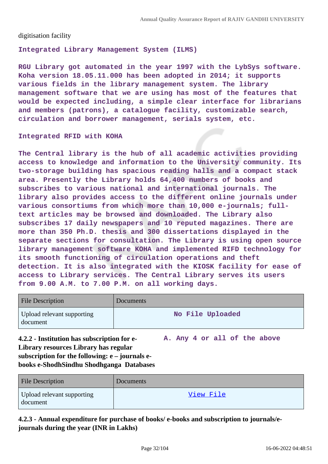digitisation facility

**Integrated Library Management System (ILMS)** 

**RGU Library got automated in the year 1997 with the LybSys software. Koha version 18.05.11.000 has been adopted in 2014; it supports various fields in the library management system. The library management software that we are using has most of the features that would be expected including, a simple clear interface for librarians and members (patrons), a catalogue facility, customizable search, circulation and borrower management, serials system, etc.**

#### **Integrated RFID with KOHA**

**The Central library is the hub of all academic activities providing access to knowledge and information to the University community. Its two-storage building has spacious reading halls and a compact stack area. Presently the Library holds 64,400 numbers of books and subscribes to various national and international journals. The library also provides access to the different online journals under various consortiums from which more than 10,000 e-journals; fulltext articles may be browsed and downloaded. The Library also subscribes 17 daily newspapers and 10 reputed magazines. There are more than 350 Ph.D. thesis and 300 dissertations displayed in the separate sections for consultation. The Library is using open source library management software KOHA and implemented RIFD technology for its smooth functioning of circulation operations and theft detection. It is also integrated with the KIOSK facility for ease of access to Library services. The Central Library serves its users from 9.00 A.M. to 7.00 P.M. on all working days.**

| <b>File Description</b>                | <b>Documents</b> |
|----------------------------------------|------------------|
| Upload relevant supporting<br>document | No File Uploaded |

**4.2.2 - Institution has subscription for e-Library resources Library has regular subscription for the following: e – journals ebooks e-ShodhSindhu Shodhganga Databases A. Any 4 or all of the above**

| <b>File Description</b>                | Documents |
|----------------------------------------|-----------|
| Upload relevant supporting<br>document | View File |

# **4.2.3 - Annual expenditure for purchase of books/ e-books and subscription to journals/ejournals during the year (INR in Lakhs)**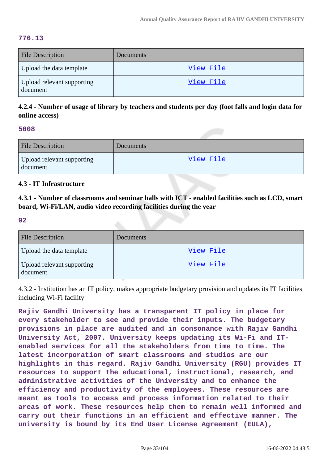#### **776.13**

| <b>File Description</b>                | Documents        |
|----------------------------------------|------------------|
| Upload the data template               | <u>View File</u> |
| Upload relevant supporting<br>document | View File        |

**4.2.4 - Number of usage of library by teachers and students per day (foot falls and login data for online access)**

#### **5008**

| <b>File Description</b>                | Documents |
|----------------------------------------|-----------|
| Upload relevant supporting<br>document | View File |

#### **4.3 - IT Infrastructure**

**4.3.1 - Number of classrooms and seminar halls with ICT - enabled facilities such as LCD, smart board, Wi-Fi/LAN, audio video recording facilities during the year**

#### **92**

| <b>File Description</b>                | <b>Documents</b> |
|----------------------------------------|------------------|
| Upload the data template               | View File        |
| Upload relevant supporting<br>document | View File        |

4.3.2 - Institution has an IT policy, makes appropriate budgetary provision and updates its IT facilities including Wi-Fi facility

**Rajiv Gandhi University has a transparent IT policy in place for every stakeholder to see and provide their inputs. The budgetary provisions in place are audited and in consonance with Rajiv Gandhi University Act, 2007. University keeps updating its Wi-Fi and ITenabled services for all the stakeholders from time to time. The latest incorporation of smart classrooms and studios are our highlights in this regard. Rajiv Gandhi University (RGU) provides IT resources to support the educational, instructional, research, and administrative activities of the University and to enhance the efficiency and productivity of the employees. These resources are meant as tools to access and process information related to their areas of work. These resources help them to remain well informed and carry out their functions in an efficient and effective manner. The university is bound by its End User License Agreement (EULA),**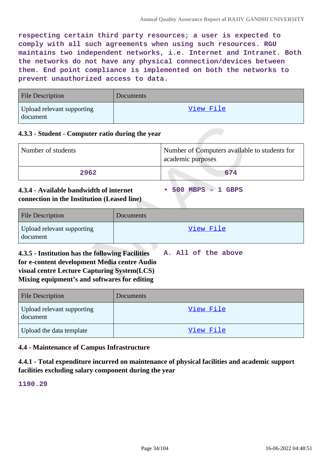**respecting certain third party resources; a user is expected to comply with all such agreements when using such resources. RGU maintains two independent networks, i.e. Internet and Intranet. Both the networks do not have any physical connection/devices between them. End point compliance is implemented on both the networks to prevent unauthorized access to data.**

| <b>File Description</b>                | <b>Documents</b> |
|----------------------------------------|------------------|
| Upload relevant supporting<br>document | View File        |

#### **4.3.3 - Student - Computer ratio during the year**

| Number of students | Number of Computers available to students for<br>academic purposes |
|--------------------|--------------------------------------------------------------------|
| 2962               | 674                                                                |

**• 500 MBPS - 1 GBPS**

### **4.3.4 - Available bandwidth of internet connection in the Institution (Leased line)**

| <b>File Description</b>                | <b>Documents</b> |
|----------------------------------------|------------------|
| Upload relevant supporting<br>document | View File        |

**4.3.5 - Institution has the following Facilities for e-content development Media centre Audio visual centre Lecture Capturing System(LCS) Mixing equipment's and softwares for editing A. All of the above**

| <b>File Description</b>                | <b>Documents</b> |
|----------------------------------------|------------------|
| Upload relevant supporting<br>document | View File        |
| Upload the data template               | View File        |

### **4.4 - Maintenance of Campus Infrastructure**

**4.4.1 - Total expenditure incurred on maintenance of physical facilities and academic support facilities excluding salary component during the year**

**1190.29**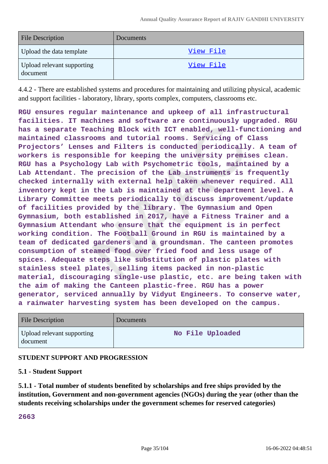| <b>File Description</b>                | <b>Documents</b> |
|----------------------------------------|------------------|
| Upload the data template               | View File        |
| Upload relevant supporting<br>document | View File        |

4.4.2 - There are established systems and procedures for maintaining and utilizing physical, academic and support facilities - laboratory, library, sports complex, computers, classrooms etc.

**RGU ensures regular maintenance and upkeep of all infrastructural facilities. IT machines and software are continuously upgraded. RGU has a separate Teaching Block with ICT enabled, well-functioning and maintained classrooms and tutorial rooms. Servicing of Class Projectors' Lenses and Filters is conducted periodically. A team of workers is responsible for keeping the university premises clean. RGU has a Psychology Lab with Psychometric tools, maintained by a Lab Attendant. The precision of the Lab instruments is frequently checked internally with external help taken whenever required. All inventory kept in the Lab is maintained at the department level. A Library Committee meets periodically to discuss improvement/update of facilities provided by the library. The Gymnasium and Open Gymnasium, both established in 2017, have a Fitness Trainer and a Gymnasium Attendant who ensure that the equipment is in perfect working condition. The Football Ground in RGU is maintained by a team of dedicated gardeners and a groundsman. The canteen promotes consumption of steamed food over fried food and less usage of spices. Adequate steps like substitution of plastic plates with stainless steel plates, selling items packed in non-plastic material, discouraging single-use plastic, etc. are being taken with the aim of making the Canteen plastic-free. RGU has a power generator, serviced annually by Vidyut Engineers. To conserve water, a rainwater harvesting system has been developed on the campus.**

| <b>File Description</b>                | Documents        |
|----------------------------------------|------------------|
| Upload relevant supporting<br>document | No File Uploaded |

### **STUDENT SUPPORT AND PROGRESSION**

#### **5.1 - Student Support**

**5.1.1 - Total number of students benefited by scholarships and free ships provided by the institution, Government and non-government agencies (NGOs) during the year (other than the students receiving scholarships under the government schemes for reserved categories)**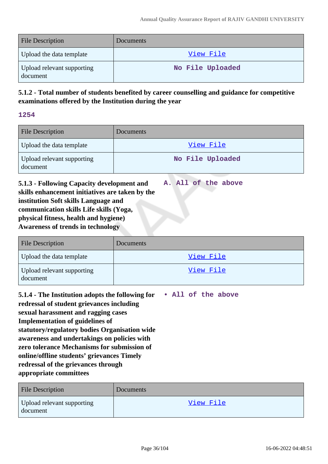| <b>File Description</b>                | <b>Documents</b> |
|----------------------------------------|------------------|
| Upload the data template               | View File        |
| Upload relevant supporting<br>document | No File Uploaded |

# **5.1.2 - Total number of students benefited by career counselling and guidance for competitive examinations offered by the Institution during the year**

**1254**

| <b>File Description</b>                | Documents        |
|----------------------------------------|------------------|
| Upload the data template               | View File        |
| Upload relevant supporting<br>document | No File Uploaded |

**5.1.3 - Following Capacity development and skills enhancement initiatives are taken by the institution Soft skills Language and communication skills Life skills (Yoga, physical fitness, health and hygiene) Awareness of trends in technology A. All of the above**

| <b>File Description</b>                | <b>Documents</b> |
|----------------------------------------|------------------|
| Upload the data template               | View File        |
| Upload relevant supporting<br>document | <u>View File</u> |

**5.1.4 - The Institution adopts the following for redressal of student grievances including sexual harassment and ragging cases Implementation of guidelines of statutory/regulatory bodies Organisation wide awareness and undertakings on policies with zero tolerance Mechanisms for submission of online/offline students' grievances Timely redressal of the grievances through appropriate committees • All of the above**

| <b>File Description</b>                | Documents |
|----------------------------------------|-----------|
| Upload relevant supporting<br>document | View File |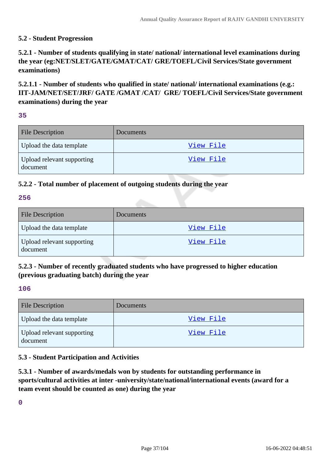## **5.2 - Student Progression**

**5.2.1 - Number of students qualifying in state/ national/ international level examinations during the year (eg:NET/SLET/GATE/GMAT/CAT/ GRE/TOEFL/Civil Services/State government examinations)**

**5.2.1.1 - Number of students who qualified in state/ national/ international examinations (e.g.: IIT-JAM/NET/SET/JRF/ GATE /GMAT /CAT/ GRE/ TOEFL/Civil Services/State government examinations) during the year**

#### **35**

| <b>File Description</b>                | Documents |
|----------------------------------------|-----------|
| Upload the data template               | View File |
| Upload relevant supporting<br>document | View File |

## **5.2.2 - Total number of placement of outgoing students during the year**

#### **256**

| <b>File Description</b>                | Documents |
|----------------------------------------|-----------|
| Upload the data template               | View File |
| Upload relevant supporting<br>document | View File |

## **5.2.3 - Number of recently graduated students who have progressed to higher education (previous graduating batch) during the year**

#### **106**

| <b>File Description</b>                | <b>Documents</b> |
|----------------------------------------|------------------|
| Upload the data template               | <u>View File</u> |
| Upload relevant supporting<br>document | View File        |

#### **5.3 - Student Participation and Activities**

**5.3.1 - Number of awards/medals won by students for outstanding performance in sports/cultural activities at inter -university/state/national/international events (award for a team event should be counted as one) during the year**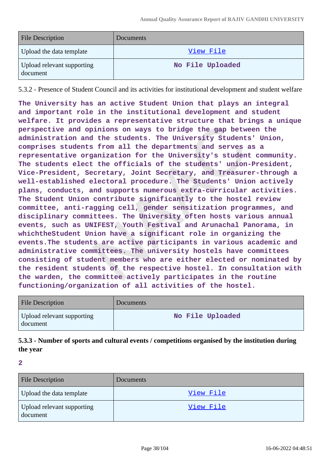| <b>File Description</b>                | <b>Documents</b> |
|----------------------------------------|------------------|
| Upload the data template               | View File        |
| Upload relevant supporting<br>document | No File Uploaded |

5.3.2 - Presence of Student Council and its activities for institutional development and student welfare

**The University has an active Student Union that plays an integral and important role in the institutional development and student welfare. It provides a representative structure that brings a unique perspective and opinions on ways to bridge the gap between the administration and the students. The University Students' Union, comprises students from all the departments and serves as a representative organization for the University's student community. The students elect the officials of the students' union-President, Vice-President, Secretary, Joint Secretary, and Treasurer-through a well-established electoral procedure. The Students' Union actively plans, conducts, and supports numerous extra-curricular activities. The Student Union contribute significantly to the hostel review committee, anti-ragging cell, gender sensitization programmes, and disciplinary committees. The University often hosts various annual events, such as UNIFEST, Youth Festival and Arunachal Panorama, in whichtheStudent Union have a significant role in organizing the events.The students are active participants in various academic and administrative committees. The university hostels have committees consisting of student members who are either elected or nominated by the resident students of the respective hostel. In consultation with the warden, the committee actively participates in the routine functioning/organization of all activities of the hostel.**

| <b>File Description</b>                | Documents        |
|----------------------------------------|------------------|
| Upload relevant supporting<br>document | No File Uploaded |

**5.3.3 - Number of sports and cultural events / competitions organised by the institution during the year**

| <b>File Description</b>                | Documents |
|----------------------------------------|-----------|
| Upload the data template               | View File |
| Upload relevant supporting<br>document | View File |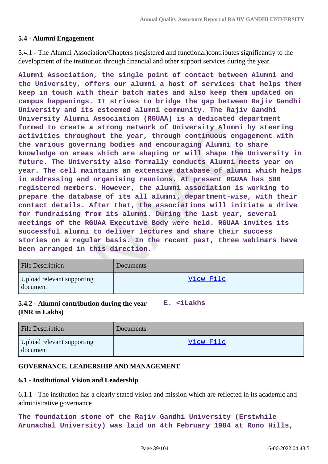## **5.4 - Alumni Engagement**

5.4.1 - The Alumni Association/Chapters (registered and functional)contributes significantly to the development of the institution through financial and other support services during the year

**Alumni Association, the single point of contact between Alumni and the University, offers our alumni a host of services that helps them keep in touch with their batch mates and also keep them updated on campus happenings. It strives to bridge the gap between Rajiv Gandhi University and its esteemed alumni community. The Rajiv Gandhi University Alumni Association (RGUAA) is a dedicated department formed to create a strong network of University Alumni by steering activities throughout the year, through continuous engagement with the various governing bodies and encouraging Alumni to share knowledge on areas which are shaping or will shape the University in future. The University also formally conducts Alumni meets year on year. The cell maintains an extensive database of alumni which helps in addressing and organising reunions. At present RGUAA has 500 registered members. However, the alumni association is working to prepare the database of its all alumni, department-wise, with their contact details. After that, the associations will initiate a drive for fundraising from its alumni. During the last year, several meetings of the RGUAA Executive Body were held. RGUAA invites its successful alumni to deliver lectures and share their success stories on a regular basis. In the recent past, three webinars have been arranged in this direction.**

| <b>File Description</b>                | Documents |
|----------------------------------------|-----------|
| Upload relevant supporting<br>document | View File |

## **5.4.2 - Alumni contribution during the year E. <1Lakhs (INR in Lakhs)**

| <b>File Description</b>                | <b>Documents</b> |
|----------------------------------------|------------------|
| Upload relevant supporting<br>document | View File        |

## **GOVERNANCE, LEADERSHIP AND MANAGEMENT**

## **6.1 - Institutional Vision and Leadership**

6.1.1 - The institution has a clearly stated vision and mission which are reflected in its academic and administrative governance

**The foundation stone of the Rajiv Gandhi University (Erstwhile Arunachal University) was laid on 4th February 1984 at Rono Hills,**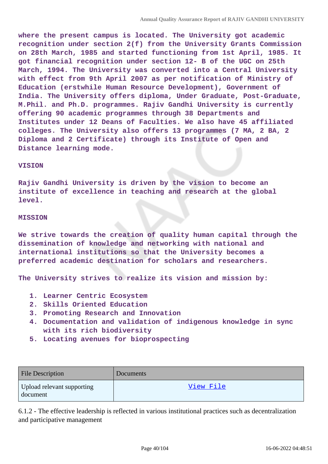**where the present campus is located. The University got academic recognition under section 2(f) from the University Grants Commission on 28th March, 1985 and started functioning from 1st April, 1985. It got financial recognition under section 12- B of the UGC on 25th March, 1994. The University was converted into a Central University with effect from 9th April 2007 as per notification of Ministry of Education (erstwhile Human Resource Development), Government of India. The University offers diploma, Under Graduate, Post-Graduate, M.Phil. and Ph.D. programmes. Rajiv Gandhi University is currently offering 90 academic programmes through 38 Departments and Institutes under 12 Deans of Faculties. We also have 45 affiliated colleges. The University also offers 13 programmes (7 MA, 2 BA, 2 Diploma and 2 Certificate) through its Institute of Open and Distance learning mode.**

#### **VISION**

**Rajiv Gandhi University is driven by the vision to become an institute of excellence in teaching and research at the global level.**

#### **MISSION**

**We strive towards the creation of quality human capital through the dissemination of knowledge and networking with national and international institutions so that the University becomes a preferred academic destination for scholars and researchers.**

**The University strives to realize its vision and mission by:**

- **1. Learner Centric Ecosystem**
- **2. Skills Oriented Education**
- **3. Promoting Research and Innovation**
- **4. Documentation and validation of indigenous knowledge in sync with its rich biodiversity**
- **5. Locating avenues for bioprospecting**

| <b>File Description</b>                | Documents |
|----------------------------------------|-----------|
| Upload relevant supporting<br>document | View File |

6.1.2 - The effective leadership is reflected in various institutional practices such as decentralization and participative management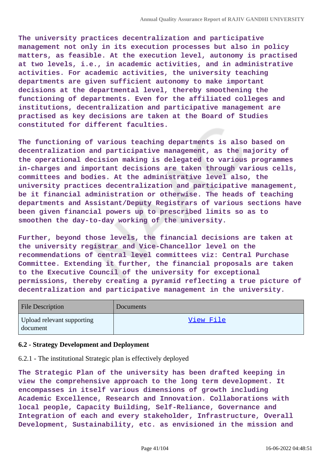**The university practices decentralization and participative management not only in its execution processes but also in policy matters, as feasible. At the execution level, autonomy is practised at two levels, i.e., in academic activities, and in administrative activities. For academic activities, the university teaching departments are given sufficient autonomy to make important decisions at the departmental level, thereby smoothening the functioning of departments. Even for the affiliated colleges and institutions, decentralization and participative management are practised as key decisions are taken at the Board of Studies constituted for different faculties.**

**The functioning of various teaching departments is also based on decentralization and participative management, as the majority of the operational decision making is delegated to various programmes in-charges and important decisions are taken through various cells, committees and bodies. At the administrative level also, the university practices decentralization and participative management, be it financial administration or otherwise. The heads of teaching departments and Assistant/Deputy Registrars of various sections have been given financial powers up to prescribed limits so as to smoothen the day-to-day working of the university.**

**Further, beyond those levels, the financial decisions are taken at the university registrar and Vice-Chancellor level on the recommendations of central level committees viz: Central Purchase Committee. Extending it further, the financial proposals are taken to the Executive Council of the university for exceptional permissions, thereby creating a pyramid reflecting a true picture of decentralization and participative management in the university.**

| <b>File Description</b>                | Documents |
|----------------------------------------|-----------|
| Upload relevant supporting<br>document | View File |

#### **6.2 - Strategy Development and Deployment**

6.2.1 - The institutional Strategic plan is effectively deployed

**The Strategic Plan of the university has been drafted keeping in view the comprehensive approach to the long term development. It encompasses in itself various dimensions of growth including Academic Excellence, Research and Innovation. Collaborations with local people, Capacity Building, Self-Reliance, Governance and Integration of each and every stakeholder, Infrastructure, Overall Development, Sustainability, etc. as envisioned in the mission and**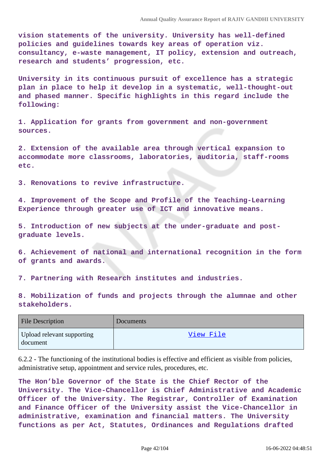**vision statements of the university. University has well-defined policies and guidelines towards key areas of operation viz. consultancy, e-waste management, IT policy, extension and outreach, research and students' progression, etc.**

**University in its continuous pursuit of excellence has a strategic plan in place to help it develop in a systematic, well-thought-out and phased manner. Specific highlights in this regard include the following:**

**1. Application for grants from government and non-government sources.**

**2. Extension of the available area through vertical expansion to accommodate more classrooms, laboratories, auditoria, staff-rooms etc.**

**3. Renovations to revive infrastructure.**

**4. Improvement of the Scope and Profile of the Teaching-Learning Experience through greater use of ICT and innovative means.**

**5. Introduction of new subjects at the under-graduate and postgraduate levels.**

**6. Achievement of national and international recognition in the form of grants and awards.**

**7. Partnering with Research institutes and industries.**

**8. Mobilization of funds and projects through the alumnae and other stakeholders.**

| <b>File Description</b>                | Documents |
|----------------------------------------|-----------|
| Upload relevant supporting<br>document | View File |

6.2.2 - The functioning of the institutional bodies is effective and efficient as visible from policies, administrative setup, appointment and service rules, procedures, etc.

**The Hon'ble Governor of the State is the Chief Rector of the University. The Vice-Chancellor is Chief Administrative and Academic Officer of the University. The Registrar, Controller of Examination and Finance Officer of the University assist the Vice-Chancellor in administrative, examination and financial matters. The University functions as per Act, Statutes, Ordinances and Regulations drafted**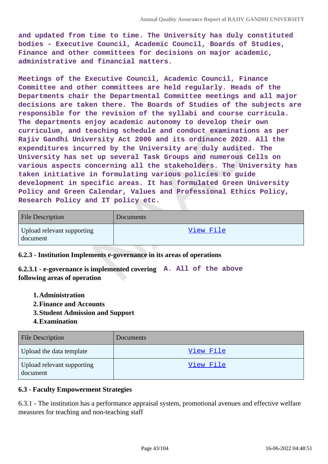**and updated from time to time. The University has duly constituted bodies - Executive Council, Academic Council, Boards of Studies, Finance and other committees for decisions on major academic, administrative and financial matters.**

**Meetings of the Executive Council, Academic Council, Finance Committee and other committees are held regularly. Heads of the Departments chair the Departmental Committee meetings and all major decisions are taken there. The Boards of Studies of the subjects are responsible for the revision of the syllabi and course curricula. The departments enjoy academic autonomy to develop their own curriculum, and teaching schedule and conduct examinations as per Rajiv Gandhi University Act 2006 and its ordinance 2020. All the expenditures incurred by the University are duly audited. The University has set up several Task Groups and numerous Cells on various aspects concerning all the stakeholders. The University has taken initiative in formulating various policies to guide development in specific areas. It has formulated Green University Policy and Green Calendar, Values and Professional Ethics Policy, Research Policy and IT policy etc.**

| <b>File Description</b>                | Documents |
|----------------------------------------|-----------|
| Upload relevant supporting<br>document | View File |

#### **6.2.3 - Institution Implements e-governance in its areas of operations**

**6.2.3.1 - e-governance is implemented covering A. All of the above following areas of operation**

- **1.Administration**
- **2.Finance and Accounts**
- **3.Student Admission and Support**
- **4.Examination**

| <b>File Description</b>                | Documents |
|----------------------------------------|-----------|
| Upload the data template               | View File |
| Upload relevant supporting<br>document | View File |

#### **6.3 - Faculty Empowerment Strategies**

6.3.1 - The institution has a performance appraisal system, promotional avenues and effective welfare measures for teaching and non-teaching staff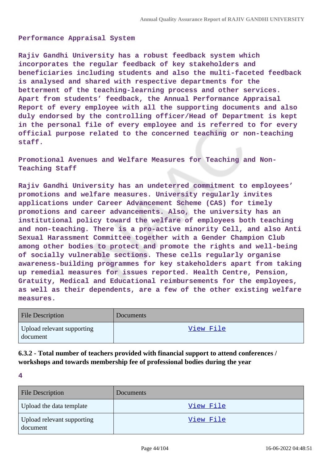#### **Performance Appraisal System**

**Rajiv Gandhi University has a robust feedback system which incorporates the regular feedback of key stakeholders and beneficiaries including students and also the multi-faceted feedback is analysed and shared with respective departments for the betterment of the teaching-learning process and other services. Apart from students' feedback, the Annual Performance Appraisal Report of every employee with all the supporting documents and also duly endorsed by the controlling officer/Head of Department is kept in the personal file of every employee and is referred to for every official purpose related to the concerned teaching or non-teaching staff.**

**Promotional Avenues and Welfare Measures for Teaching and Non-Teaching Staff**

**Rajiv Gandhi University has an undeterred commitment to employees' promotions and welfare measures. University regularly invites applications under Career Advancement Scheme (CAS) for timely promotions and career advancements. Also, the university has an institutional policy toward the welfare of employees both teaching and non-teaching. There is a pro-active minority Cell, and also Anti Sexual Harassment Committee together with a Gender Champion Club among other bodies to protect and promote the rights and well-being of socially vulnerable sections. These cells regularly organise awareness-building programmes for key stakeholders apart from taking up remedial measures for issues reported. Health Centre, Pension, Gratuity, Medical and Educational reimbursements for the employees, as well as their dependents, are a few of the other existing welfare measures.**

| <b>File Description</b>                | Documents |
|----------------------------------------|-----------|
| Upload relevant supporting<br>document | View File |

**6.3.2 - Total number of teachers provided with financial support to attend conferences / workshops and towards membership fee of professional bodies during the year**

| <b>File Description</b>                | Documents |
|----------------------------------------|-----------|
| Upload the data template               | View File |
| Upload relevant supporting<br>document | View File |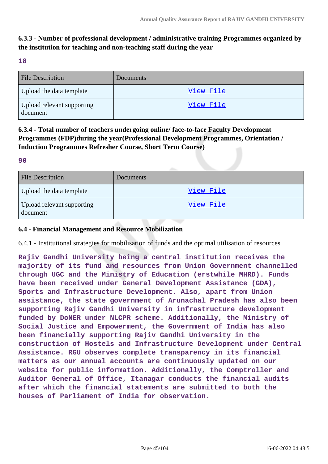## **6.3.3 - Number of professional development / administrative training Programmes organized by the institution for teaching and non-teaching staff during the year**

#### **18**

| <b>File Description</b>                | Documents |
|----------------------------------------|-----------|
| Upload the data template               | View File |
| Upload relevant supporting<br>document | View File |

## **6.3.4 - Total number of teachers undergoing online/ face-to-face Faculty Development Programmes (FDP)during the year(Professional Development Programmes, Orientation / Induction Programmes Refresher Course, Short Term Course)**

#### **90**

| <b>File Description</b>                | <b>Documents</b> |
|----------------------------------------|------------------|
| Upload the data template               | View File        |
| Upload relevant supporting<br>document | View File        |

### **6.4 - Financial Management and Resource Mobilization**

6.4.1 - Institutional strategies for mobilisation of funds and the optimal utilisation of resources

**Rajiv Gandhi University being a central institution receives the majority of its fund and resources from Union Government channelled through UGC and the Ministry of Education (erstwhile MHRD). Funds have been received under General Development Assistance (GDA), Sports and Infrastructure Development. Also, apart from Union assistance, the state government of Arunachal Pradesh has also been supporting Rajiv Gandhi University in infrastructure development funded by DoNER under NLCPR scheme. Additionally, the Ministry of Social Justice and Empowerment, the Government of India has also been financially supporting Rajiv Gandhi University in the construction of Hostels and Infrastructure Development under Central Assistance. RGU observes complete transparency in its financial matters as our annual accounts are continuously updated on our website for public information. Additionally, the Comptroller and Auditor General of Office, Itanagar conducts the financial audits after which the financial statements are submitted to both the houses of Parliament of India for observation.**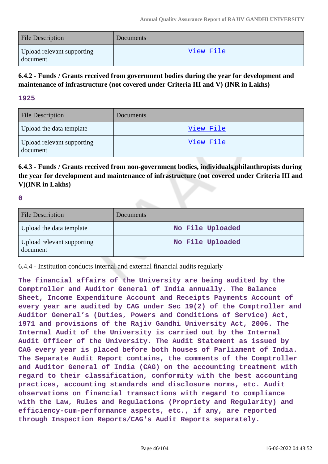| <b>File Description</b>                | Documents |
|----------------------------------------|-----------|
| Upload relevant supporting<br>document | View File |

**6.4.2 - Funds / Grants received from government bodies during the year for development and maintenance of infrastructure (not covered under Criteria III and V) (INR in Lakhs)**

### **1925**

| <b>File Description</b>                | Documents |
|----------------------------------------|-----------|
| Upload the data template               | View File |
| Upload relevant supporting<br>document | View File |

**6.4.3 - Funds / Grants received from non-government bodies, individuals,philanthropists during the year for development and maintenance of infrastructure (not covered under Criteria III and V)(INR in Lakhs)**

**0**

| <b>File Description</b>                | <b>Documents</b> |
|----------------------------------------|------------------|
| Upload the data template               | No File Uploaded |
| Upload relevant supporting<br>document | No File Uploaded |

6.4.4 - Institution conducts internal and external financial audits regularly

**The financial affairs of the University are being audited by the Comptroller and Auditor General of India annually. The Balance Sheet, Income Expenditure Account and Receipts Payments Account of every year are audited by CAG under Sec 19(2) of the Comptroller and Auditor General's (Duties, Powers and Conditions of Service) Act, 1971 and provisions of the Rajiv Gandhi University Act, 2006. The Internal Audit of the University is carried out by the Internal Audit Officer of the University. The Audit Statement as issued by CAG every year is placed before both houses of Parliament of India. The Separate Audit Report contains, the comments of the Comptroller and Auditor General of India (CAG) on the accounting treatment with regard to their classification, conformity with the best accounting practices, accounting standards and disclosure norms, etc. Audit observations on financial transactions with regard to compliance with the Law, Rules and Regulations (Propriety and Regularity) and efficiency-cum-performance aspects, etc., if any, are reported through Inspection Reports/CAG's Audit Reports separately.**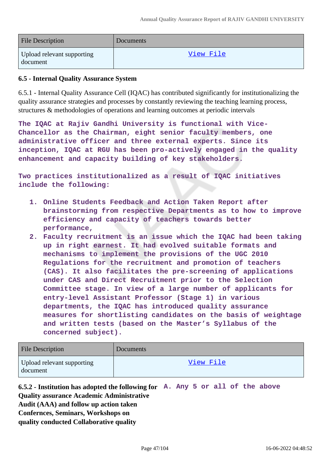| <b>File Description</b>                | <b>Documents</b> |
|----------------------------------------|------------------|
| Upload relevant supporting<br>document | View File        |

### **6.5 - Internal Quality Assurance System**

6.5.1 - Internal Quality Assurance Cell (IQAC) has contributed significantly for institutionalizing the quality assurance strategies and processes by constantly reviewing the teaching learning process, structures & methodologies of operations and learning outcomes at periodic intervals

**The IQAC at Rajiv Gandhi University is functional with Vice-Chancellor as the Chairman, eight senior faculty members, one administrative officer and three external experts. Since its inception, IQAC at RGU has been pro-actively engaged in the quality enhancement and capacity building of key stakeholders.**

**Two practices institutionalized as a result of IQAC initiatives include the following:**

- **1. Online Students Feedback and Action Taken Report after brainstorming from respective Departments as to how to improve efficiency and capacity of teachers towards better performance,**
- **2. Faculty recruitment is an issue which the IQAC had been taking up in right earnest. It had evolved suitable formats and mechanisms to implement the provisions of the UGC 2010 Regulations for the recruitment and promotion of teachers (CAS). It also facilitates the pre-screening of applications under CAS and Direct Recruitment prior to the Selection Committee stage. In view of a large number of applicants for entry-level Assistant Professor (Stage 1) in various departments, the IQAC has introduced quality assurance measures for shortlisting candidates on the basis of weightage and written tests (based on the Master's Syllabus of the concerned subject).**

| <b>File Description</b>                | Documents |
|----------------------------------------|-----------|
| Upload relevant supporting<br>document | View File |

**6.5.2 - Institution has adopted the following for A. Any 5 or all of the above Quality assurance Academic Administrative Audit (AAA) and follow up action taken Confernces, Seminars, Workshops on quality conducted Collaborative quality**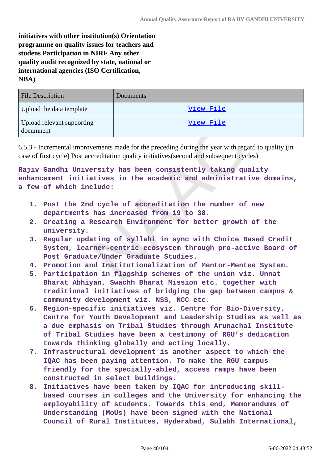**initiatives with other institution(s) Orientation programme on quality issues for teachers and studens Participation in NIRF Any other quality audit recognized by state, national or international agencies (ISO Certification, NBA)**

| <b>File Description</b>                 | <b>Documents</b> |
|-----------------------------------------|------------------|
| Upload the data template                | View File        |
| Upload relevant supporting<br>documnent | View File        |

6.5.3 - Incremental improvements made for the preceding during the year with regard to quality (in case of first cycle) Post accreditation quality initiatives(second and subsequent cycles)

**Rajiv Gandhi University has been consistently taking quality enhancement initiatives in the academic and administrative domains, a few of which include:**

- **1. Post the 2nd cycle of accreditation the number of new departments has increased from 19 to 38.**
- **2. Creating a Research Environment for better growth of the university.**
- **3. Regular updating of syllabi in sync with Choice Based Credit System, learner-centric ecosystem through pro-active Board of Post Graduate/Under Graduate Studies.**
- **4. Promotion and Institutionalization of Mentor-Mentee System.**
- **5. Participation in flagship schemes of the union viz. Unnat Bharat Abhiyan, Swachh Bharat Mission etc. together with traditional initiatives of bridging the gap between campus & community development viz. NSS, NCC etc.**
- **6. Region-specific initiatives viz. Centre for Bio-Diversity, Centre for Youth Development and Leadership Studies as well as a due emphasis on Tribal Studies through Arunachal Institute of Tribal Studies have been a testimony of RGU's dedication towards thinking globally and acting locally.**
- **7. Infrastructural development is another aspect to which the IQAC has been paying attention. To make the RGU campus friendly for the specially-abled, access ramps have been constructed in select buildings.**
- **8. Initiatives have been taken by IQAC for introducing skillbased courses in colleges and the University for enhancing the employability of students. Towards this end, Memorandums of Understanding (MoUs) have been signed with the National Council of Rural Institutes, Hyderabad, Sulabh International,**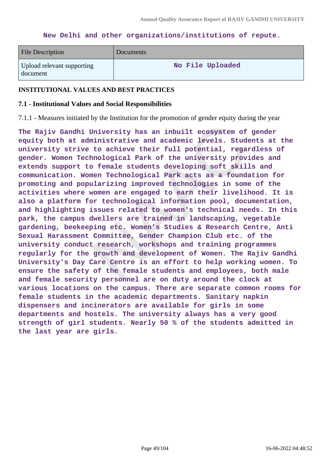#### **New Delhi and other organizations/institutions of repute.**

| <b>File Description</b>                | <b>Documents</b> |
|----------------------------------------|------------------|
| Upload relevant supporting<br>document | No File Uploaded |

#### **INSTITUTIONAL VALUES AND BEST PRACTICES**

#### **7.1 - Institutional Values and Social Responsibilities**

7.1.1 - Measures initiated by the Institution for the promotion of gender equity during the year

**The Rajiv Gandhi University has an inbuilt ecosystem of gender equity both at administrative and academic levels. Students at the university strive to achieve their full potential, regardless of gender. Women Technological Park of the university provides and extends support to female students developing soft skills and communication. Women Technological Park acts as a foundation for promoting and popularizing improved technologies in some of the activities where women are engaged to earn their livelihood. It is also a platform for technological information pool, documentation, and highlighting issues related to women's technical needs. In this park, the campus dwellers are trained in landscaping, vegetable gardening, beekeeping etc. Women's Studies & Research Centre, Anti Sexual Harassment Committee, Gender Champion Club etc. of the university conduct research, workshops and training programmes regularly for the growth and development of Women. The Rajiv Gandhi University's Day Care Centre is an effort to help working women. To ensure the safety of the female students and employees, both male and female security personnel are on duty around the clock at various locations on the campus. There are separate common rooms for female students in the academic departments. Sanitary napkin dispensers and incinerators are available for girls in some departments and hostels. The university always has a very good strength of girl students. Nearly 50 % of the students admitted in the last year are girls.**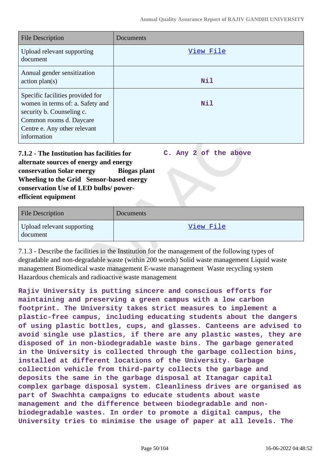**C. Any 2 of the above**

| <b>File Description</b>                                                                                                                                                     | Documents |
|-----------------------------------------------------------------------------------------------------------------------------------------------------------------------------|-----------|
| Upload relevant supporting<br>document                                                                                                                                      | View File |
| Annual gender sensitization<br>action plan(s)                                                                                                                               | Nil       |
| Specific facilities provided for<br>women in terms of: a. Safety and<br>security b. Counseling c.<br>Common rooms d. Daycare<br>Centre e. Any other relevant<br>information | Nil       |

**7.1.2 - The Institution has facilities for alternate sources of energy and energy conservation Solar energy Biogas plant Wheeling to the Grid Sensor-based energy conservation Use of LED bulbs/ powerefficient equipment** 

| <b>File Description</b>                | Documents |
|----------------------------------------|-----------|
| Upload relevant supporting<br>document | View File |

7.1.3 - Describe the facilities in the Institution for the management of the following types of degradable and non-degradable waste (within 200 words) Solid waste management Liquid waste management Biomedical waste management E-waste management Waste recycling system Hazardous chemicals and radioactive waste management

**Rajiv University is putting sincere and conscious efforts for maintaining and preserving a green campus with a low carbon footprint. The University takes strict measures to implement a plastic-free campus, including educating students about the dangers of using plastic bottles, cups, and glasses. Canteens are advised to avoid single use plastics, if there are any plastic wastes, they are disposed of in non-biodegradable waste bins. The garbage generated in the University is collected through the garbage collection bins, installed at different locations of the University. Garbage collection vehicle from third-party collects the garbage and deposits the same in the garbage disposal at Itanagar capital complex garbage disposal system. Cleanliness drives are organised as part of Swachhta campaigns to educate students about waste management and the difference between biodegradable and nonbiodegradable wastes. In order to promote a digital campus, the University tries to minimise the usage of paper at all levels. The**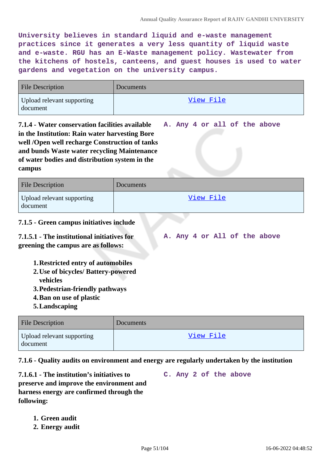**A. Any 4 or all of the above**

**University believes in standard liquid and e-waste management practices since it generates a very less quantity of liquid waste and e-waste. RGU has an E-Waste management policy. Wastewater from the kitchens of hostels, canteens, and guest houses is used to water gardens and vegetation on the university campus.**

| <b>File Description</b>                | Documents |
|----------------------------------------|-----------|
| Upload relevant supporting<br>document | View File |

**7.1.4 - Water conservation facilities available in the Institution: Rain water harvesting Bore well /Open well recharge Construction of tanks and bunds Waste water recycling Maintenance of water bodies and distribution system in the campus**

| <b>File Description</b>                | Documents |
|----------------------------------------|-----------|
| Upload relevant supporting<br>document | View File |

## **7.1.5 - Green campus initiatives include**

**7.1.5.1 - The institutional initiatives for greening the campus are as follows: A. Any 4 or All of the above**

- **1.Restricted entry of automobiles**
- **2.Use of bicycles/ Battery-powered vehicles**
- **3.Pedestrian-friendly pathways**
- **4.Ban on use of plastic**
- **5.Landscaping**

| <b>File Description</b>                | <b>Documents</b> |
|----------------------------------------|------------------|
| Upload relevant supporting<br>document | View File        |

**7.1.6 - Quality audits on environment and energy are regularly undertaken by the institution**

**7.1.6.1 - The institution's initiatives to preserve and improve the environment and harness energy are confirmed through the following: C. Any 2 of the above**

- **1. Green audit**
- **2. Energy audit**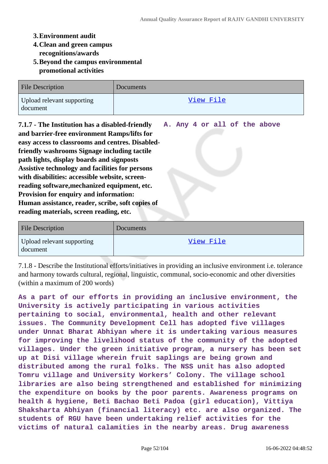### **3.Environment audit**

- **4.Clean and green campus recognitions/awards**
- **5.Beyond the campus environmental promotional activities**

| <b>File Description</b>                | Documents |
|----------------------------------------|-----------|
| Upload relevant supporting<br>document | View File |

**7.1.7 - The Institution has a disabled-friendly and barrier-free environment Ramps/lifts for easy access to classrooms and centres. Disabledfriendly washrooms Signage including tactile path lights, display boards and signposts Assistive technology and facilities for persons with disabilities: accessible website, screenreading software,mechanized equipment, etc. Provision for enquiry and information: Human assistance, reader, scribe, soft copies of reading materials, screen reading, etc. A. Any 4 or all of the above**

| <b>File Description</b>                | Documents |
|----------------------------------------|-----------|
| Upload relevant supporting<br>document | View File |

7.1.8 - Describe the Institutional efforts/initiatives in providing an inclusive environment i.e. tolerance and harmony towards cultural, regional, linguistic, communal, socio-economic and other diversities (within a maximum of 200 words)

**As a part of our efforts in providing an inclusive environment, the University is actively participating in various activities pertaining to social, environmental, health and other relevant issues. The Community Development Cell has adopted five villages under Unnat Bharat Abhiyan where it is undertaking various measures for improving the livelihood status of the community of the adopted villages. Under the green initiative program, a nursery has been set up at Disi village wherein fruit saplings are being grown and distributed among the rural folks. The NSS unit has also adopted Tomru village and University Workers' Colony. The village school libraries are also being strengthened and established for minimizing the expenditure on books by the poor parents. Awareness programs on health & hygiene, Beti Bachao Beti Padoa (girl education), Vittiya Shaksharta Abhiyan (financial literacy) etc. are also organized. The students of RGU have been undertaking relief activities for the victims of natural calamities in the nearby areas. Drug awareness**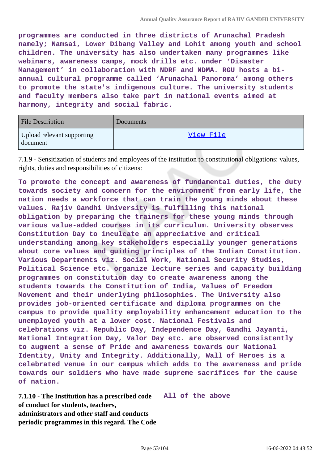**programmes are conducted in three districts of Arunachal Pradesh namely; Namsai, Lower Dibang Valley and Lohit among youth and school children. The university has also undertaken many programmes like webinars, awareness camps, mock drills etc. under 'Disaster Management' in collaboration with NDRF and NDMA. RGU hosts a biannual cultural programme called 'Arunachal Panoroma' among others to promote the state's indigenous culture. The university students and faculty members also take part in national events aimed at harmony, integrity and social fabric.**

| <b>File Description</b>                | <b>Documents</b> |
|----------------------------------------|------------------|
| Upload relevant supporting<br>document | View File        |

7.1.9 - Sensitization of students and employees of the institution to constitutional obligations: values, rights, duties and responsibilities of citizens:

**To promote the concept and awareness of fundamental duties, the duty towards society and concern for the environment from early life, the nation needs a workforce that can train the young minds about these values. Rajiv Gandhi University is fulfilling this national obligation by preparing the trainers for these young minds through various value-added courses in its curriculum. University observes Constitution Day to inculcate an appreciative and critical understanding among key stakeholders especially younger generations about core values and guiding principles of the Indian Constitution. Various Departments viz. Social Work, National Security Studies, Political Science etc. organize lecture series and capacity building programmes on constitution day to create awareness among the students towards the Constitution of India, Values of Freedom Movement and their underlying philosophies. The University also provides job-oriented certificate and diploma programmes on the campus to provide quality employability enhancement education to the unemployed youth at a lower cost. National Festivals and celebrations viz. Republic Day, Independence Day, Gandhi Jayanti, National Integration Day, Valor Day etc. are observed consistently to augment a sense of Pride and awareness towards our National Identity, Unity and Integrity. Additionally, Wall of Heroes is a celebrated venue in our campus which adds to the awareness and pride towards our soldiers who have made supreme sacrifices for the cause of nation.**

**7.1.10 - The Institution has a prescribed code All of the above of conduct for students, teachers, administrators and other staff and conducts periodic programmes in this regard. The Code**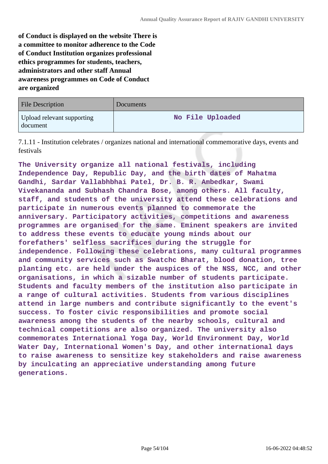**of Conduct is displayed on the website There is a committee to monitor adherence to the Code of Conduct Institution organizes professional ethics programmes for students, teachers, administrators and other staff Annual awareness programmes on Code of Conduct are organized**

| <b>File Description</b>                | Documents        |
|----------------------------------------|------------------|
| Upload relevant supporting<br>document | No File Uploaded |

7.1.11 - Institution celebrates / organizes national and international commemorative days, events and festivals

**The University organize all national festivals, including Independence Day, Republic Day, and the birth dates of Mahatma Gandhi, Sardar Vallabhbhai Patel, Dr. B. R. Ambedkar, Swami Vivekananda and Subhash Chandra Bose, among others. All faculty, staff, and students of the university attend these celebrations and participate in numerous events planned to commemorate the anniversary. Participatory activities, competitions and awareness programmes are organised for the same. Eminent speakers are invited to address these events to educate young minds about our forefathers' selfless sacrifices during the struggle for independence. Following these celebrations, many cultural programmes and community services such as Swatchc Bharat, blood donation, tree planting etc. are held under the auspices of the NSS, NCC, and other organisations, in which a sizable number of students participate. Students and faculty members of the institution also participate in a range of cultural activities. Students from various disciplines attend in large numbers and contribute significantly to the event's success. To foster civic responsibilities and promote social awareness among the students of the nearby schools, cultural and technical competitions are also organized. The university also commemorates International Yoga Day, World Environment Day, World Water Day, International Women's Day, and other international days to raise awareness to sensitize key stakeholders and raise awareness by inculcating an appreciative understanding among future generations.**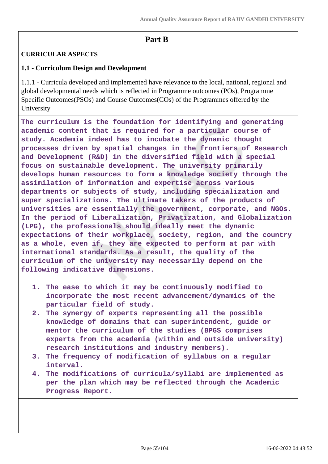## **Part B**

## **CURRICULAR ASPECTS**

## **1.1 - Curriculum Design and Development**

1.1.1 - Curricula developed and implemented have relevance to the local, national, regional and global developmental needs which is reflected in Programme outcomes (POs), Programme Specific Outcomes(PSOs) and Course Outcomes(COs) of the Programmes offered by the University

**The curriculum is the foundation for identifying and generating academic content that is required for a particular course of study. Academia indeed has to incubate the dynamic thought processes driven by spatial changes in the frontiers of Research and Development (R&D) in the diversified field with a special focus on sustainable development. The university primarily develops human resources to form a knowledge society through the assimilation of information and expertise across various departments or subjects of study, including specialization and super specializations. The ultimate takers of the products of universities are essentially the government, corporate, and NGOs. In the period of Liberalization, Privatization, and Globalization (LPG), the professionals should ideally meet the dynamic expectations of their workplace, society, region, and the country as a whole, even if, they are expected to perform at par with international standards. As a result, the quality of the curriculum of the university may necessarily depend on the following indicative dimensions.**

- **1. The ease to which it may be continuously modified to incorporate the most recent advancement/dynamics of the particular field of study.**
- **2. The synergy of experts representing all the possible knowledge of domains that can superintendent, guide or mentor the curriculum of the studies (BPGS comprises experts from the academia (within and outside university) research institutions and industry members).**
- **3. The frequency of modification of syllabus on a regular interval.**
- **4. The modifications of curricula/syllabi are implemented as per the plan which may be reflected through the Academic Progress Report.**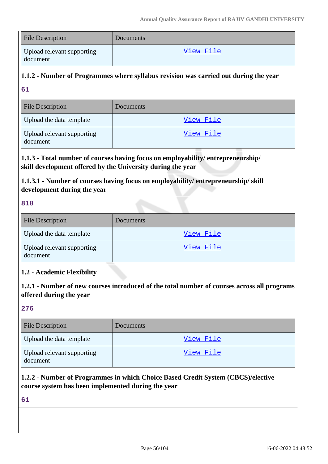| <b>File Description</b>                                                                                                                        | Documents        |  |
|------------------------------------------------------------------------------------------------------------------------------------------------|------------------|--|
| Upload relevant supporting<br>document                                                                                                         | <u>View File</u> |  |
| 1.1.2 - Number of Programmes where syllabus revision was carried out during the year                                                           |                  |  |
| 61                                                                                                                                             |                  |  |
| <b>File Description</b>                                                                                                                        | Documents        |  |
| Upload the data template                                                                                                                       | View File        |  |
| Upload relevant supporting<br>document                                                                                                         | View File        |  |
| 1.1.3 - Total number of courses having focus on employability/entrepreneurship/<br>skill development offered by the University during the year |                  |  |
| 1.1.3.1 - Number of courses having focus on employability/entrepreneurship/skill<br>development during the year                                |                  |  |
| 818                                                                                                                                            |                  |  |
| <b>File Description</b>                                                                                                                        | Documents        |  |
| Upload the data template                                                                                                                       | View File        |  |
| Upload relevant supporting<br>document                                                                                                         | View File        |  |
| 1.2 - Academic Flexibility                                                                                                                     |                  |  |
| 1.2.1 - Number of new courses introduced of the total number of courses across all programs<br>offered during the year                         |                  |  |
| 276                                                                                                                                            |                  |  |
| <b>File Description</b>                                                                                                                        | Documents        |  |
| Upload the data template                                                                                                                       | <u>View File</u> |  |
| Upload relevant supporting<br>document                                                                                                         | <u>View File</u> |  |
| 1.2.2 - Number of Programmes in which Choice Based Credit System (CBCS)/elective<br>course system has been implemented during the year         |                  |  |
|                                                                                                                                                |                  |  |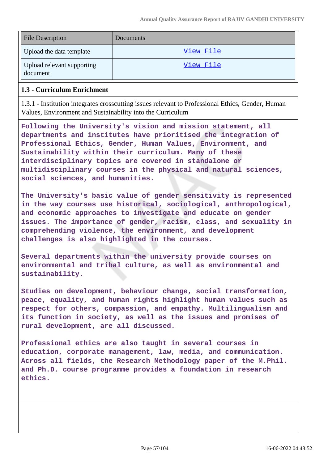| <b>File Description</b>                | Documents |
|----------------------------------------|-----------|
| Upload the data template               | View File |
| Upload relevant supporting<br>document | View File |

### **1.3 - Curriculum Enrichment**

1.3.1 - Institution integrates crosscutting issues relevant to Professional Ethics, Gender, Human Values, Environment and Sustainability into the Curriculum

**Following the University's vision and mission statement, all departments and institutes have prioritised the integration of Professional Ethics, Gender, Human Values, Environment, and Sustainability within their curriculum. Many of these interdisciplinary topics are covered in standalone or multidisciplinary courses in the physical and natural sciences, social sciences, and humanities.**

**The University's basic value of gender sensitivity is represented in the way courses use historical, sociological, anthropological, and economic approaches to investigate and educate on gender issues. The importance of gender, racism, class, and sexuality in comprehending violence, the environment, and development challenges is also highlighted in the courses.**

**Several departments within the university provide courses on environmental and tribal culture, as well as environmental and sustainability.**

**Studies on development, behaviour change, social transformation, peace, equality, and human rights highlight human values such as respect for others, compassion, and empathy. Multilingualism and its function in society, as well as the issues and promises of rural development, are all discussed.**

**Professional ethics are also taught in several courses in education, corporate management, law, media, and communication. Across all fields, the Research Methodology paper of the M.Phil. and Ph.D. course programme provides a foundation in research ethics.**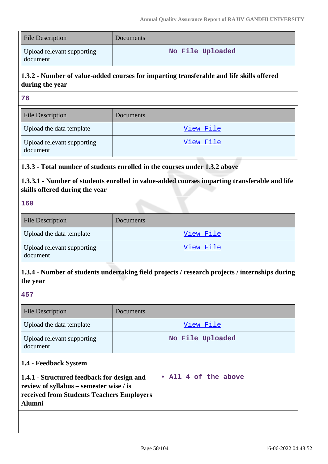| <b>File Description</b>                | Documents        |
|----------------------------------------|------------------|
| Upload relevant supporting<br>document | No File Uploaded |

## **1.3.2 - Number of value-added courses for imparting transferable and life skills offered during the year**

**76**

| File Description                       | Documents |
|----------------------------------------|-----------|
| Upload the data template               | View File |
| Upload relevant supporting<br>document | View File |

## **1.3.3 - Total number of students enrolled in the courses under 1.3.2 above**

**1.3.3.1 - Number of students enrolled in value-added courses imparting transferable and life skills offered during the year**

## **160**

| <b>File Description</b>                | Documents |
|----------------------------------------|-----------|
| Upload the data template               | View File |
| Upload relevant supporting<br>document | View File |

## **1.3.4 - Number of students undertaking field projects / research projects / internships during the year**

#### **457**

| <b>File Description</b>                | Documents        |
|----------------------------------------|------------------|
| Upload the data template               | View File        |
| Upload relevant supporting<br>document | No File Uploaded |

## **1.4 - Feedback System**

| 1.4.1 - Structured feedback for design and | • All 4 of the above |
|--------------------------------------------|----------------------|
| review of syllabus – semester wise / is    |                      |
| received from Students Teachers Employers  |                      |
| <b>Alumni</b>                              |                      |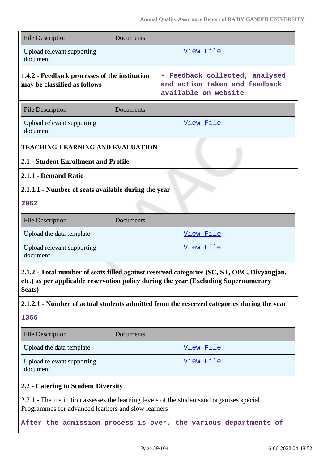| <b>File Description</b>                                                                                                                                                                                                                                                                  | Documents                                                                               |                  |
|------------------------------------------------------------------------------------------------------------------------------------------------------------------------------------------------------------------------------------------------------------------------------------------|-----------------------------------------------------------------------------------------|------------------|
| Upload relevant supporting<br>document                                                                                                                                                                                                                                                   |                                                                                         | View File        |
| 1.4.2 - Feedback processes of the institution<br>may be classified as follows                                                                                                                                                                                                            | • Feedback collected, analysed<br>and action taken and feedback<br>available on website |                  |
| <b>File Description</b>                                                                                                                                                                                                                                                                  | Documents                                                                               |                  |
| Upload relevant supporting<br>document                                                                                                                                                                                                                                                   | <u>View File</u>                                                                        |                  |
| <b>TEACHING-LEARNING AND EVALUATION</b>                                                                                                                                                                                                                                                  |                                                                                         |                  |
| 2.1 - Student Enrollment and Profile                                                                                                                                                                                                                                                     |                                                                                         |                  |
| 2.1.1 - Demand Ratio                                                                                                                                                                                                                                                                     |                                                                                         |                  |
| 2.1.1.1 - Number of seats available during the year                                                                                                                                                                                                                                      |                                                                                         |                  |
| 2062                                                                                                                                                                                                                                                                                     |                                                                                         |                  |
| <b>File Description</b>                                                                                                                                                                                                                                                                  | Documents                                                                               |                  |
| Upload the data template                                                                                                                                                                                                                                                                 | View File                                                                               |                  |
| Upload relevant supporting<br>document                                                                                                                                                                                                                                                   |                                                                                         | <u>View File</u> |
| 2.1.2 - Total number of seats filled against reserved categories (SC, ST, OBC, Divyangjan,<br>etc.) as per applicable reservation policy during the year (Excluding Supernumerary<br>Seats)<br>2.1.2.1 - Number of actual students admitted from the reserved categories during the year |                                                                                         |                  |
| 1366                                                                                                                                                                                                                                                                                     |                                                                                         |                  |
| <b>File Description</b>                                                                                                                                                                                                                                                                  | Documents                                                                               |                  |
| Upload the data template                                                                                                                                                                                                                                                                 |                                                                                         | View File        |
| Upload relevant supporting<br>document                                                                                                                                                                                                                                                   |                                                                                         | <u>View File</u> |
| 2.2 - Catering to Student Diversity                                                                                                                                                                                                                                                      |                                                                                         |                  |
| 2.2.1 - The institution assesses the learning levels of the students and organises special<br>Programmes for advanced learners and slow learners                                                                                                                                         |                                                                                         |                  |

**After the admission process is over, the various departments of**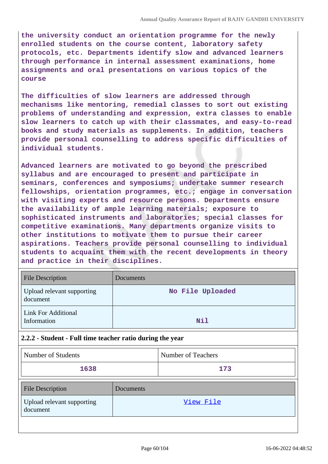**the university conduct an orientation programme for the newly enrolled students on the course content, laboratory safety protocols, etc. Departments identify slow and advanced learners through performance in internal assessment examinations, home assignments and oral presentations on various topics of the course**

**The difficulties of slow learners are addressed through mechanisms like mentoring, remedial classes to sort out existing problems of understanding and expression, extra classes to enable slow learners to catch up with their classmates, and easy-to-read books and study materials as supplements. In addition, teachers provide personal counselling to address specific difficulties of individual students.**

**Advanced learners are motivated to go beyond the prescribed syllabus and are encouraged to present and participate in seminars, conferences and symposiums; undertake summer research fellowships, orientation programmes, etc.; engage in conversation with visiting experts and resource persons. Departments ensure the availability of ample learning materials; exposure to sophisticated instruments and laboratories; special classes for competitive examinations. Many departments organize visits to other institutions to motivate them to pursue their career aspirations. Teachers provide personal counselling to individual students to acquaint them with the recent developments in theory and practice in their disciplines.**

| <b>File Description</b>                   | Documents        |
|-------------------------------------------|------------------|
| Upload relevant supporting<br>document    | No File Uploaded |
| <b>Link For Additional</b><br>Information | Nil              |

## **2.2.2 - Student - Full time teacher ratio during the year**

| Number of Students | Number of Teachers |
|--------------------|--------------------|
| 1638               | 173                |

| <b>File Description</b>                | Documents |
|----------------------------------------|-----------|
| Upload relevant supporting<br>document | View File |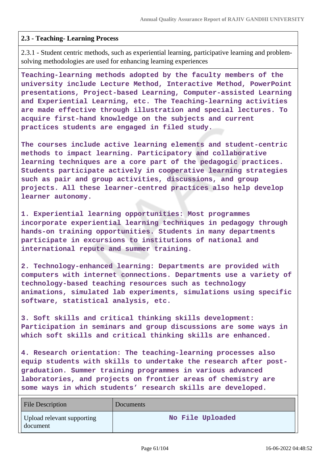### **2.3 - Teaching- Learning Process**

2.3.1 - Student centric methods, such as experiential learning, participative learning and problemsolving methodologies are used for enhancing learning experiences

**Teaching-learning methods adopted by the faculty members of the university include Lecture Method, Interactive Method, PowerPoint presentations, Project-based Learning, Computer-assisted Learning and Experiential Learning, etc. The Teaching-learning activities are made effective through illustration and special lectures. To acquire first-hand knowledge on the subjects and current practices students are engaged in filed study.**

**The courses include active learning elements and student-centric methods to impact learning. Participatory and collaborative learning techniques are a core part of the pedagogic practices. Students participate actively in cooperative learning strategies such as pair and group activities, discussions, and group projects. All these learner-centred practices also help develop learner autonomy.**

**1. Experiential learning opportunities: Most programmes incorporate experiential learning techniques in pedagogy through hands-on training opportunities. Students in many departments participate in excursions to institutions of national and international repute and summer training.**

**2. Technology-enhanced learning: Departments are provided with computers with internet connections. Departments use a variety of technology-based teaching resources such as technology animations, simulated lab experiments, simulations using specific software, statistical analysis, etc.**

**3. Soft skills and critical thinking skills development: Participation in seminars and group discussions are some ways in which soft skills and critical thinking skills are enhanced.**

**4. Research orientation: The teaching-learning processes also equip students with skills to undertake the research after postgraduation. Summer training programmes in various advanced laboratories, and projects on frontier areas of chemistry are some ways in which students' research skills are developed.**

| File Description                       | Documents        |
|----------------------------------------|------------------|
| Upload relevant supporting<br>document | No File Uploaded |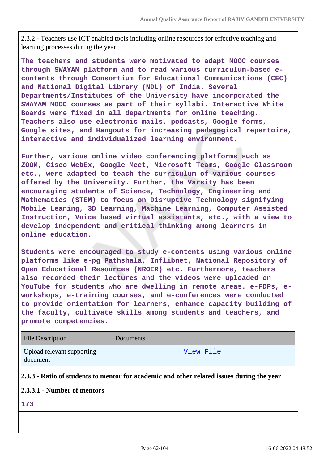2.3.2 - Teachers use ICT enabled tools including online resources for effective teaching and learning processes during the year

**The teachers and students were motivated to adapt MOOC courses through SWAYAM platform and to read various curriculum-based econtents through Consortium for Educational Communications (CEC) and National Digital Library (NDL) of India. Several Departments/Institutes of the University have incorporated the SWAYAM MOOC courses as part of their syllabi. Interactive White Boards were fixed in all departments for online teaching. Teachers also use electronic mails, podcasts, Google forms, Google sites, and Hangouts for increasing pedagogical repertoire, interactive and individualized learning environment.**

**Further, various online video conferencing platforms such as ZOOM, Cisco WebEx, Google Meet, Microsoft Teams, Google Classroom etc., were adapted to teach the curriculum of various courses offered by the University. Further, the Varsity has been encouraging students of Science, Technology, Engineering and Mathematics (STEM) to focus on Disruptive Technology signifying Mobile Leaning, 3D Learning, Machine Learning, Computer Assisted Instruction, Voice based virtual assistants, etc., with a view to develop independent and critical thinking among learners in online education.**

**Students were encouraged to study e-contents using various online platforms like e-pg Pathshala, Inflibnet, National Repository of Open Educational Resources (NROER) etc. Furthermore, teachers also recorded their lectures and the videos were uploaded on YouTube for students who are dwelling in remote areas. e-FDPs, eworkshops, e-training courses, and e-conferences were conducted to provide orientation for learners, enhance capacity building of the faculty, cultivate skills among students and teachers, and promote competencies.**

| File Description                       | Documents |
|----------------------------------------|-----------|
| Upload relevant supporting<br>document | View File |

#### **2.3.3 - Ratio of students to mentor for academic and other related issues during the year**

## **2.3.3.1 - Number of mentors**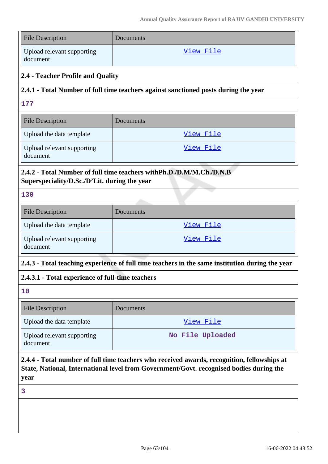| <b>File Description</b>                                                                                                                                                                        | Documents        |  |
|------------------------------------------------------------------------------------------------------------------------------------------------------------------------------------------------|------------------|--|
| Upload relevant supporting<br>document                                                                                                                                                         | View File        |  |
| 2.4 - Teacher Profile and Quality                                                                                                                                                              |                  |  |
| 2.4.1 - Total Number of full time teachers against sanctioned posts during the year                                                                                                            |                  |  |
| 177                                                                                                                                                                                            |                  |  |
| <b>File Description</b>                                                                                                                                                                        | Documents        |  |
| Upload the data template                                                                                                                                                                       | View File        |  |
| Upload relevant supporting<br>document                                                                                                                                                         | View File        |  |
| 2.4.2 - Total Number of full time teachers with Ph.D./D.M/M.Ch./D.N.B<br>Superspeciality/D.Sc./D'Lit. during the year                                                                          |                  |  |
| 130                                                                                                                                                                                            |                  |  |
| <b>File Description</b>                                                                                                                                                                        | Documents        |  |
| Upload the data template                                                                                                                                                                       | View File        |  |
| Upload relevant supporting<br>document                                                                                                                                                         | <u>View File</u> |  |
| 2.4.3 - Total teaching experience of full time teachers in the same institution during the year                                                                                                |                  |  |
| 2.4.3.1 - Total experience of full-time teachers                                                                                                                                               |                  |  |
| 10                                                                                                                                                                                             |                  |  |
| <b>File Description</b>                                                                                                                                                                        | Documents        |  |
| Upload the data template                                                                                                                                                                       | View File        |  |
| Upload relevant supporting<br>document                                                                                                                                                         | No File Uploaded |  |
| 2.4.4 - Total number of full time teachers who received awards, recognition, fellowships at<br>State, National, International level from Government/Govt. recognised bodies during the<br>year |                  |  |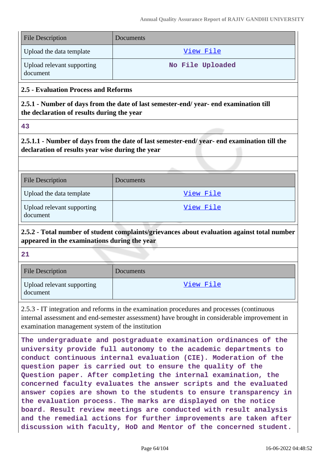| File Description                       | Documents        |
|----------------------------------------|------------------|
| Upload the data template               | View File        |
| Upload relevant supporting<br>document | No File Uploaded |

## **2.5 - Evaluation Process and Reforms**

**2.5.1 - Number of days from the date of last semester-end/ year- end examination till the declaration of results during the year**

**43**

**2.5.1.1 - Number of days from the date of last semester-end/ year- end examination till the declaration of results year wise during the year**

| <b>File Description</b>                | Documents |
|----------------------------------------|-----------|
| Upload the data template               | View File |
| Upload relevant supporting<br>document | View File |

**2.5.2 - Total number of student complaints/grievances about evaluation against total number appeared in the examinations during the year**

**21**

| <b>File Description</b>                | <b>Documents</b> |
|----------------------------------------|------------------|
| Upload relevant supporting<br>document | View File        |

2.5.3 - IT integration and reforms in the examination procedures and processes (continuous internal assessment and end-semester assessment) have brought in considerable improvement in examination management system of the institution

**The undergraduate and postgraduate examination ordinances of the university provide full autonomy to the academic departments to conduct continuous internal evaluation (CIE). Moderation of the question paper is carried out to ensure the quality of the Question paper. After completing the internal examination, the concerned faculty evaluates the answer scripts and the evaluated answer copies are shown to the students to ensure transparency in the evaluation process. The marks are displayed on the notice board. Result review meetings are conducted with result analysis and the remedial actions for further improvements are taken after discussion with faculty, HoD and Mentor of the concerned student.**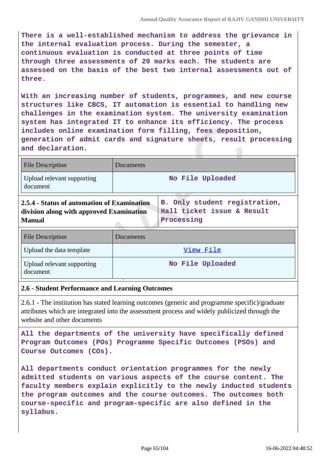**There is a well-established mechanism to address the grievance in the internal evaluation process. During the semester, a continuous evaluation is conducted at three points of time through three assessments of 20 marks each. The students are assessed on the basis of the best two internal assessments out of three.**

**With an increasing number of students, programmes, and new course structures like CBCS, IT automation is essential to handling new challenges in the examination system. The university examination system has integrated IT to enhance its efficiency. The process includes online examination form filling, fees deposition, generation of admit cards and signature sheets, result processing and declaration.**

| <b>File Description</b>                                                                                                                                                                                                                                                                                                                                                                | Documents        |  |
|----------------------------------------------------------------------------------------------------------------------------------------------------------------------------------------------------------------------------------------------------------------------------------------------------------------------------------------------------------------------------------------|------------------|--|
| Upload relevant supporting<br>document                                                                                                                                                                                                                                                                                                                                                 | No File Uploaded |  |
| $\bigcap_{i=1}^n A_i$ and $\bigcap_{i=1}^n A_i$ and $\bigcap_{i=1}^n A_i$ and $\bigcap_{i=1}^n A_i$ and $\bigcap_{i=1}^n A_i$ and $\bigcap_{i=1}^n A_i$ and $\bigcap_{i=1}^n A_i$ and $\bigcap_{i=1}^n A_i$ and $\bigcap_{i=1}^n A_i$ and $\bigcap_{i=1}^n A_i$ and $\bigcap_{i=1}^n A_i$ and $\bigcap_{i=1}^n A$<br>On The material and the computational discovery<br>$\blacksquare$ |                  |  |

| 2.5.4 - Status of automation of Examination   B. Only student registration, |            |
|-----------------------------------------------------------------------------|------------|
| division along with approved Examination   Hall ticket issue & Result       |            |
| <b>Manual</b>                                                               | Processing |

| <b>File Description</b>                | Documents        |
|----------------------------------------|------------------|
| Upload the data template               | View File        |
| Upload relevant supporting<br>document | No File Uploaded |

#### **2.6 - Student Performance and Learning Outcomes**

2.6.1 - The institution has stated learning outcomes (generic and programme specific)/graduate attributes which are integrated into the assessment process and widely publicized through the website and other documents

**All the departments of the university have specifically defined Program Outcomes (POs) Programme Specific Outcomes (PSOs) and Course Outcomes (COs).**

**All departments conduct orientation programmes for the newly admitted students on various aspects of the course content. The faculty members explain explicitly to the newly inducted students the program outcomes and the course outcomes. The outcomes both course-specific and program-specific are also defined in the syllabus.**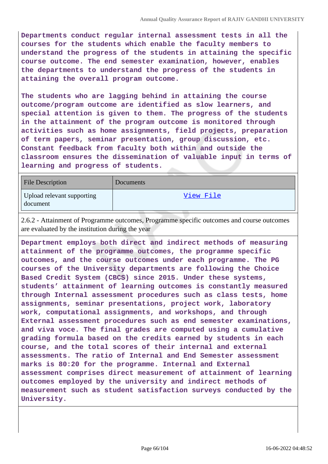**Departments conduct regular internal assessment tests in all the courses for the students which enable the faculty members to understand the progress of the students in attaining the specific course outcome. The end semester examination, however, enables the departments to understand the progress of the students in attaining the overall program outcome.**

**The students who are lagging behind in attaining the course outcome/program outcome are identified as slow learners, and special attention is given to them. The progress of the students in the attainment of the program outcome is monitored through activities such as home assignments, field projects, preparation of term papers, seminar presentation, group discussion, etc. Constant feedback from faculty both within and outside the classroom ensures the dissemination of valuable input in terms of learning and progress of students.**

| File Description                       | Documents |
|----------------------------------------|-----------|
| Upload relevant supporting<br>document | View File |

2.6.2 - Attainment of Programme outcomes, Programme specific outcomes and course outcomes are evaluated by the institution during the year

**Department employs both direct and indirect methods of measuring attainment of the programme outcomes, the programme specific outcomes, and the course outcomes under each programme. The PG courses of the University departments are following the Choice Based Credit System (CBCS) since 2015. Under these systems, students' attainment of learning outcomes is constantly measured through Internal assessment procedures such as class tests, home assignments, seminar presentations, project work, laboratory work, computational assignments, and workshops, and through External assessment procedures such as end semester examinations, and viva voce. The final grades are computed using a cumulative grading formula based on the credits earned by students in each course, and the total scores of their internal and external assessments. The ratio of Internal and End Semester assessment marks is 80:20 for the programme. Internal and External assessment comprises direct measurement of attainment of learning outcomes employed by the university and indirect methods of measurement such as student satisfaction surveys conducted by the University.**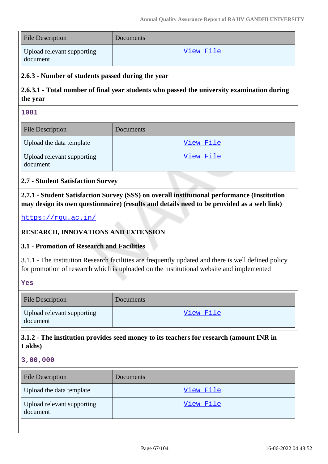| <b>File Description</b>                | Documents |
|----------------------------------------|-----------|
| Upload relevant supporting<br>document | View File |

### **2.6.3 - Number of students passed during the year**

## **2.6.3.1 - Total number of final year students who passed the university examination during the year**

| ×. |         |         |  |
|----|---------|---------|--|
|    | ľ<br>۰, | ۰.<br>w |  |

| <b>File Description</b>                | <b>Documents</b> |
|----------------------------------------|------------------|
| Upload the data template               | View File        |
| Upload relevant supporting<br>document | <u>View File</u> |

## **2.7 - Student Satisfaction Survey**

**2.7.1 - Student Satisfaction Survey (SSS) on overall institutional performance (Institution may design its own questionnaire) (results and details need to be provided as a web link)**

<https://rgu.ac.in/>

## **RESEARCH, INNOVATIONS AND EXTENSION**

## **3.1 - Promotion of Research and Facilities**

3.1.1 - The institution Research facilities are frequently updated and there is well defined policy for promotion of research which is uploaded on the institutional website and implemented

**Yes**

| <b>File Description</b>                | Documents |
|----------------------------------------|-----------|
| Upload relevant supporting<br>document | View File |

## **3.1.2 - The institution provides seed money to its teachers for research (amount INR in Lakhs)**

**3,00,000**

| <b>File Description</b>                | Documents |
|----------------------------------------|-----------|
| Upload the data template               | View File |
| Upload relevant supporting<br>document | View File |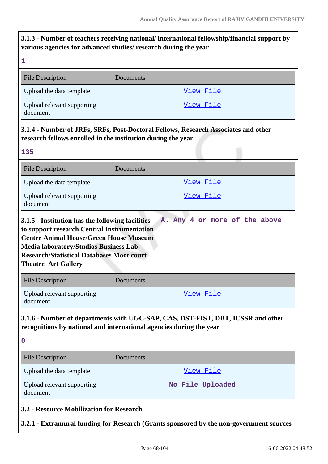# **3.1.3 - Number of teachers receiving national/ international fellowship/financial support by various agencies for advanced studies/ research during the year**

| various agencies for advanced studies/ research during the year                                                                                                                                                                                                                    |                                                                                                                                                        |  |
|------------------------------------------------------------------------------------------------------------------------------------------------------------------------------------------------------------------------------------------------------------------------------------|--------------------------------------------------------------------------------------------------------------------------------------------------------|--|
| 1                                                                                                                                                                                                                                                                                  |                                                                                                                                                        |  |
| <b>File Description</b>                                                                                                                                                                                                                                                            | Documents                                                                                                                                              |  |
| Upload the data template                                                                                                                                                                                                                                                           | View File                                                                                                                                              |  |
| Upload relevant supporting<br>document                                                                                                                                                                                                                                             | <u>View File</u>                                                                                                                                       |  |
| research fellows enrolled in the institution during the year                                                                                                                                                                                                                       | 3.1.4 - Number of JRFs, SRFs, Post-Doctoral Fellows, Research Associates and other                                                                     |  |
| 135                                                                                                                                                                                                                                                                                |                                                                                                                                                        |  |
| <b>File Description</b>                                                                                                                                                                                                                                                            | Documents                                                                                                                                              |  |
| Upload the data template                                                                                                                                                                                                                                                           | <u>View File</u>                                                                                                                                       |  |
| Upload relevant supporting<br>document                                                                                                                                                                                                                                             | <u>View File</u>                                                                                                                                       |  |
| 3.1.5 - Institution has the following facilities<br>to support research Central Instrumentation<br><b>Centre Animal House/Green House Museum</b><br><b>Media laboratory/Studios Business Lab</b><br><b>Research/Statistical Databases Moot court</b><br><b>Theatre Art Gallery</b> | A. Any 4 or more of the above                                                                                                                          |  |
| <b>File Description</b>                                                                                                                                                                                                                                                            | Documents                                                                                                                                              |  |
| Upload relevant supporting<br>document                                                                                                                                                                                                                                             | View File                                                                                                                                              |  |
|                                                                                                                                                                                                                                                                                    | 3.1.6 - Number of departments with UGC-SAP, CAS, DST-FIST, DBT, ICSSR and other<br>recognitions by national and international agencies during the year |  |
| $\boldsymbol{0}$                                                                                                                                                                                                                                                                   |                                                                                                                                                        |  |
| <b>File Description</b>                                                                                                                                                                                                                                                            | Documents                                                                                                                                              |  |
| Upload the data template                                                                                                                                                                                                                                                           | <u>View File</u>                                                                                                                                       |  |

| $\Box$ Upioau the uata template        | VICW FILE        |
|----------------------------------------|------------------|
| Upload relevant supporting<br>document | No File Uploaded |
|                                        |                  |

**3.2 - Resource Mobilization for Research**

**3.2.1 - Extramural funding for Research (Grants sponsored by the non-government sources**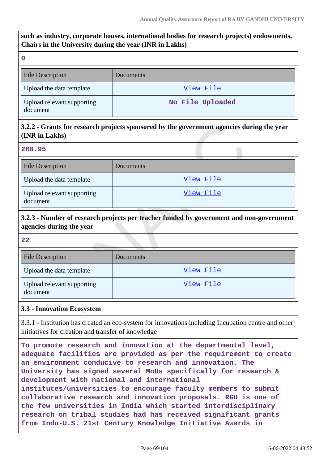## **such as industry, corporate houses, international bodies for research projects) endowments, Chairs in the University during the year (INR in Lakhs)**

|          | w |        |   |
|----------|---|--------|---|
|          |   |        |   |
| Ŷ.<br>M. |   | I<br>٧ | I |

| <b>File Description</b>                | Documents        |
|----------------------------------------|------------------|
| Upload the data template               | View File        |
| Upload relevant supporting<br>document | No File Uploaded |

## **3.2.2 - Grants for research projects sponsored by the government agencies during the year (INR in Lakhs)**

### **280.95**

| <b>File Description</b>                | Documents |
|----------------------------------------|-----------|
| Upload the data template               | View File |
| Upload relevant supporting<br>document | View File |

## **3.2.3 - Number of research projects per teacher funded by government and non-government agencies during the year**

**22**

| <b>File Description</b>                | <b>Documents</b> |
|----------------------------------------|------------------|
| Upload the data template               | View File        |
| Upload relevant supporting<br>document | View File        |

## **3.3 - Innovation Ecosystem**

3.3.1 - Institution has created an eco-system for innovations including Incubation centre and other initiatives for creation and transfer of knowledge

**To promote research and innovation at the departmental level, adequate facilities are provided as per the requirement to create an environment conducive to research and innovation. The University has signed several MoUs specifically for research & development with national and international institutes/universities to encourage faculty members to submit collaborative research and innovation proposals. RGU is one of the few universities in India which started interdisciplinary research on tribal studies had has received significant grants from Indo-U.S. 21st Century Knowledge Initiative Awards in**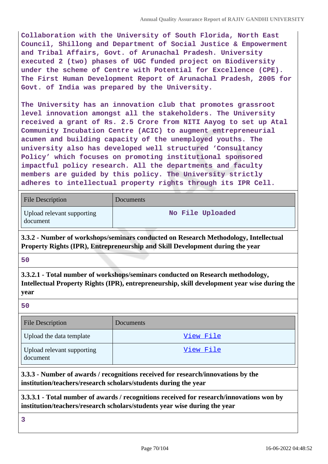**Collaboration with the University of South Florida, North East Council, Shillong and Department of Social Justice & Empowerment and Tribal Affairs, Govt. of Arunachal Pradesh. University executed 2 (two) phases of UGC funded project on Biodiversity under the scheme of Centre with Potential for Excellence (CPE). The First Human Development Report of Arunachal Pradesh, 2005 for Govt. of India was prepared by the University.**

**The University has an innovation club that promotes grassroot level innovation amongst all the stakeholders. The University received a grant of Rs. 2.5 Crore from NITI Aayog to set up Atal Community Incubation Centre (ACIC) to augment entrepreneurial acumen and building capacity of the unemployed youths. The university also has developed well structured 'Consultancy Policy' which focuses on promoting institutional sponsored impactful policy research. All the departments and faculty members are guided by this policy. The University strictly adheres to intellectual property rights through its IPR Cell.**

| <b>File Description</b>                | Documents        |
|----------------------------------------|------------------|
| Upload relevant supporting<br>document | No File Uploaded |

**3.3.2 - Number of workshops/seminars conducted on Research Methodology, Intellectual Property Rights (IPR), Entrepreneurship and Skill Development during the year**

## **50**

**3.3.2.1 - Total number of workshops/seminars conducted on Research methodology, Intellectual Property Rights (IPR), entrepreneurship, skill development year wise during the year**

**50**

| <b>File Description</b>                | <b>Documents</b> |
|----------------------------------------|------------------|
| Upload the data template               | View File        |
| Upload relevant supporting<br>document | View File        |

**3.3.3 - Number of awards / recognitions received for research/innovations by the institution/teachers/research scholars/students during the year**

**3.3.3.1 - Total number of awards / recognitions received for research/innovations won by institution/teachers/research scholars/students year wise during the year**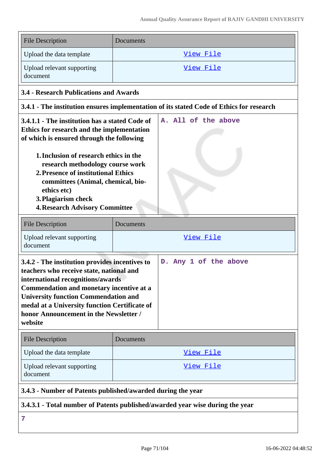| <b>File Description</b>                                                                                                                                                                                                                                                                                                                                                             | Documents                                                                                |
|-------------------------------------------------------------------------------------------------------------------------------------------------------------------------------------------------------------------------------------------------------------------------------------------------------------------------------------------------------------------------------------|------------------------------------------------------------------------------------------|
| Upload the data template                                                                                                                                                                                                                                                                                                                                                            | View File                                                                                |
| Upload relevant supporting<br>document                                                                                                                                                                                                                                                                                                                                              | View File                                                                                |
| <b>3.4 - Research Publications and Awards</b>                                                                                                                                                                                                                                                                                                                                       |                                                                                          |
|                                                                                                                                                                                                                                                                                                                                                                                     | 3.4.1 - The institution ensures implementation of its stated Code of Ethics for research |
| 3.4.1.1 - The institution has a stated Code of<br>Ethics for research and the implementation<br>of which is ensured through the following<br>1. Inclusion of research ethics in the<br>research methodology course work<br>2. Presence of institutional Ethics<br>committees (Animal, chemical, bio-<br>ethics etc)<br>3. Plagiarism check<br><b>4. Research Advisory Committee</b> | A. All of the above                                                                      |
| <b>File Description</b>                                                                                                                                                                                                                                                                                                                                                             | Documents                                                                                |
| Upload relevant supporting<br>document                                                                                                                                                                                                                                                                                                                                              | <u>View File</u>                                                                         |
| 3.4.2 - The institution provides incentives to<br>teachers who receive state, national and<br>international recognitions/awards<br>Commendation and monetary incentive at a<br><b>University function Commendation and</b><br>medal at a University function Certificate of<br>honor Announcement in the Newsletter /<br>website                                                    | D. Any 1 of the above                                                                    |
| <b>File Description</b>                                                                                                                                                                                                                                                                                                                                                             | Documents                                                                                |
| Upload the data template                                                                                                                                                                                                                                                                                                                                                            | View File                                                                                |
| Upload relevant supporting<br>document                                                                                                                                                                                                                                                                                                                                              | <u>View File</u>                                                                         |
| 3.4.3 - Number of Patents published/awarded during the year                                                                                                                                                                                                                                                                                                                         |                                                                                          |

**3.4.3.1 - Total number of Patents published/awarded year wise during the year**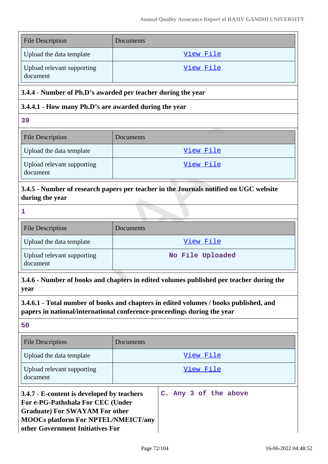| <b>File Description</b>                                                                                                                                                                                    | Documents                                                                                                                                                        |
|------------------------------------------------------------------------------------------------------------------------------------------------------------------------------------------------------------|------------------------------------------------------------------------------------------------------------------------------------------------------------------|
| Upload the data template                                                                                                                                                                                   | View File                                                                                                                                                        |
| Upload relevant supporting                                                                                                                                                                                 | <u>View File</u>                                                                                                                                                 |
| document                                                                                                                                                                                                   |                                                                                                                                                                  |
|                                                                                                                                                                                                            | 3.4.4 - Number of Ph.D's awarded per teacher during the year                                                                                                     |
| 3.4.4.1 - How many Ph.D's are awarded during the year                                                                                                                                                      |                                                                                                                                                                  |
| 39                                                                                                                                                                                                         |                                                                                                                                                                  |
| <b>File Description</b>                                                                                                                                                                                    | Documents                                                                                                                                                        |
| Upload the data template                                                                                                                                                                                   | View File                                                                                                                                                        |
| Upload relevant supporting<br>document                                                                                                                                                                     | <u>View File</u>                                                                                                                                                 |
| during the year                                                                                                                                                                                            | 3.4.5 - Number of research papers per teacher in the Journals notified on UGC website                                                                            |
| 1                                                                                                                                                                                                          |                                                                                                                                                                  |
| <b>File Description</b>                                                                                                                                                                                    | Documents                                                                                                                                                        |
| Upload the data template                                                                                                                                                                                   | <u>View File</u>                                                                                                                                                 |
| Upload relevant supporting<br>document                                                                                                                                                                     | No File Uploaded                                                                                                                                                 |
| year                                                                                                                                                                                                       | 3.4.6 - Number of books and chapters in edited volumes published per teacher during the                                                                          |
|                                                                                                                                                                                                            | 3.4.6.1 - Total number of books and chapters in edited volumes / books published, and<br>papers in national/international conference-proceedings during the year |
| 50                                                                                                                                                                                                         |                                                                                                                                                                  |
| <b>File Description</b>                                                                                                                                                                                    | Documents                                                                                                                                                        |
| Upload the data template                                                                                                                                                                                   | <u>View File</u>                                                                                                                                                 |
| Upload relevant supporting<br>document                                                                                                                                                                     | <u>View File</u>                                                                                                                                                 |
| 3.4.7 - E-content is developed by teachers<br>For e-PG-Pathshala For CEC (Under<br><b>Graduate) For SWAYAM For other</b><br><b>MOOCs platform For NPTEL/NMEICT/any</b><br>other Government Initiatives For | C. Any 3 of the above                                                                                                                                            |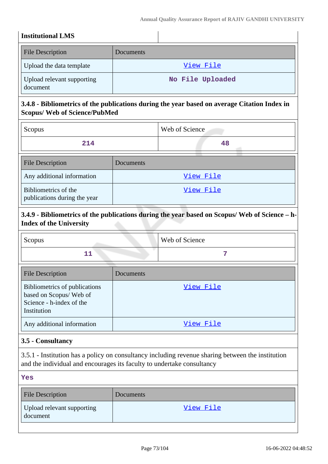## **Institutional LMS**

| <b>File Description</b>                | Documents        |
|----------------------------------------|------------------|
| Upload the data template               | View File        |
| Upload relevant supporting<br>document | No File Uploaded |

# **3.4.8 - Bibliometrics of the publications during the year based on average Citation Index in Scopus/ Web of Science/PubMed**

| Scopus                                               |           | Web of Science |
|------------------------------------------------------|-----------|----------------|
| 214                                                  |           | 48             |
| <b>File Description</b>                              | Documents |                |
| Any additional information                           |           | View File      |
| Bibliometrics of the<br>publications during the year |           | View File      |

## **3.4.9 - Bibliometrics of the publications during the year based on Scopus/ Web of Science – h-Index of the University**

| Scopus | <b>Web of Science</b> |
|--------|-----------------------|
|        |                       |

| <b>File Description</b>                                                                            | Documents |
|----------------------------------------------------------------------------------------------------|-----------|
| Bibliometrics of publications<br>based on Scopus/Web of<br>Science - h-index of the<br>Institution | View File |
| Any additional information                                                                         | View File |

## **3.5 - Consultancy**

3.5.1 - Institution has a policy on consultancy including revenue sharing between the institution and the individual and encourages its faculty to undertake consultancy

| ۰.<br>×<br>. .<br>۰.<br>-<br>., |  |
|---------------------------------|--|
|---------------------------------|--|

| <b>File Description</b>                | Documents |
|----------------------------------------|-----------|
| Upload relevant supporting<br>document | View File |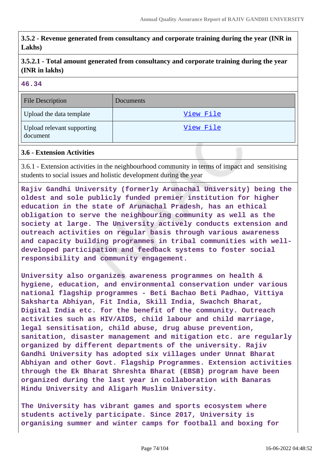**3.5.2 - Revenue generated from consultancy and corporate training during the year (INR in Lakhs)**

**3.5.2.1 - Total amount generated from consultancy and corporate training during the year (INR in lakhs)**

#### **46.34**

| <b>File Description</b>                | Documents        |
|----------------------------------------|------------------|
| Upload the data template               | View File        |
| Upload relevant supporting<br>document | <u>View File</u> |

### **3.6 - Extension Activities**

3.6.1 - Extension activities in the neighbourhood community in terms of impact and sensitising students to social issues and holistic development during the year

**Rajiv Gandhi University (formerly Arunachal University) being the oldest and sole publicly funded premier institution for higher education in the state of Arunachal Pradesh, has an ethical obligation to serve the neighbouring community as well as the society at large. The University actively conducts extension and outreach activities on regular basis through various awareness and capacity building programmes in tribal communities with welldeveloped participation and feedback systems to foster social responsibility and community engagement.**

**University also organizes awareness programmes on health & hygiene, education, and environmental conservation under various national flagship programmes - Beti Bachao Beti Padhao, Vittiya Saksharta Abhiyan, Fit India, Skill India, Swachch Bharat, Digital India etc. for the benefit of the community. Outreach activities such as HIV/AIDS, child labour and child marriage, legal sensitisation, child abuse, drug abuse prevention, sanitation, disaster management and mitigation etc. are regularly organized by different departments of the university. Rajiv Gandhi University has adopted six villages under Unnat Bharat Abhiyan and other Govt. Flagship Programmes. Extension activities through the Ek Bharat Shreshta Bharat (EBSB) program have been organized during the last year in collaboration with Banaras Hindu University and Aligarh Muslim University.**

**The University has vibrant games and sports ecosystem where students actively participate. Since 2017, University is organising summer and winter camps for football and boxing for**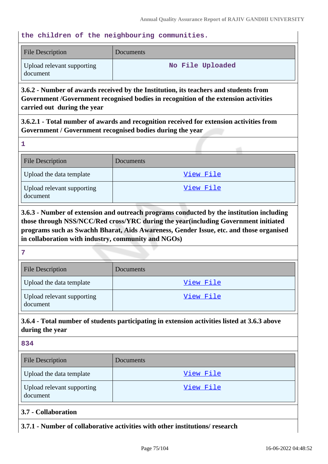### **the children of the neighbouring communities.**

| <b>File Description</b>                | Documents        |
|----------------------------------------|------------------|
| Upload relevant supporting<br>document | No File Uploaded |

**3.6.2 - Number of awards received by the Institution, its teachers and students from Government /Government recognised bodies in recognition of the extension activities carried out during the year**

**3.6.2.1 - Total number of awards and recognition received for extension activities from Government / Government recognised bodies during the year**

| <b>File Description</b>                | Documents |
|----------------------------------------|-----------|
| Upload the data template               | View File |
| Upload relevant supporting<br>document | View File |

**3.6.3 - Number of extension and outreach programs conducted by the institution including those through NSS/NCC/Red cross/YRC during the year(including Government initiated programs such as Swachh Bharat, Aids Awareness, Gender Issue, etc. and those organised in collaboration with industry, community and NGOs)**

**7**

**1**

| <b>File Description</b>                | <b>Documents</b> |
|----------------------------------------|------------------|
| Upload the data template               | View File        |
| Upload relevant supporting<br>document | View File        |

# **3.6.4 - Total number of students participating in extension activities listed at 3.6.3 above during the year**

| ×<br>×<br>۰.<br>×<br>۰.<br>- 3<br>v |  |
|-------------------------------------|--|
|-------------------------------------|--|

| <b>File Description</b>                | Documents |
|----------------------------------------|-----------|
| Upload the data template               | View File |
| Upload relevant supporting<br>document | View File |

- **3.7 Collaboration**
- **3.7.1 Number of collaborative activities with other institutions/ research**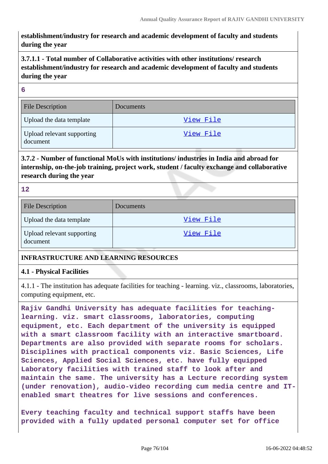**establishment/industry for research and academic development of faculty and students during the year**

# **3.7.1.1 - Total number of Collaborative activities with other institutions/ research establishment/industry for research and academic development of faculty and students during the year**

#### **6**

| <b>File Description</b>                | <b>Documents</b> |
|----------------------------------------|------------------|
| Upload the data template               | View File        |
| Upload relevant supporting<br>document | View File        |

# **3.7.2 - Number of functional MoUs with institutions/ industries in India and abroad for internship, on-the-job training, project work, student / faculty exchange and collaborative research during the year**

**12**

| <b>File Description</b>                | Documents |
|----------------------------------------|-----------|
| Upload the data template               | View File |
| Upload relevant supporting<br>document | View File |

### **INFRASTRUCTURE AND LEARNING RESOURCES**

### **4.1 - Physical Facilities**

4.1.1 - The institution has adequate facilities for teaching - learning. viz., classrooms, laboratories, computing equipment, etc.

**Rajiv Gandhi University has adequate facilities for teachinglearning. viz. smart classrooms, laboratories, computing equipment, etc. Each department of the university is equipped with a smart classroom facility with an interactive smartboard. Departments are also provided with separate rooms for scholars. Disciplines with practical components viz. Basic Sciences, Life Sciences, Applied Social Sciences, etc. have fully equipped Laboratory facilities with trained staff to look after and maintain the same. The university has a Lecture recording system (under renovation), audio-video recording cum media centre and ITenabled smart theatres for live sessions and conferences.**

**Every teaching faculty and technical support staffs have been provided with a fully updated personal computer set for office**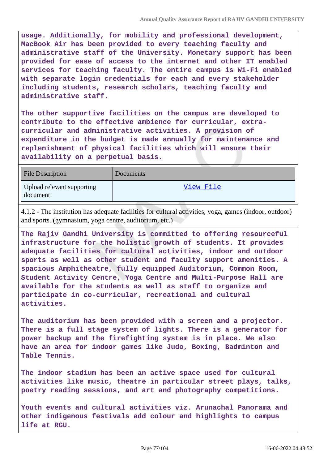**usage. Additionally, for mobility and professional development, MacBook Air has been provided to every teaching faculty and administrative staff of the University. Monetary support has been provided for ease of access to the internet and other IT enabled services for teaching faculty. The entire campus is Wi-Fi enabled with separate login credentials for each and every stakeholder including students, research scholars, teaching faculty and administrative staff.**

**The other supportive facilities on the campus are developed to contribute to the effective ambience for curricular, extracurricular and administrative activities. A provision of expenditure in the budget is made annually for maintenance and replenishment of physical facilities which will ensure their availability on a perpetual basis.**

| <b>File Description</b>                | Documents |
|----------------------------------------|-----------|
| Upload relevant supporting<br>document | View File |

4.1.2 - The institution has adequate facilities for cultural activities, yoga, games (indoor, outdoor) and sports. (gymnasium, yoga centre, auditorium, etc.)

**The Rajiv Gandhi University is committed to offering resourceful infrastructure for the holistic growth of students. It provides adequate facilities for cultural activities, indoor and outdoor sports as well as other student and faculty support amenities. A spacious Amphitheatre, fully equipped Auditorium, Common Room, Student Activity Centre, Yoga Centre and Multi-Purpose Hall are available for the students as well as staff to organize and participate in co-curricular, recreational and cultural activities.**

**The auditorium has been provided with a screen and a projector. There is a full stage system of lights. There is a generator for power backup and the firefighting system is in place. We also have an area for indoor games like Judo, Boxing, Badminton and Table Tennis.**

**The indoor stadium has been an active space used for cultural activities like music, theatre in particular street plays, talks, poetry reading sessions, and art and photography competitions.**

**Youth events and cultural activities viz. Arunachal Panorama and other indigenous festivals add colour and highlights to campus life at RGU.**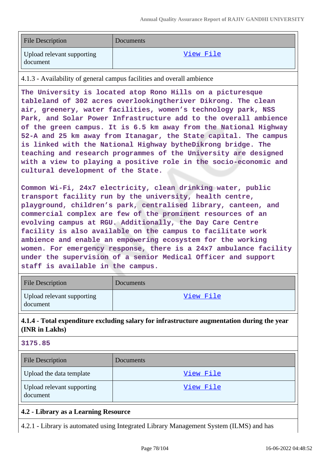| <b>File Description</b>                | Documents |
|----------------------------------------|-----------|
| Upload relevant supporting<br>document | View File |

4.1.3 - Availability of general campus facilities and overall ambience

**The University is located atop Rono Hills on a picturesque tableland of 302 acres overlookingtheriver Dikrong. The clean air, greenery, water facilities, women's technology park, NSS Park, and Solar Power Infrastructure add to the overall ambience of the green campus. It is 6.5 km away from the National Highway 52-A and 25 km away from Itanagar, the State capital. The campus is linked with the National Highway bytheDikrong bridge. The teaching and research programmes of the University are designed with a view to playing a positive role in the socio-economic and cultural development of the State.**

**Common Wi-Fi, 24x7 electricity, clean drinking water, public transport facility run by the university, health centre, playground, children's park, centralised library, canteen, and commercial complex are few of the prominent resources of an evolving campus at RGU. Additionally, the Day Care Centre facility is also available on the campus to facilitate work ambience and enable an empowering ecosystem for the working women. For emergency response, there is a 24x7 ambulance facility under the supervision of a senior Medical Officer and support staff is available in the campus.**

| <b>File Description</b>                | <b>Documents</b> |
|----------------------------------------|------------------|
| Upload relevant supporting<br>document | View File        |

## **4.1.4 - Total expenditure excluding salary for infrastructure augmentation during the year (INR in Lakhs)**

#### **3175.85**

| <b>File Description</b>                | Documents |
|----------------------------------------|-----------|
| Upload the data template               | View File |
| Upload relevant supporting<br>document | View File |

### **4.2 - Library as a Learning Resource**

4.2.1 - Library is automated using Integrated Library Management System (ILMS) and has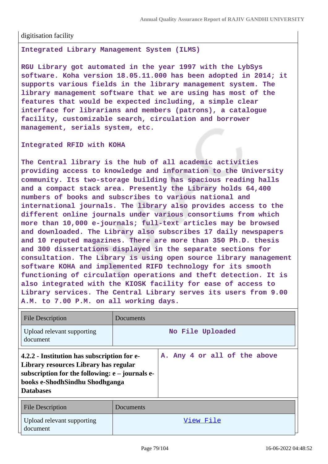digitisation facility

**Integrated Library Management System (ILMS)** 

**RGU Library got automated in the year 1997 with the LybSys software. Koha version 18.05.11.000 has been adopted in 2014; it supports various fields in the library management system. The library management software that we are using has most of the features that would be expected including, a simple clear interface for librarians and members (patrons), a catalogue facility, customizable search, circulation and borrower management, serials system, etc.**

**Integrated RFID with KOHA** 

**The Central library is the hub of all academic activities providing access to knowledge and information to the University community. Its two-storage building has spacious reading halls and a compact stack area. Presently the Library holds 64,400 numbers of books and subscribes to various national and international journals. The library also provides access to the different online journals under various consortiums from which more than 10,000 e-journals; full-text articles may be browsed and downloaded. The Library also subscribes 17 daily newspapers and 10 reputed magazines. There are more than 350 Ph.D. thesis and 300 dissertations displayed in the separate sections for consultation. The Library is using open source library management software KOHA and implemented RIFD technology for its smooth functioning of circulation operations and theft detection. It is also integrated with the KIOSK facility for ease of access to Library services. The Central Library serves its users from 9.00 A.M. to 7.00 P.M. on all working days.**

| File Description                                                                                                                                                                                | Documents        |                              |  |  |  |
|-------------------------------------------------------------------------------------------------------------------------------------------------------------------------------------------------|------------------|------------------------------|--|--|--|
| Upload relevant supporting<br>document                                                                                                                                                          | No File Uploaded |                              |  |  |  |
| 4.2.2 - Institution has subscription for e-<br>Library resources Library has regular<br>subscription for the following: $e$ – journals e-<br>books e-ShodhSindhu Shodhganga<br><b>Databases</b> |                  | A. Any 4 or all of the above |  |  |  |
| <b>File Description</b>                                                                                                                                                                         | Documents        |                              |  |  |  |

| File Description                       | Documents |
|----------------------------------------|-----------|
| Upload relevant supporting<br>document | View File |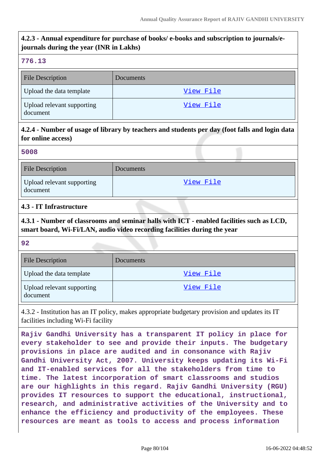# **4.2.3 - Annual expenditure for purchase of books/ e-books and subscription to journals/ejournals during the year (INR in Lakhs)**

#### **776.13**

| <b>File Description</b>                | Documents |
|----------------------------------------|-----------|
| Upload the data template               | View File |
| Upload relevant supporting<br>document | View File |

## **4.2.4 - Number of usage of library by teachers and students per day (foot falls and login data for online access)**

#### **5008**

| <b>File Description</b>                | Documents |
|----------------------------------------|-----------|
| Upload relevant supporting<br>document | View File |

### **4.3 - IT Infrastructure**

**4.3.1 - Number of classrooms and seminar halls with ICT - enabled facilities such as LCD, smart board, Wi-Fi/LAN, audio video recording facilities during the year**

**92**

| <b>File Description</b>                | <b>Documents</b> |
|----------------------------------------|------------------|
| Upload the data template               | View File        |
| Upload relevant supporting<br>document | View File        |

4.3.2 - Institution has an IT policy, makes appropriate budgetary provision and updates its IT facilities including Wi-Fi facility

**Rajiv Gandhi University has a transparent IT policy in place for every stakeholder to see and provide their inputs. The budgetary provisions in place are audited and in consonance with Rajiv Gandhi University Act, 2007. University keeps updating its Wi-Fi and IT-enabled services for all the stakeholders from time to time. The latest incorporation of smart classrooms and studios are our highlights in this regard. Rajiv Gandhi University (RGU) provides IT resources to support the educational, instructional, research, and administrative activities of the University and to enhance the efficiency and productivity of the employees. These resources are meant as tools to access and process information**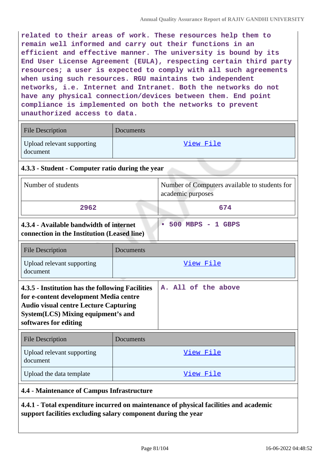**related to their areas of work. These resources help them to remain well informed and carry out their functions in an efficient and effective manner. The university is bound by its End User License Agreement (EULA), respecting certain third party resources; a user is expected to comply with all such agreements when using such resources. RGU maintains two independent networks, i.e. Internet and Intranet. Both the networks do not have any physical connection/devices between them. End point compliance is implemented on both the networks to prevent unauthorized access to data.**

| <b>File Description</b>                | Documents |
|----------------------------------------|-----------|
| Upload relevant supporting<br>document | View File |

## **4.3.3 - Student - Computer ratio during the year**

| Number of students                                                                                                                                                                                         |           | Number of Computers available to students for<br>academic purposes |
|------------------------------------------------------------------------------------------------------------------------------------------------------------------------------------------------------------|-----------|--------------------------------------------------------------------|
| 2962                                                                                                                                                                                                       |           | 674                                                                |
| 4.3.4 - Available bandwidth of internet<br>connection in the Institution (Leased line)                                                                                                                     |           | 500 MBPS - 1 GBPS<br>$\bullet$                                     |
| <b>File Description</b>                                                                                                                                                                                    | Documents |                                                                    |
| Upload relevant supporting<br>document                                                                                                                                                                     | View File |                                                                    |
| 4.3.5 - Institution has the following Facilities<br>for e-content development Media centre<br><b>Audio visual centre Lecture Capturing</b><br>System (LCS) Mixing equipment's and<br>softwares for editing |           | A. All of the above                                                |

| <b>File Description</b>                | Documents |
|----------------------------------------|-----------|
| Upload relevant supporting<br>document | View File |
| Upload the data template               | View File |

### **4.4 - Maintenance of Campus Infrastructure**

**4.4.1 - Total expenditure incurred on maintenance of physical facilities and academic support facilities excluding salary component during the year**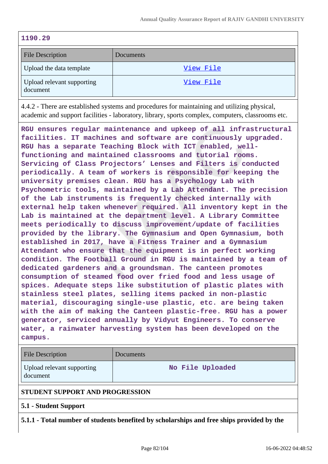| 9<br>O. |
|---------|
|---------|

| <b>File Description</b>                | Documents |
|----------------------------------------|-----------|
| Upload the data template               | View File |
| Upload relevant supporting<br>document | View File |

4.4.2 - There are established systems and procedures for maintaining and utilizing physical, academic and support facilities - laboratory, library, sports complex, computers, classrooms etc.

**RGU ensures regular maintenance and upkeep of all infrastructural facilities. IT machines and software are continuously upgraded. RGU has a separate Teaching Block with ICT enabled, wellfunctioning and maintained classrooms and tutorial rooms. Servicing of Class Projectors' Lenses and Filters is conducted periodically. A team of workers is responsible for keeping the university premises clean. RGU has a Psychology Lab with Psychometric tools, maintained by a Lab Attendant. The precision of the Lab instruments is frequently checked internally with external help taken whenever required. All inventory kept in the Lab is maintained at the department level. A Library Committee meets periodically to discuss improvement/update of facilities provided by the library. The Gymnasium and Open Gymnasium, both established in 2017, have a Fitness Trainer and a Gymnasium Attendant who ensure that the equipment is in perfect working condition. The Football Ground in RGU is maintained by a team of dedicated gardeners and a groundsman. The canteen promotes consumption of steamed food over fried food and less usage of spices. Adequate steps like substitution of plastic plates with stainless steel plates, selling items packed in non-plastic material, discouraging single-use plastic, etc. are being taken with the aim of making the Canteen plastic-free. RGU has a power generator, serviced annually by Vidyut Engineers. To conserve water, a rainwater harvesting system has been developed on the campus.**

| <b>File Description</b>                | Documents        |  |
|----------------------------------------|------------------|--|
| Upload relevant supporting<br>document | No File Uploaded |  |
| STUDENT SUPPORT AND PROGRESSION        |                  |  |
| 5.1 - Student Support                  |                  |  |

**5.1.1 - Total number of students benefited by scholarships and free ships provided by the**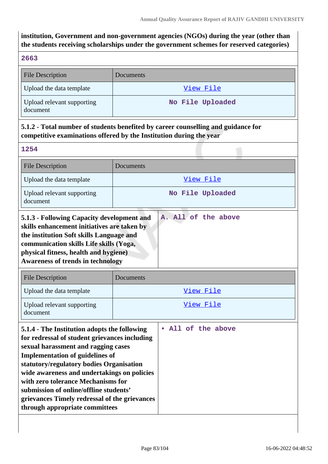**institution, Government and non-government agencies (NGOs) during the year (other than the students receiving scholarships under the government schemes for reserved categories)**

## **2663**

| <b>File Description</b>                | <b>Documents</b> |
|----------------------------------------|------------------|
| Upload the data template               | View File        |
| Upload relevant supporting<br>document | No File Uploaded |

# **5.1.2 - Total number of students benefited by career counselling and guidance for competitive examinations offered by the Institution during the year**

**1254**

| <b>File Description</b>                                                                                                                                                                                                                                                                                                                                                                                                                      | Documents          |  |
|----------------------------------------------------------------------------------------------------------------------------------------------------------------------------------------------------------------------------------------------------------------------------------------------------------------------------------------------------------------------------------------------------------------------------------------------|--------------------|--|
| Upload the data template                                                                                                                                                                                                                                                                                                                                                                                                                     | View File          |  |
| Upload relevant supporting<br>document                                                                                                                                                                                                                                                                                                                                                                                                       | No File Uploaded   |  |
| A. All of the above<br>5.1.3 - Following Capacity development and<br>skills enhancement initiatives are taken by<br>the institution Soft skills Language and<br>communication skills Life skills (Yoga,<br>physical fitness, health and hygiene)<br><b>Awareness of trends in technology</b>                                                                                                                                                 |                    |  |
| <b>File Description</b>                                                                                                                                                                                                                                                                                                                                                                                                                      | Documents          |  |
| Upload the data template                                                                                                                                                                                                                                                                                                                                                                                                                     | View File          |  |
| Upload relevant supporting<br>document                                                                                                                                                                                                                                                                                                                                                                                                       | View File          |  |
| 5.1.4 - The Institution adopts the following<br>for redressal of student grievances including<br>sexual harassment and ragging cases<br><b>Implementation of guidelines of</b><br>statutory/regulatory bodies Organisation<br>wide awareness and undertakings on policies<br>with zero tolerance Mechanisms for<br>submission of online/offline students'<br>grievances Timely redressal of the grievances<br>through appropriate committees | • All of the above |  |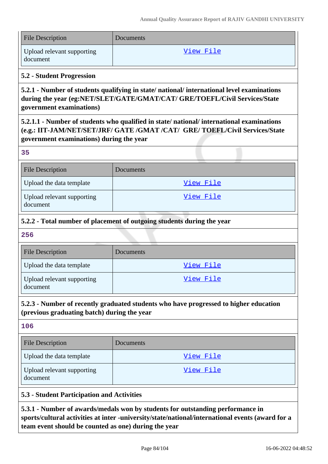| <b>File Description</b>                | Documents |
|----------------------------------------|-----------|
| Upload relevant supporting<br>document | View File |

### **5.2 - Student Progression**

**5.2.1 - Number of students qualifying in state/ national/ international level examinations during the year (eg:NET/SLET/GATE/GMAT/CAT/ GRE/TOEFL/Civil Services/State government examinations)**

**5.2.1.1 - Number of students who qualified in state/ national/ international examinations (e.g.: IIT-JAM/NET/SET/JRF/ GATE /GMAT /CAT/ GRE/ TOEFL/Civil Services/State government examinations) during the year**

#### **35**

| <b>File Description</b>                | Documents |
|----------------------------------------|-----------|
| Upload the data template               | View File |
| Upload relevant supporting<br>document | View File |

## **5.2.2 - Total number of placement of outgoing students during the year**

#### **256**

| <b>File Description</b>                | Documents |
|----------------------------------------|-----------|
| Upload the data template               | View File |
| Upload relevant supporting<br>document | View File |

## **5.2.3 - Number of recently graduated students who have progressed to higher education (previous graduating batch) during the year**

### **106**

| <b>File Description</b>                | Documents |
|----------------------------------------|-----------|
| Upload the data template               | View File |
| Upload relevant supporting<br>document | View File |

### **5.3 - Student Participation and Activities**

**5.3.1 - Number of awards/medals won by students for outstanding performance in sports/cultural activities at inter -university/state/national/international events (award for a team event should be counted as one) during the year**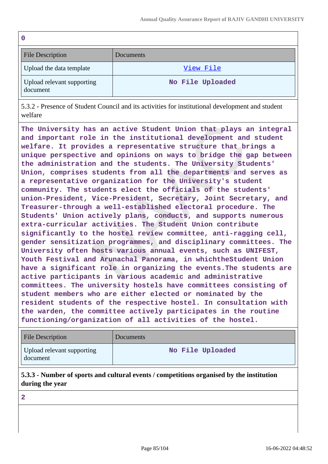| $\mathbf 0$                            |                  |
|----------------------------------------|------------------|
| <b>File Description</b>                | <b>Documents</b> |
| Upload the data template               | View File        |
| Upload relevant supporting<br>document | No File Uploaded |

5.3.2 - Presence of Student Council and its activities for institutional development and student welfare

**The University has an active Student Union that plays an integral and important role in the institutional development and student welfare. It provides a representative structure that brings a unique perspective and opinions on ways to bridge the gap between the administration and the students. The University Students' Union, comprises students from all the departments and serves as a representative organization for the University's student community. The students elect the officials of the students' union-President, Vice-President, Secretary, Joint Secretary, and Treasurer-through a well-established electoral procedure. The Students' Union actively plans, conducts, and supports numerous extra-curricular activities. The Student Union contribute significantly to the hostel review committee, anti-ragging cell, gender sensitization programmes, and disciplinary committees. The University often hosts various annual events, such as UNIFEST, Youth Festival and Arunachal Panorama, in whichtheStudent Union have a significant role in organizing the events.The students are active participants in various academic and administrative committees. The university hostels have committees consisting of student members who are either elected or nominated by the resident students of the respective hostel. In consultation with the warden, the committee actively participates in the routine functioning/organization of all activities of the hostel.**

| <b>File Description</b>                | Documents        |
|----------------------------------------|------------------|
| Upload relevant supporting<br>document | No File Uploaded |

## **5.3.3 - Number of sports and cultural events / competitions organised by the institution during the year**

**2**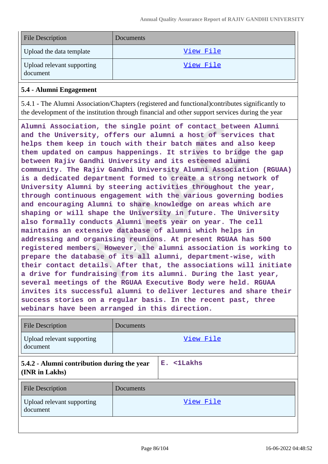| <b>File Description</b>                | Documents |
|----------------------------------------|-----------|
| Upload the data template               | View File |
| Upload relevant supporting<br>document | View File |

### **5.4 - Alumni Engagement**

5.4.1 - The Alumni Association/Chapters (registered and functional)contributes significantly to the development of the institution through financial and other support services during the year

**Alumni Association, the single point of contact between Alumni and the University, offers our alumni a host of services that helps them keep in touch with their batch mates and also keep them updated on campus happenings. It strives to bridge the gap between Rajiv Gandhi University and its esteemed alumni community. The Rajiv Gandhi University Alumni Association (RGUAA) is a dedicated department formed to create a strong network of University Alumni by steering activities throughout the year, through continuous engagement with the various governing bodies and encouraging Alumni to share knowledge on areas which are shaping or will shape the University in future. The University also formally conducts Alumni meets year on year. The cell maintains an extensive database of alumni which helps in addressing and organising reunions. At present RGUAA has 500 registered members. However, the alumni association is working to prepare the database of its all alumni, department-wise, with their contact details. After that, the associations will initiate a drive for fundraising from its alumni. During the last year, several meetings of the RGUAA Executive Body were held. RGUAA invites its successful alumni to deliver lectures and share their success stories on a regular basis. In the recent past, three webinars have been arranged in this direction.**

| <b>File Description</b>                                       | Documents |            |
|---------------------------------------------------------------|-----------|------------|
| Upload relevant supporting<br>document                        |           | View File  |
| 5.4.2 - Alumni contribution during the year<br>(INR in Lakhs) |           | E. <1Lakhs |
| <b>File Description</b>                                       | Documents |            |
| Upload relevant supporting<br>document                        |           | View File  |
|                                                               |           |            |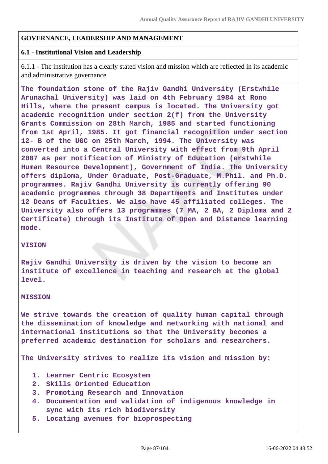### **GOVERNANCE, LEADERSHIP AND MANAGEMENT**

### **6.1 - Institutional Vision and Leadership**

6.1.1 - The institution has a clearly stated vision and mission which are reflected in its academic and administrative governance

**The foundation stone of the Rajiv Gandhi University (Erstwhile Arunachal University) was laid on 4th February 1984 at Rono Hills, where the present campus is located. The University got academic recognition under section 2(f) from the University Grants Commission on 28th March, 1985 and started functioning from 1st April, 1985. It got financial recognition under section 12- B of the UGC on 25th March, 1994. The University was converted into a Central University with effect from 9th April 2007 as per notification of Ministry of Education (erstwhile Human Resource Development), Government of India. The University offers diploma, Under Graduate, Post-Graduate, M.Phil. and Ph.D. programmes. Rajiv Gandhi University is currently offering 90 academic programmes through 38 Departments and Institutes under 12 Deans of Faculties. We also have 45 affiliated colleges. The University also offers 13 programmes (7 MA, 2 BA, 2 Diploma and 2 Certificate) through its Institute of Open and Distance learning mode.**

#### **VISION**

**Rajiv Gandhi University is driven by the vision to become an institute of excellence in teaching and research at the global level.**

#### **MISSION**

**We strive towards the creation of quality human capital through the dissemination of knowledge and networking with national and international institutions so that the University becomes a preferred academic destination for scholars and researchers.**

**The University strives to realize its vision and mission by:**

- **1. Learner Centric Ecosystem**
- **2. Skills Oriented Education**
- **3. Promoting Research and Innovation**
- **4. Documentation and validation of indigenous knowledge in sync with its rich biodiversity**
- **5. Locating avenues for bioprospecting**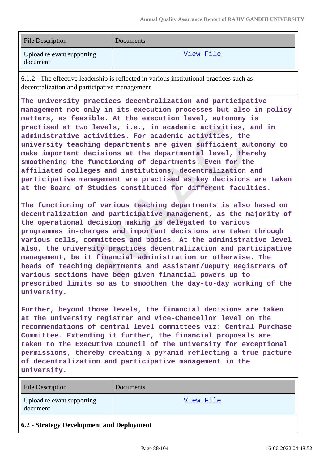| <b>File Description</b>                | Documents |
|----------------------------------------|-----------|
| Upload relevant supporting<br>document | View File |

6.1.2 - The effective leadership is reflected in various institutional practices such as decentralization and participative management

**The university practices decentralization and participative management not only in its execution processes but also in policy matters, as feasible. At the execution level, autonomy is practised at two levels, i.e., in academic activities, and in administrative activities. For academic activities, the university teaching departments are given sufficient autonomy to make important decisions at the departmental level, thereby smoothening the functioning of departments. Even for the affiliated colleges and institutions, decentralization and participative management are practised as key decisions are taken at the Board of Studies constituted for different faculties.**

**The functioning of various teaching departments is also based on decentralization and participative management, as the majority of the operational decision making is delegated to various programmes in-charges and important decisions are taken through various cells, committees and bodies. At the administrative level also, the university practices decentralization and participative management, be it financial administration or otherwise. The heads of teaching departments and Assistant/Deputy Registrars of various sections have been given financial powers up to prescribed limits so as to smoothen the day-to-day working of the university.**

**Further, beyond those levels, the financial decisions are taken at the university registrar and Vice-Chancellor level on the recommendations of central level committees viz: Central Purchase Committee. Extending it further, the financial proposals are taken to the Executive Council of the university for exceptional permissions, thereby creating a pyramid reflecting a true picture of decentralization and participative management in the university.**

| <b>File Description</b>                | Documents |
|----------------------------------------|-----------|
| Upload relevant supporting<br>document | View File |
|                                        |           |

### **6.2 - Strategy Development and Deployment**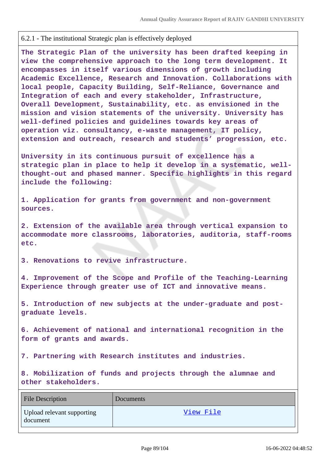### 6.2.1 - The institutional Strategic plan is effectively deployed

**The Strategic Plan of the university has been drafted keeping in view the comprehensive approach to the long term development. It encompasses in itself various dimensions of growth including Academic Excellence, Research and Innovation. Collaborations with local people, Capacity Building, Self-Reliance, Governance and Integration of each and every stakeholder, Infrastructure, Overall Development, Sustainability, etc. as envisioned in the mission and vision statements of the university. University has well-defined policies and guidelines towards key areas of operation viz. consultancy, e-waste management, IT policy, extension and outreach, research and students' progression, etc.**

**University in its continuous pursuit of excellence has a strategic plan in place to help it develop in a systematic, wellthought-out and phased manner. Specific highlights in this regard include the following:**

**1. Application for grants from government and non-government sources.**

**2. Extension of the available area through vertical expansion to accommodate more classrooms, laboratories, auditoria, staff-rooms etc.**

**3. Renovations to revive infrastructure.**

**4. Improvement of the Scope and Profile of the Teaching-Learning Experience through greater use of ICT and innovative means.**

**5. Introduction of new subjects at the under-graduate and postgraduate levels.**

**6. Achievement of national and international recognition in the form of grants and awards.**

**7. Partnering with Research institutes and industries.**

**8. Mobilization of funds and projects through the alumnae and other stakeholders.**

| <b>File Description</b>                | Documents |
|----------------------------------------|-----------|
| Upload relevant supporting<br>document | View File |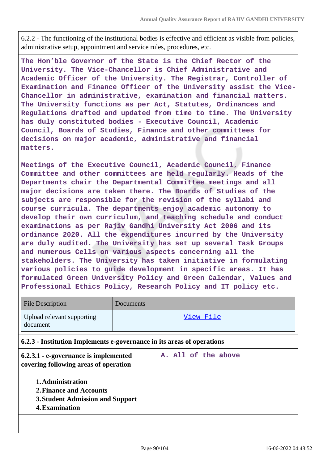6.2.2 - The functioning of the institutional bodies is effective and efficient as visible from policies, administrative setup, appointment and service rules, procedures, etc.

**The Hon'ble Governor of the State is the Chief Rector of the University. The Vice-Chancellor is Chief Administrative and Academic Officer of the University. The Registrar, Controller of Examination and Finance Officer of the University assist the Vice-Chancellor in administrative, examination and financial matters. The University functions as per Act, Statutes, Ordinances and Regulations drafted and updated from time to time. The University has duly constituted bodies - Executive Council, Academic Council, Boards of Studies, Finance and other committees for decisions on major academic, administrative and financial matters.**

**Meetings of the Executive Council, Academic Council, Finance Committee and other committees are held regularly. Heads of the Departments chair the Departmental Committee meetings and all major decisions are taken there. The Boards of Studies of the subjects are responsible for the revision of the syllabi and course curricula. The departments enjoy academic autonomy to develop their own curriculum, and teaching schedule and conduct examinations as per Rajiv Gandhi University Act 2006 and its ordinance 2020. All the expenditures incurred by the University are duly audited. The University has set up several Task Groups and numerous Cells on various aspects concerning all the stakeholders. The University has taken initiative in formulating various policies to guide development in specific areas. It has formulated Green University Policy and Green Calendar, Values and Professional Ethics Policy, Research Policy and IT policy etc.**

| <b>File Description</b>                                                | Documents |
|------------------------------------------------------------------------|-----------|
| Upload relevant supporting<br>document                                 | View File |
| 6.2.3 - Institution Implements e-governance in its areas of operations |           |

| 6.2.3.1 - e-governance is implemented<br>covering following areas of operation                            | A. All of the above |
|-----------------------------------------------------------------------------------------------------------|---------------------|
| 1. Administration<br>2. Finance and Accounts<br><b>3. Student Admission and Support</b><br>4. Examination |                     |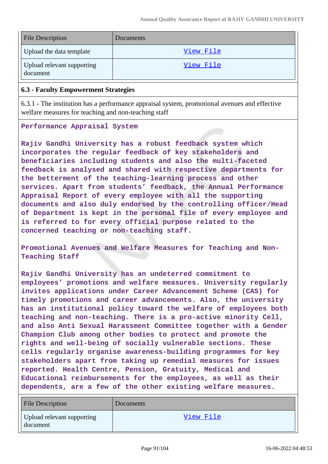| <b>File Description</b>                | <b>Documents</b> |
|----------------------------------------|------------------|
| Upload the data template               | View File        |
| Upload relevant supporting<br>document | View File        |

### **6.3 - Faculty Empowerment Strategies**

6.3.1 - The institution has a performance appraisal system, promotional avenues and effective welfare measures for teaching and non-teaching staff

#### **Performance Appraisal System**

**Rajiv Gandhi University has a robust feedback system which incorporates the regular feedback of key stakeholders and beneficiaries including students and also the multi-faceted feedback is analysed and shared with respective departments for the betterment of the teaching-learning process and other services. Apart from students' feedback, the Annual Performance Appraisal Report of every employee with all the supporting documents and also duly endorsed by the controlling officer/Head of Department is kept in the personal file of every employee and is referred to for every official purpose related to the concerned teaching or non-teaching staff.**

**Promotional Avenues and Welfare Measures for Teaching and Non-Teaching Staff**

**Rajiv Gandhi University has an undeterred commitment to employees' promotions and welfare measures. University regularly invites applications under Career Advancement Scheme (CAS) for timely promotions and career advancements. Also, the university has an institutional policy toward the welfare of employees both teaching and non-teaching. There is a pro-active minority Cell, and also Anti Sexual Harassment Committee together with a Gender Champion Club among other bodies to protect and promote the rights and well-being of socially vulnerable sections. These cells regularly organise awareness-building programmes for key stakeholders apart from taking up remedial measures for issues reported. Health Centre, Pension, Gratuity, Medical and Educational reimbursements for the employees, as well as their dependents, are a few of the other existing welfare measures.**

| File Description                       | Documents |
|----------------------------------------|-----------|
| Upload relevant supporting<br>document | View File |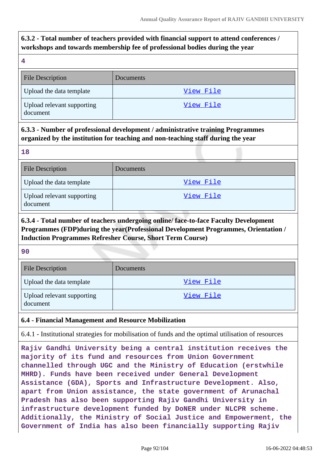# **6.3.2 - Total number of teachers provided with financial support to attend conferences / workshops and towards membership fee of professional bodies during the year**

| <b>File Description</b>                | Documents |
|----------------------------------------|-----------|
| Upload the data template               | View File |
| Upload relevant supporting<br>document | View File |

# **6.3.3 - Number of professional development / administrative training Programmes organized by the institution for teaching and non-teaching staff during the year**

**18** File Description Documents Upload the data template  $\overline{V}$   $\overline{V}$   $\overline{V}$   $\overline{V}$   $\overline{V}$   $\overline{V}$   $\overline{V}$   $\overline{V}$   $\overline{V}$   $\overline{V}$   $\overline{V}$   $\overline{V}$   $\overline{V}$   $\overline{V}$   $\overline{V}$   $\overline{V}$   $\overline{V}$   $\overline{V}$   $\overline{V}$   $\overline{V}$   $\overline{V}$   $\overline{V}$ Upload relevant supporting document [View File](https://assessmentonline.naac.gov.in/storage/app/public/aqar/16138/16138_400_879.pdf?1655378330)

**6.3.4 - Total number of teachers undergoing online/ face-to-face Faculty Development Programmes (FDP)during the year(Professional Development Programmes, Orientation / Induction Programmes Refresher Course, Short Term Course)**

**90**

| <b>File Description</b>                | Documents |
|----------------------------------------|-----------|
| Upload the data template               | View File |
| Upload relevant supporting<br>document | View File |

## **6.4 - Financial Management and Resource Mobilization**

6.4.1 - Institutional strategies for mobilisation of funds and the optimal utilisation of resources

**Rajiv Gandhi University being a central institution receives the majority of its fund and resources from Union Government channelled through UGC and the Ministry of Education (erstwhile MHRD). Funds have been received under General Development Assistance (GDA), Sports and Infrastructure Development. Also, apart from Union assistance, the state government of Arunachal Pradesh has also been supporting Rajiv Gandhi University in infrastructure development funded by DoNER under NLCPR scheme. Additionally, the Ministry of Social Justice and Empowerment, the Government of India has also been financially supporting Rajiv**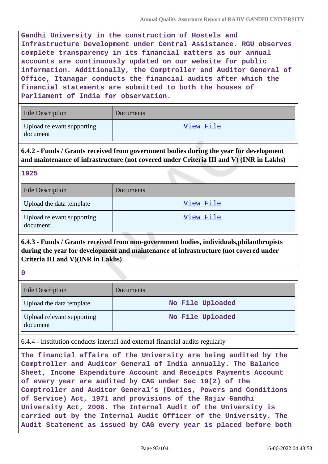**Gandhi University in the construction of Hostels and Infrastructure Development under Central Assistance. RGU observes complete transparency in its financial matters as our annual accounts are continuously updated on our website for public information. Additionally, the Comptroller and Auditor General of Office, Itanagar conducts the financial audits after which the financial statements are submitted to both the houses of Parliament of India for observation.**

| <b>File Description</b>                | <b>Documents</b> |
|----------------------------------------|------------------|
| Upload relevant supporting<br>document | View File        |

**6.4.2 - Funds / Grants received from government bodies during the year for development and maintenance of infrastructure (not covered under Criteria III and V) (INR in Lakhs)**

| <b>File Description</b>                | Documents |
|----------------------------------------|-----------|
| Upload the data template               | View File |
| Upload relevant supporting<br>document | View File |

# **6.4.3 - Funds / Grants received from non-government bodies, individuals,philanthropists during the year for development and maintenance of infrastructure (not covered under Criteria III and V)(INR in Lakhs)**

**0**

| <b>File Description</b>                | Documents        |
|----------------------------------------|------------------|
| Upload the data template               | No File Uploaded |
| Upload relevant supporting<br>document | No File Uploaded |

6.4.4 - Institution conducts internal and external financial audits regularly

**The financial affairs of the University are being audited by the Comptroller and Auditor General of India annually. The Balance Sheet, Income Expenditure Account and Receipts Payments Account of every year are audited by CAG under Sec 19(2) of the Comptroller and Auditor General's (Duties, Powers and Conditions of Service) Act, 1971 and provisions of the Rajiv Gandhi University Act, 2006. The Internal Audit of the University is carried out by the Internal Audit Officer of the University. The Audit Statement as issued by CAG every year is placed before both**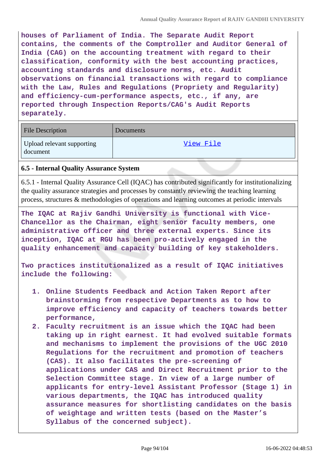**houses of Parliament of India. The Separate Audit Report contains, the comments of the Comptroller and Auditor General of India (CAG) on the accounting treatment with regard to their classification, conformity with the best accounting practices, accounting standards and disclosure norms, etc. Audit observations on financial transactions with regard to compliance with the Law, Rules and Regulations (Propriety and Regularity) and efficiency-cum-performance aspects, etc., if any, are reported through Inspection Reports/CAG's Audit Reports separately.**

| File Description                       | Documents |
|----------------------------------------|-----------|
| Upload relevant supporting<br>document | View File |

## **6.5 - Internal Quality Assurance System**

6.5.1 - Internal Quality Assurance Cell (IQAC) has contributed significantly for institutionalizing the quality assurance strategies and processes by constantly reviewing the teaching learning process, structures & methodologies of operations and learning outcomes at periodic intervals

**The IQAC at Rajiv Gandhi University is functional with Vice-Chancellor as the Chairman, eight senior faculty members, one administrative officer and three external experts. Since its inception, IQAC at RGU has been pro-actively engaged in the quality enhancement and capacity building of key stakeholders.**

**Two practices institutionalized as a result of IQAC initiatives include the following:**

- **1. Online Students Feedback and Action Taken Report after brainstorming from respective Departments as to how to improve efficiency and capacity of teachers towards better performance,**
- **2. Faculty recruitment is an issue which the IQAC had been taking up in right earnest. It had evolved suitable formats and mechanisms to implement the provisions of the UGC 2010 Regulations for the recruitment and promotion of teachers (CAS). It also facilitates the pre-screening of applications under CAS and Direct Recruitment prior to the Selection Committee stage. In view of a large number of applicants for entry-level Assistant Professor (Stage 1) in various departments, the IQAC has introduced quality assurance measures for shortlisting candidates on the basis of weightage and written tests (based on the Master's Syllabus of the concerned subject).**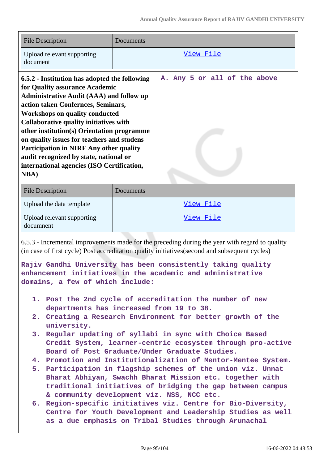| <b>File Description</b>                                                                                                                                                                                                                                                                                                                                                                                                                                                                                                  | Documents                                                  |  |  |
|--------------------------------------------------------------------------------------------------------------------------------------------------------------------------------------------------------------------------------------------------------------------------------------------------------------------------------------------------------------------------------------------------------------------------------------------------------------------------------------------------------------------------|------------------------------------------------------------|--|--|
| Upload relevant supporting<br>document                                                                                                                                                                                                                                                                                                                                                                                                                                                                                   | View File                                                  |  |  |
| 6.5.2 - Institution has adopted the following<br>for Quality assurance Academic<br><b>Administrative Audit (AAA) and follow up</b><br>action taken Confernces, Seminars,<br><b>Workshops on quality conducted</b><br><b>Collaborative quality initiatives with</b><br>other institution(s) Orientation programme<br>on quality issues for teachers and studens<br><b>Participation in NIRF Any other quality</b><br>audit recognized by state, national or<br>international agencies (ISO Certification,<br><b>NBA</b> ) | A. Any 5 or all of the above                               |  |  |
| <b>File Description</b>                                                                                                                                                                                                                                                                                                                                                                                                                                                                                                  | Documents                                                  |  |  |
| Upload the data template                                                                                                                                                                                                                                                                                                                                                                                                                                                                                                 | View File                                                  |  |  |
| Upload relevant supporting<br>documnent                                                                                                                                                                                                                                                                                                                                                                                                                                                                                  | View File                                                  |  |  |
| 6.5.3 - Incremental improvements made for the preceding during the year with regard to quality<br>(in case of first cycle) Post accreditation quality initiatives (second and subsequent cycles)<br>Rajiv Gandhi University has been consistently taking quality                                                                                                                                                                                                                                                         |                                                            |  |  |
| domains, a few of which include:                                                                                                                                                                                                                                                                                                                                                                                                                                                                                         | enhancement initiatives in the academic and administrative |  |  |
| 1. Post the 2nd cycle of accreditation the number of new<br>departments has increased from 19 to 38.<br>2. Creating a Research Environment for better growth of the<br>university.                                                                                                                                                                                                                                                                                                                                       |                                                            |  |  |
| 3. Regular updating of syllabi in sync with Choice Based<br>Credit System, learner-centric ecosystem through pro-active<br>Board of Post Graduate/Under Graduate Studies.                                                                                                                                                                                                                                                                                                                                                |                                                            |  |  |
| 4. Promotion and Institutionalization of Mentor-Mentee System.<br>5. Participation in flagship schemes of the union viz. Unnat<br>Bharat Abhiyan, Swachh Bharat Mission etc. together with<br>traditional initiatives of bridging the gap between campus<br>& community development viz. NSS, NCC etc.<br>6. Region-specific initiatives viz. Centre for Bio-Diversity,                                                                                                                                                  |                                                            |  |  |
| Centre for Youth Development and Leadership Studies as well<br>as a due emphasis on Tribal Studies through Arunachal                                                                                                                                                                                                                                                                                                                                                                                                     |                                                            |  |  |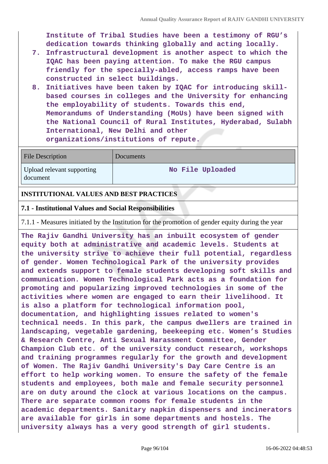**Institute of Tribal Studies have been a testimony of RGU's dedication towards thinking globally and acting locally.**

- **7. Infrastructural development is another aspect to which the IQAC has been paying attention. To make the RGU campus friendly for the specially-abled, access ramps have been constructed in select buildings.**
- **8. Initiatives have been taken by IQAC for introducing skillbased courses in colleges and the University for enhancing the employability of students. Towards this end, Memorandums of Understanding (MoUs) have been signed with the National Council of Rural Institutes, Hyderabad, Sulabh International, New Delhi and other organizations/institutions of repute.**

| <b>File Description</b>                | Documents        |
|----------------------------------------|------------------|
| Upload relevant supporting<br>document | No File Uploaded |

### **INSTITUTIONAL VALUES AND BEST PRACTICES**

#### **7.1 - Institutional Values and Social Responsibilities**

7.1.1 - Measures initiated by the Institution for the promotion of gender equity during the year

**The Rajiv Gandhi University has an inbuilt ecosystem of gender equity both at administrative and academic levels. Students at the university strive to achieve their full potential, regardless of gender. Women Technological Park of the university provides and extends support to female students developing soft skills and communication. Women Technological Park acts as a foundation for promoting and popularizing improved technologies in some of the activities where women are engaged to earn their livelihood. It is also a platform for technological information pool, documentation, and highlighting issues related to women's technical needs. In this park, the campus dwellers are trained in landscaping, vegetable gardening, beekeeping etc. Women's Studies & Research Centre, Anti Sexual Harassment Committee, Gender Champion Club etc. of the university conduct research, workshops and training programmes regularly for the growth and development of Women. The Rajiv Gandhi University's Day Care Centre is an effort to help working women. To ensure the safety of the female students and employees, both male and female security personnel are on duty around the clock at various locations on the campus. There are separate common rooms for female students in the academic departments. Sanitary napkin dispensers and incinerators are available for girls in some departments and hostels. The university always has a very good strength of girl students.**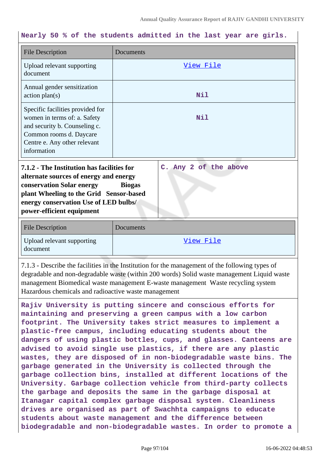### **Nearly 50 % of the students admitted in the last year are girls.**

| <b>File Description</b>                                                                                                                                                                                                            | Documents                              |  |
|------------------------------------------------------------------------------------------------------------------------------------------------------------------------------------------------------------------------------------|----------------------------------------|--|
| Upload relevant supporting<br>document                                                                                                                                                                                             | View File                              |  |
| Annual gender sensitization<br>action plan(s)                                                                                                                                                                                      | Nil                                    |  |
| Specific facilities provided for<br>women in terms of: a. Safety<br>and security b. Counseling c.<br>Common rooms d. Daycare<br>Centre e. Any other relevant<br>information                                                        | Nil                                    |  |
| 7.1.2 - The Institution has facilities for<br>alternate sources of energy and energy<br>conservation Solar energy<br>plant Wheeling to the Grid Sensor-based<br>energy conservation Use of LED bulbs/<br>power-efficient equipment | C. Any 2 of the above<br><b>Biogas</b> |  |
| <b>File Description</b>                                                                                                                                                                                                            | Documents                              |  |
| Upload relevant supporting<br>document                                                                                                                                                                                             | View File                              |  |

7.1.3 - Describe the facilities in the Institution for the management of the following types of degradable and non-degradable waste (within 200 words) Solid waste management Liquid waste management Biomedical waste management E-waste management Waste recycling system Hazardous chemicals and radioactive waste management

**Rajiv University is putting sincere and conscious efforts for maintaining and preserving a green campus with a low carbon footprint. The University takes strict measures to implement a plastic-free campus, including educating students about the dangers of using plastic bottles, cups, and glasses. Canteens are advised to avoid single use plastics, if there are any plastic wastes, they are disposed of in non-biodegradable waste bins. The garbage generated in the University is collected through the garbage collection bins, installed at different locations of the University. Garbage collection vehicle from third-party collects the garbage and deposits the same in the garbage disposal at Itanagar capital complex garbage disposal system. Cleanliness drives are organised as part of Swachhta campaigns to educate students about waste management and the difference between biodegradable and non-biodegradable wastes. In order to promote a**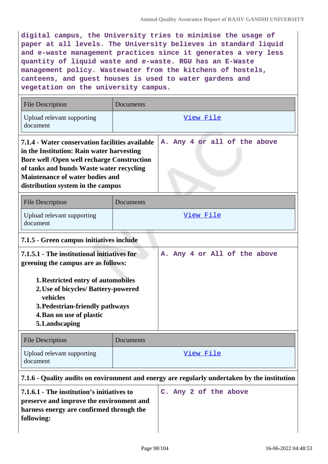**digital campus, the University tries to minimise the usage of paper at all levels. The University believes in standard liquid and e-waste management practices since it generates a very less quantity of liquid waste and e-waste. RGU has an E-Waste management policy. Wastewater from the kitchens of hostels, canteens, and guest houses is used to water gardens and vegetation on the university campus.**

| <b>File Description</b>                                                                                                                                                                                                                                                      | <b>Documents</b> |                              |           |  |  |  |
|------------------------------------------------------------------------------------------------------------------------------------------------------------------------------------------------------------------------------------------------------------------------------|------------------|------------------------------|-----------|--|--|--|
| Upload relevant supporting<br>document                                                                                                                                                                                                                                       | View File        |                              |           |  |  |  |
| 7.1.4 - Water conservation facilities available<br>in the Institution: Rain water harvesting<br><b>Bore well /Open well recharge Construction</b><br>of tanks and bunds Waste water recycling<br><b>Maintenance of water bodies and</b><br>distribution system in the campus |                  | A. Any 4 or all of the above |           |  |  |  |
| <b>File Description</b>                                                                                                                                                                                                                                                      | Documents        |                              |           |  |  |  |
| Upload relevant supporting<br>document                                                                                                                                                                                                                                       | View File        |                              |           |  |  |  |
| 7.1.5 - Green campus initiatives include                                                                                                                                                                                                                                     |                  |                              |           |  |  |  |
| 7.1.5.1 - The institutional initiatives for<br>greening the campus are as follows:<br>1. Restricted entry of automobiles<br>2. Use of bicycles/ Battery-powered<br>vehicles<br>3. Pedestrian-friendly pathways<br>4. Ban on use of plastic<br>5. Landscaping                 |                  | A. Any 4 or All of the above |           |  |  |  |
| <b>File Description</b>                                                                                                                                                                                                                                                      | Documents        |                              |           |  |  |  |
| Upload relevant supporting<br>document                                                                                                                                                                                                                                       |                  |                              | View File |  |  |  |
| 7.1.6 - Quality audits on environment and energy are regularly undertaken by the institution                                                                                                                                                                                 |                  |                              |           |  |  |  |

**7.1.6.1 - The institution's initiatives to preserve and improve the environment and harness energy are confirmed through the following:**

**C. Any 2 of the above**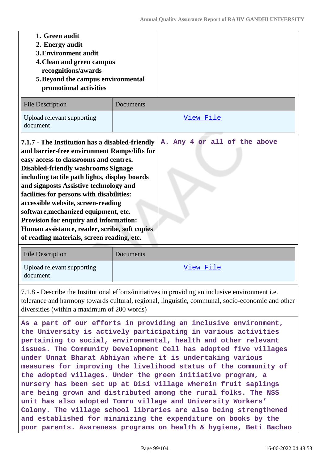| 1. Green audit<br>2. Energy audit<br><b>3. Environment audit</b><br>4. Clean and green campus<br>recognitions/awards<br>5. Beyond the campus environmental<br>promotional activities                                                                                                                                                                                                                                                                                                                                                                                       |           |                              |
|----------------------------------------------------------------------------------------------------------------------------------------------------------------------------------------------------------------------------------------------------------------------------------------------------------------------------------------------------------------------------------------------------------------------------------------------------------------------------------------------------------------------------------------------------------------------------|-----------|------------------------------|
| <b>File Description</b>                                                                                                                                                                                                                                                                                                                                                                                                                                                                                                                                                    | Documents |                              |
| Upload relevant supporting<br>document                                                                                                                                                                                                                                                                                                                                                                                                                                                                                                                                     |           | View File                    |
| 7.1.7 - The Institution has a disabled-friendly<br>and barrier-free environment Ramps/lifts for<br>easy access to classrooms and centres.<br><b>Disabled-friendly washrooms Signage</b><br>including tactile path lights, display boards<br>and signposts Assistive technology and<br>facilities for persons with disabilities:<br>accessible website, screen-reading<br>software, mechanized equipment, etc.<br>Provision for enquiry and information:<br>Human assistance, reader, scribe, soft copies<br>of reading materials, screen reading, etc.<br>File Description |           | A. Any 4 or all of the above |

| <b>File Description</b>                | Documents |
|----------------------------------------|-----------|
| Upload relevant supporting<br>document | View File |

7.1.8 - Describe the Institutional efforts/initiatives in providing an inclusive environment i.e. tolerance and harmony towards cultural, regional, linguistic, communal, socio-economic and other diversities (within a maximum of 200 words)

**As a part of our efforts in providing an inclusive environment, the University is actively participating in various activities pertaining to social, environmental, health and other relevant issues. The Community Development Cell has adopted five villages under Unnat Bharat Abhiyan where it is undertaking various measures for improving the livelihood status of the community of the adopted villages. Under the green initiative program, a nursery has been set up at Disi village wherein fruit saplings are being grown and distributed among the rural folks. The NSS unit has also adopted Tomru village and University Workers' Colony. The village school libraries are also being strengthened and established for minimizing the expenditure on books by the poor parents. Awareness programs on health & hygiene, Beti Bachao**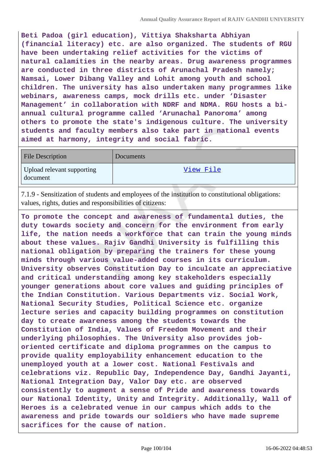**Beti Padoa (girl education), Vittiya Shaksharta Abhiyan (financial literacy) etc. are also organized. The students of RGU have been undertaking relief activities for the victims of natural calamities in the nearby areas. Drug awareness programmes are conducted in three districts of Arunachal Pradesh namely; Namsai, Lower Dibang Valley and Lohit among youth and school children. The university has also undertaken many programmes like webinars, awareness camps, mock drills etc. under 'Disaster Management' in collaboration with NDRF and NDMA. RGU hosts a biannual cultural programme called 'Arunachal Panoroma' among others to promote the state's indigenous culture. The university students and faculty members also take part in national events aimed at harmony, integrity and social fabric.**

| <b>File Description</b>                | Documents |
|----------------------------------------|-----------|
| Upload relevant supporting<br>document | View File |

7.1.9 - Sensitization of students and employees of the institution to constitutional obligations: values, rights, duties and responsibilities of citizens:

**To promote the concept and awareness of fundamental duties, the duty towards society and concern for the environment from early life, the nation needs a workforce that can train the young minds about these values. Rajiv Gandhi University is fulfilling this national obligation by preparing the trainers for these young minds through various value-added courses in its curriculum. University observes Constitution Day to inculcate an appreciative and critical understanding among key stakeholders especially younger generations about core values and guiding principles of the Indian Constitution. Various Departments viz. Social Work, National Security Studies, Political Science etc. organize lecture series and capacity building programmes on constitution day to create awareness among the students towards the Constitution of India, Values of Freedom Movement and their underlying philosophies. The University also provides joboriented certificate and diploma programmes on the campus to provide quality employability enhancement education to the unemployed youth at a lower cost. National Festivals and celebrations viz. Republic Day, Independence Day, Gandhi Jayanti, National Integration Day, Valor Day etc. are observed consistently to augment a sense of Pride and awareness towards our National Identity, Unity and Integrity. Additionally, Wall of Heroes is a celebrated venue in our campus which adds to the awareness and pride towards our soldiers who have made supreme sacrifices for the cause of nation.**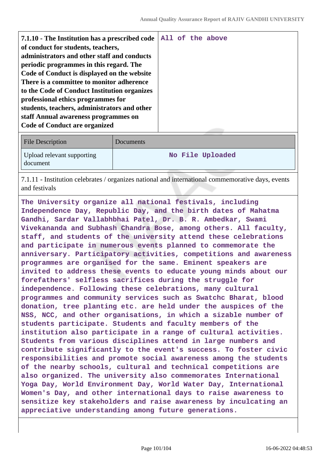| File Description                       | <b>Documents</b> |
|----------------------------------------|------------------|
| Upload relevant supporting<br>document | No File Uploaded |

7.1.11 - Institution celebrates / organizes national and international commemorative days, events and festivals

**The University organize all national festivals, including Independence Day, Republic Day, and the birth dates of Mahatma Gandhi, Sardar Vallabhbhai Patel, Dr. B. R. Ambedkar, Swami Vivekananda and Subhash Chandra Bose, among others. All faculty, staff, and students of the university attend these celebrations and participate in numerous events planned to commemorate the anniversary. Participatory activities, competitions and awareness programmes are organised for the same. Eminent speakers are invited to address these events to educate young minds about our forefathers' selfless sacrifices during the struggle for independence. Following these celebrations, many cultural programmes and community services such as Swatchc Bharat, blood donation, tree planting etc. are held under the auspices of the NSS, NCC, and other organisations, in which a sizable number of students participate. Students and faculty members of the institution also participate in a range of cultural activities. Students from various disciplines attend in large numbers and contribute significantly to the event's success. To foster civic responsibilities and promote social awareness among the students of the nearby schools, cultural and technical competitions are also organized. The university also commemorates International Yoga Day, World Environment Day, World Water Day, International Women's Day, and other international days to raise awareness to sensitize key stakeholders and raise awareness by inculcating an appreciative understanding among future generations.**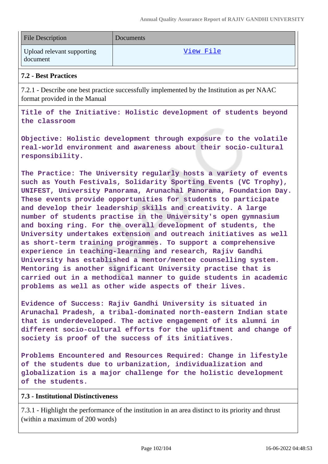| <b>File Description</b>                | Documents |
|----------------------------------------|-----------|
| Upload relevant supporting<br>document | View File |

### **7.2 - Best Practices**

7.2.1 - Describe one best practice successfully implemented by the Institution as per NAAC format provided in the Manual

**Title of the Initiative: Holistic development of students beyond the classroom**

**Objective: Holistic development through exposure to the volatile real-world environment and awareness about their socio-cultural responsibility.**

**The Practice: The University regularly hosts a variety of events such as Youth Festivals, Solidarity Sporting Events (VC Trophy), UNIFEST, University Panorama, Arunachal Panorama, Foundation Day. These events provide opportunities for students to participate and develop their leadership skills and creativity. A large number of students practise in the University's open gymnasium and boxing ring. For the overall development of students, the University undertakes extension and outreach initiatives as well as short-term training programmes. To support a comprehensive experience in teaching-learning and research, Rajiv Gandhi University has established a mentor/mentee counselling system. Mentoring is another significant University practise that is carried out in a methodical manner to guide students in academic problems as well as other wide aspects of their lives.**

**Evidence of Success: Rajiv Gandhi University is situated in Arunachal Pradesh, a tribal-dominated north-eastern Indian state that is underdeveloped. The active engagement of its alumni in different socio-cultural efforts for the upliftment and change of society is proof of the success of its initiatives.**

**Problems Encountered and Resources Required: Change in lifestyle of the students due to urbanization, individualization and globalization is a major challenge for the holistic development of the students.**

### **7.3 - Institutional Distinctiveness**

7.3.1 - Highlight the performance of the institution in an area distinct to its priority and thrust (within a maximum of 200 words)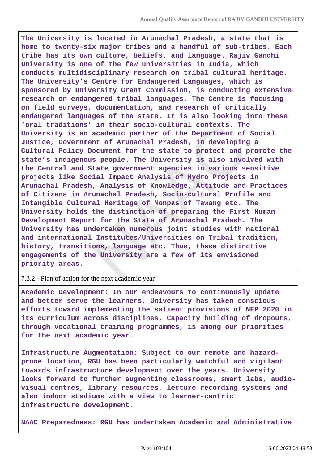**The University is located in Arunachal Pradesh, a state that is home to twenty-six major tribes and a handful of sub-tribes. Each tribe has its own culture, beliefs, and language. Rajiv Gandhi University is one of the few universities in India, which conducts multidisciplinary research on tribal cultural heritage. The University's Centre for Endangered Languages, which is sponsored by University Grant Commission, is conducting extensive research on endangered tribal languages. The Centre is focusing on field surveys, documentation, and research of critically endangered languages of the state. It is also looking into these 'oral traditions' in their socio-cultural contexts. The University is an academic partner of the Department of Social Justice, Government of Arunachal Pradesh, in developing a Cultural Policy Document for the state to protect and promote the state's indigenous people. The University is also involved with the Central and State government agencies in various sensitive projects like Social Impact Analysis of Hydro Projects in Arunachal Pradesh, Analysis of Knowledge, Attitude and Practices of Citizens in Arunachal Pradesh, Socio-cultural Profile and Intangible Cultural Heritage of Monpas of Tawang etc. The University holds the distinction of preparing the First Human Development Report for the State of Arunachal Pradesh. The University has undertaken numerous joint studies with national and international Institutes/Universities on Tribal tradition, history, transitions, language etc. Thus, these distinctive engagements of the University are a few of its envisioned priority areas.**

#### 7.3.2 - Plan of action for the next academic year

**Academic Development: In our endeavours to continuously update and better serve the learners, University has taken conscious efforts toward implementing the salient provisions of NEP 2020 in its curriculum across disciplines. Capacity building of dropouts, through vocational training programmes, is among our priorities for the next academic year.**

**Infrastructure Augmentation: Subject to our remote and hazardprone location, RGU has been particularly watchful and vigilant towards infrastructure development over the years. University looks forward to further augmenting classrooms, smart labs, audiovisual centres, library resources, lecture recording systems and also indoor stadiums with a view to learner-centric infrastructure development.**

**NAAC Preparedness: RGU has undertaken Academic and Administrative**